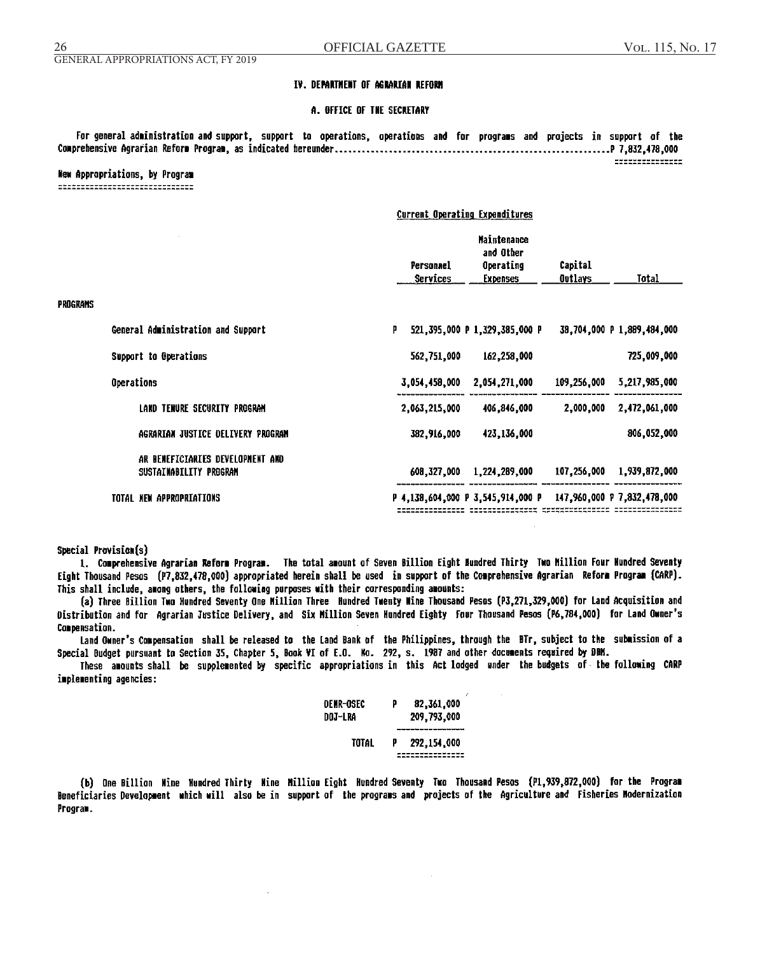### **TV. DEPARTMENT OF AGRARTAN REFORM**

### **A. OFFICE OF THE SECRETARY**

For general administration and support, support to operations, operations and for programs and projects in support of the ================

#### New Appropriations, by Program --------------------------------

## Current Operating Expenditures

|                 |                                                            |                              | Maintenance<br>and Other          |                    |                             |
|-----------------|------------------------------------------------------------|------------------------------|-----------------------------------|--------------------|-----------------------------|
|                 |                                                            | Personael<br><b>Services</b> | Operating<br><b>Expenses</b>      | Capital<br>Outlays | Total                       |
| <b>PROGRAMS</b> |                                                            |                              |                                   |                    |                             |
|                 | General Administration and Support                         | P                            | 521,395,000 P 1,329,385,000 P     |                    | 38,704,000 P 1,889,484,000  |
|                 | Support to Operations                                      | 562,751,000                  | 162,258,000                       |                    | 725,009,000                 |
| Operations      |                                                            | 3,054,458,000                | 2,054,271,000                     | 109,256,000        | 5,217,985,000               |
|                 | LAND TENURE SECURITY PROGRAM                               | 2,063,215,000                | 406,846,000                       | 2,000,000          | 2,472,061,000               |
|                 | AGRARIAN JUSTICE DELIVERY PROGRAM                          | 382,916,000                  | 423,136,000                       |                    | 806,052,000                 |
|                 | AR BENEFICIARIES DEVELOPMENT AND<br>SUSTAINABILITY PROGRAM | 608,327,000                  | 1,224,289,000                     | 107,256,000        | 1,939,872,000               |
|                 | TOTAL NEW APPROPRIATIONS                                   |                              | P 4,138,604,000 P 3,545,914,000 P |                    | 147,960,000 P 7,832,478,000 |

### Special Provision(s)

1. Comprehensive Agrarian Reform Program. The total amount of Seven Billion Eight Mundred Thirty Two Million Four Mundred Seventy Eight Thousand Pesos (P7,832,478,000) appropriated herein shall be used in support of the Comprehensive Agrarian Reform Program (CARP). This shall include, among others, the following purposes with their corresponding amounts:

(a) Three Billion Two Hundred Seventy One Million Three Hundred Twenty Wine Thousand Pesos (P3,271,329,000) for Land Acquisition and Distribution and for Agrarian Justice Delivery, and Six Million Seven Hundred Eighty Four Thousand Pesos (P6,784,000) for Land Owner's Compensation.

Land Owner's Compensation shall be released to the Land Bank of the Philippines, through the BTr, subject to the submission of a Special Budget pursuant to Section 35, Chapter 5, Book VI of E.O. Mo. 292, s. 1987 and other documents required by DBM.

These amounts shall be supplemented by specific appropriations in this Act lodged under the budgets of the following CARP implementing agencies:

| DENR-OSEC<br>DOJ-LRA | p | 82,361,000<br>209,793,000 |
|----------------------|---|---------------------------|
| TOTAL                | P | 292, 154, 000             |

(b) One Billion Wine Hundred Thirty Mine Million Eight Hundred Seventy Two Thousand Pesos (P1,939,872,000) for the Program Beneficiaries Development which will also be in support of the programs and projects of the Agriculture and Fisheries Modernization Program.

 $\sim$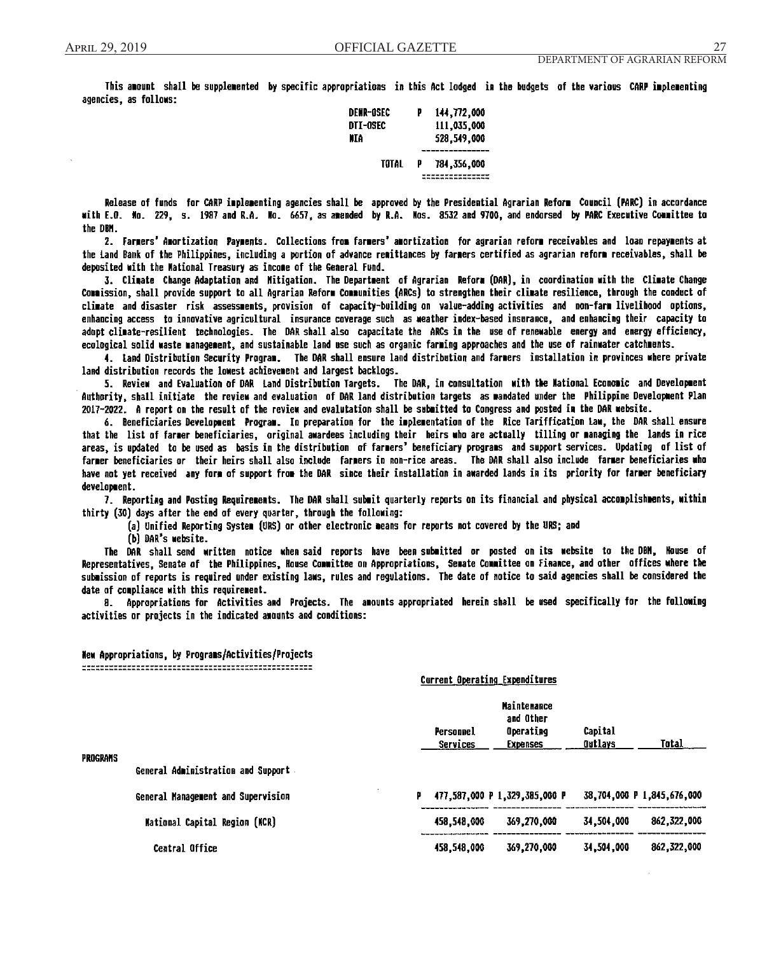This amount shall be supplemented by specific appropriations in this Act lodged in the budgets of the various CARP implementing agencies, as follows:

| DENR-GSEC | p | 144.772.000 |
|-----------|---|-------------|
| DTI-0SEC  |   | 111.035.000 |
| ИIА       |   | 528,549,000 |
| TOTAL     | P | 784,356,000 |
|           |   |             |

Release of funds for CARP implementing agencies shall be approved by the Presidential Agrarian Reform Council (PARC) in accordance with E.O. Mo. 229, s. 1987 and R.A. Mo. 6657, as amended by R.A. Mos. 8532 and 9700, and endorsed by PARC Executive Committee to the DBM.

2. Farmers' Amortization Payments. Collections from farmers' amortization for agrarian reform receivables and loan repayments at the Land Bank of the Philippines, including a portion of advance remittances by farmers certified as agrarian reform receivables, shall be deposited with the Mational Treasury as income of the General Fund.

3. Climate Change Adaptation and Mitigation. The Department of Agrarian Reform (DAR), in coordination with the Climate Change Commission, shall provide support to all Agrarian Reform Communities (ARCs) to strengthen their climate resilience, through the conduct of climate and disaster risk assessments, provision of capacity-building on value-adding activities and non-farm livelihood options, enhancing access to innovative agricultural insurance coverage such as weather index-based insurance, and enhancing their capacity to adopt climate-resilient technologies. The DAR shall also capacitate the ARCs in the use of renewable energy and energy efficiency, ecological solid waste management, and sustainable land use such as organic farming approaches and the use of rainwater catchments.

4. Land Distribution Security Program. The DAR shall ensure land distribution and farmers installation in provinces where private land distribution records the lowest achievement and largest backlogs.

5. Review and Evaluation of DAR Land Distribution Targets. The DAR, in consultation with the Mational Economic and Development Authority, shall initiate the review and evaluation of DAR land distribution targets as mandated under the Philippine Development Plan 2017-2022. A report on the result of the review and evalutation shall be submitted to Congress and posted in the DAR website.

6. Beneficiaries Development Program. In preparation for the implementation of the Rice Tariffication Law, the DAR shall ensure that the list of farmer beneficiaries, original awardees including their heirs who are actually tilling or managing the lands in rice areas, is updated to be used as basis in the distribution of farmers' beneficiary programs and support services. Updating of list of farmer beneficiaries or their heirs shall also include farmers in non-rice areas. The DAR shall also include farmer beneficiaries who have not yet received any form of support from the DAR since their installation in awarded lands in its priority for farmer beneficiary development.

7. Reporting and Posting Requirements. The DAR shall submit quarterly reports on its financial and physical accomplishments, within thirty (30) days after the end of every quarter, through the following:

(a) Unified Reporting System (URS) or other electronic means for reports not covered by the URS; and (b) DAR's website.

The DAR shall send written notice when said reports have been-submitted or posted on its website to the DBM, House of Representatives, Senate of the Philippines, House Committee on Appropriations, Semate Committee on Finance, and other offices where the submission of reports is required under existing laws, rules and regulations. The date of notice to said agencies shall be considered the date of compliance with this requirement.

8. Appropriations for Activities and Projects. The amounts appropriated herein shall be used specifically for the following activities or projects in the indicated amounts and conditions:

New Appropriations, by Programs/Activities/Projects

#### Current Operating Expenditures

| PROGRAMS |                                      |   | Personnel<br><b>Services</b> | <b>Maintenance</b><br>and Other<br>Operating<br><b>Expenses</b> | Capital<br>Outlays | Total                      |
|----------|--------------------------------------|---|------------------------------|-----------------------------------------------------------------|--------------------|----------------------------|
|          | General Administration and Support   |   |                              |                                                                 |                    |                            |
|          | General Management and Supervision   | Р |                              | 477,587,000 P 1,329,385,000 P                                   |                    | 38,704,000 P 1,845,676,000 |
|          | <b>Mational Capital Region (NCR)</b> |   | 458,548,000                  | 369,270,000                                                     | 34,504,000         | 862,322,000                |
|          | Central Office                       |   | 458,548,000                  | 369,270,000                                                     | 34,504,000         | 862,322,000                |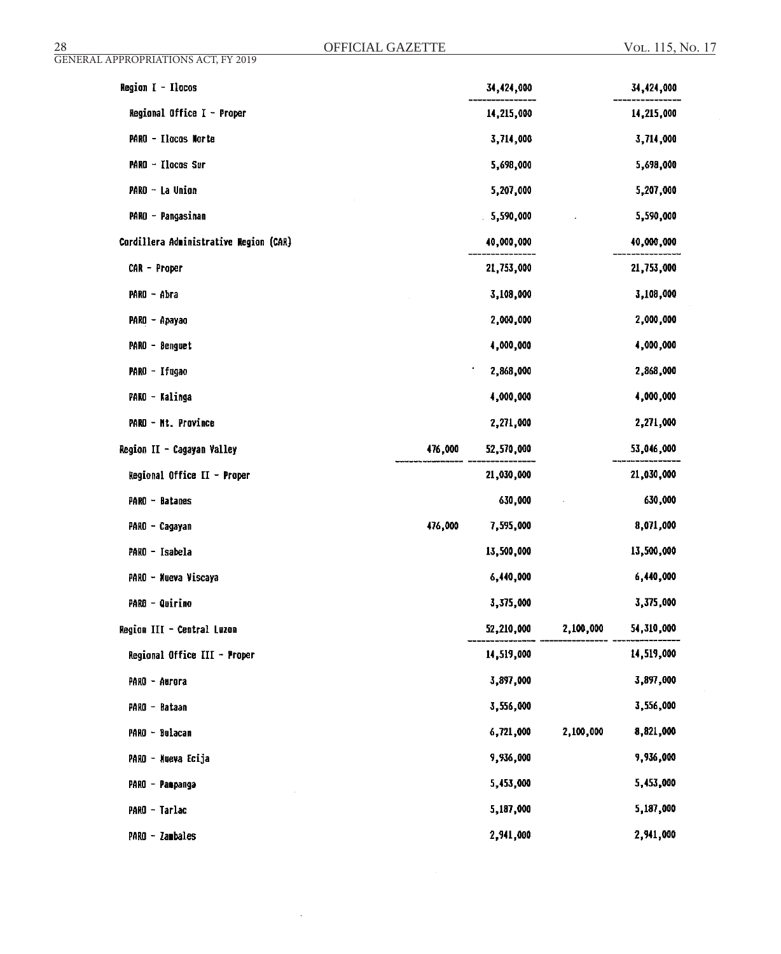| Region I - Ilocos                      |         | 34,424,000 |           | 34,424,000 |
|----------------------------------------|---------|------------|-----------|------------|
| Regional Office I - Proper             |         | 14,215,000 |           | 14,215,000 |
| PARO - Ilocos Norte                    |         | 3,714,000  |           | 3,714,000  |
| PARO - Ilocos Sur                      |         | 5,698,000  |           | 5,698,000  |
| PARO - La Union                        |         | 5,207,000  |           | 5,207,000  |
| PARO - Pangasinan                      |         | 5,590,000  |           | 5,590,000  |
| Cordillera Administrative Region (CAR) |         | 40,000,000 |           | 40,000,000 |
| CAR - Proper                           |         | 21,753,000 |           | 21,753,000 |
| PARO - Abra                            |         | 3,108,000  |           | 3,108,000  |
| PARO - Apayao                          |         | 2,000,000  |           | 2,000,000  |
| PARO - Benguet                         |         | 4,000,000  |           | 4,000,000  |
| PARO - Ifugao                          |         | 2,868,000  |           | 2,868,000  |
| PARO - Kalinga                         |         | 4,000,000  |           | 4,000,000  |
| PARO - Mt. Province                    |         | 2,271,000  |           | 2,271,000  |
| Region II - Cagayan Valley             | 476,000 | 52,570,000 |           | 53,046,000 |
| Regional Office II - Proper            |         | 21,030,000 |           | 21,030,000 |
| PARO - Batanes                         |         | 630,000    |           | 630,000    |
| PARO - Cagayan                         | 476,000 | 7,595,000  |           | 8,071,000  |
| PARO - Isabela                         |         | 13,500,000 |           | 13,500,000 |
| PARO - Nueva Viscaya                   |         | 6,440,000  |           | 6,440,000  |
| <b>PARO - Quirino</b>                  |         | 3,375,000  |           | 3,375,000  |
| Region III - Central Luzon             |         | 52,210,000 | 2,100,000 | 54,310,000 |
| Regional Office III - Proper           |         | 14,519,000 |           | 14,519,000 |
| PARO - Aurora                          |         | 3,897,000  |           | 3,897,000  |
| PARO - Bataan                          |         | 3,556,000  |           | 3,556,000  |
| PARO - Bulacan                         |         | 6,721,000  | 2,100,000 | 8,821,000  |
| PARO - Mueva Ecija                     |         | 9,936,000  |           | 9,936,000  |
| PARO - Panpanga                        |         | 5,453,000  |           | 5,453,000  |
| PARO - Tarlac                          |         | 5,187,000  |           | 5,187,000  |
| PARO - Zambales                        |         | 2,941,000  |           | 2,941,000  |

Ŷ,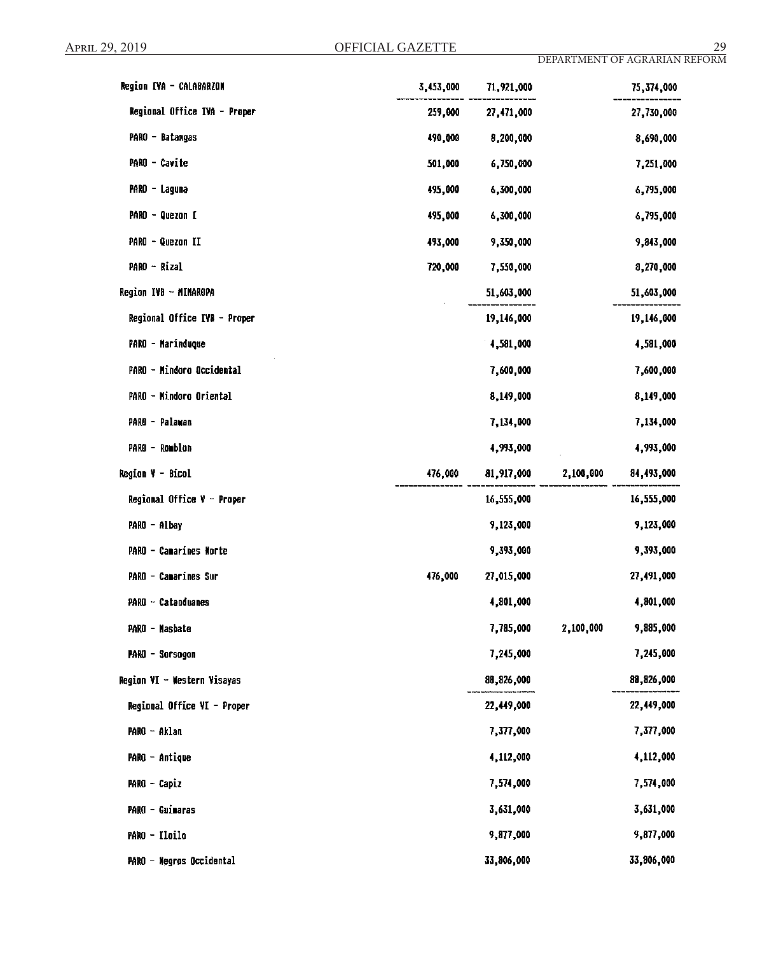| Region IVA - CALABARZON      | 3,453,000 | 71,921,000 |           | 75,374,000 |
|------------------------------|-----------|------------|-----------|------------|
| Regional Office IVA - Proper | 259,000   | 27,471,000 |           | 27,730,000 |
| PARO - Batangas              | 490,000   | 8,200,000  |           | 8,690,000  |
| PARO - Cavite                | 501,000   | 6,750,000  |           | 7,251,000  |
| PARO - Laguna                | 495,000   | 6,300,000  |           | 6,795,000  |
| PARO - Quezon I              | 495,000   | 6,300,000  |           | 6,795,000  |
| PARO - Quezon II             | 493,000   | 9,350,000  |           | 9,843,000  |
| PARO - Rizal                 | 720,000   | 7,550,000  |           | 8,270,000  |
| Region IVB - MIMAROPA        |           | 51,603,000 |           | 51,603,000 |
| Regional Office IVB - Proper |           | 19,146,000 |           | 19,146,000 |
| PARO - Marinduque            |           | 4,581,000  |           | 4,581,000  |
| PARO - Mindoro Occidental    |           | 7,600,000  |           | 7,600,000  |
| PARO - Mindoro Oriental      |           | 8,149,000  |           | 8,149,000  |
| PARO - Palawan               |           | 7,134,000  |           | 7,134,000  |
| PARO - Romblon               |           | 4,993,000  |           | 4,993,000  |
| Region V - Bicol             | 476,000   | 81,917,000 | 2,100,000 | 84,493,000 |
| Regional Office $V -$ Proper |           | 16,555,000 |           | 16,555,000 |
| PARO - Albay                 |           | 9,123,000  |           | 9,123,000  |
| PARO - Camarines Norte       |           | 9,393,000  |           | 9,393,000  |
| PARO - Camarines Sur         | 476,000   | 27,015,000 |           | 27,491,000 |
| PARO - Catanduanes           |           | 4,801,000  |           | 4,801,000  |
| PARO - Nasbate               |           | 7,785,000  | 2,100,000 | 9,885,000  |
| PARO - Sorsogon              |           | 7,245,000  |           | 7,245,000  |
| Region VI - Western Visayas  |           | 88,826,000 |           | 88,826,000 |
| Regional Office VI - Proper  |           | 22,449,000 |           | 22,449,000 |
| PARO - Aklan                 |           | 7,377,000  |           | 7,377,000  |
| PARO - Antique               |           | 4,112,000  |           | 4,112,000  |
| PARO - Capiz                 |           | 7,574,000  |           | 7,574,000  |
| PARO - Guimaras              |           | 3,631,000  |           | 3,631,000  |
| PARO - Iloilo                |           | 9,877,000  |           | 9,877,000  |
| PARO - Negros Occidental     |           | 33,806,000 |           | 33,806,000 |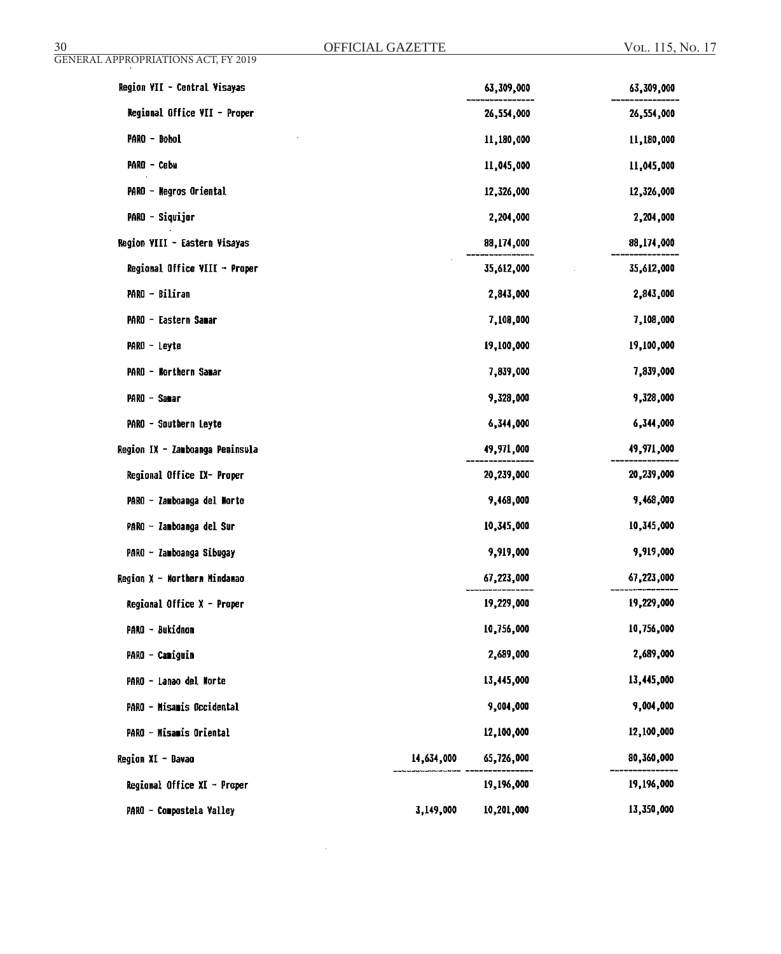| Region VII - Central Visayas    |            | 63,309,000 | 63,309,000 |
|---------------------------------|------------|------------|------------|
| Regional Office VII - Proper    |            | 26,554,000 | 26,554,000 |
| PARO - Bohol                    |            | 11,180,000 | 11,180,000 |
| PARO - Cebu                     |            | 11,045,000 | 11,045,000 |
| PARO - Negros Oriental          |            | 12,326,000 | 12,326,000 |
| PARO - Siquijor                 |            | 2,204,000  | 2,204,000  |
| Region VIII - Eastern Visayas   |            | 88,174,000 | 88,174,000 |
| Regional Office VIII - Proper   |            | 35,612,000 | 35,612,000 |
| PARO - Biliran                  |            | 2,843,000  | 2,843,000  |
| PARO - Eastern Samar            |            | 7,108,000  | 7,108,000  |
| PARO - Leyte                    |            | 19,100,000 | 19,100,000 |
| PARO - Northern Samar           |            | 7,839,000  | 7,839,000  |
| PARO - Samar                    |            | 9,328,000  | 9,328,000  |
| PARO - Southern Leyte           |            | 6,344,000  | 6,344,000  |
| Region IX - Zamboanga Peninsula |            | 49,971,000 | 49,971,000 |
| Regional Office IX- Proper      |            | 20,239,000 | 20,239,000 |
| PARO - Zamboanga del Morte      |            | 9,468,000  | 9,468,000  |
| PARO - Zamboanga del Sur        |            | 10,345,000 | 10,345,000 |
| PARO - Zamboanga Sibugay        |            | 9,919,000  | 9,919,000  |
| Region X - Northern Mindanao    |            | 67,223,000 | 67,223,000 |
| Regional Office X - Proper      |            | 19,229,000 | 19,229,000 |
| PARO - Bukidnon                 |            | 10,756,000 | 10,756,000 |
| PARO - Camiguin                 |            | 2,689,000  | 2,689,000  |
| PARO - Lanao del Norte          |            | 13,445,000 | 13,445,000 |
| PARO - Misamis Occidental       |            | 9,004,000  | 9,004,000  |
| PARO - Misamis Oriental         |            | 12,100,000 | 12,100,000 |
| Region XI - Davao               | 14,634,000 | 65,726,000 | 80,360,000 |
| Regional Office XI - Proper     |            | 19,196,000 | 19,196,000 |
| PARO - Compostela Valley        | 3,149,000  | 10,201,000 | 13,350,000 |

 $\bar{\beta}$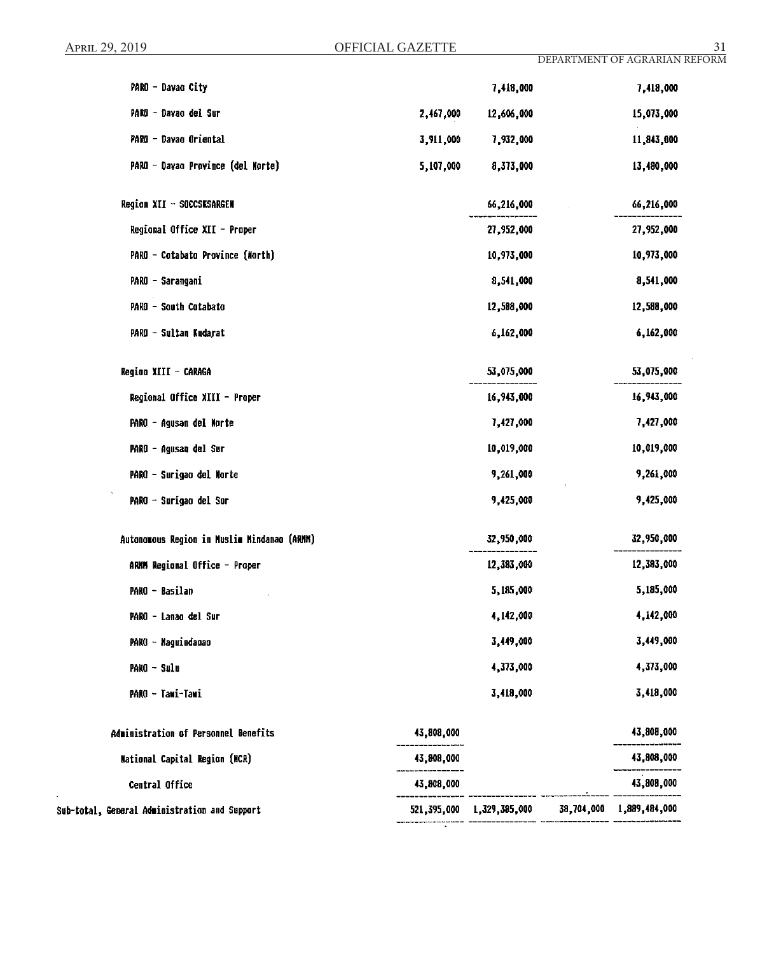| PARO - Davao City                             |            | 7,418,000                 | 7,418,000                |
|-----------------------------------------------|------------|---------------------------|--------------------------|
| PARO - Davao del Sur                          | 2,467,000  | 12,606,000                | 15,073,000               |
| PARO - Davao Oriental                         | 3,911,000  | 7,932,000                 | 11,843,000               |
| PARO - Davao Province (del Morte)             | 5,107,000  | 8,373,000                 | 13,480,000               |
| Region XII - SOCCSKSARGEN                     |            | 66,216,000                | 66,216,000               |
| Regional Office XII - Proper                  |            | 27,952,000                | 27,952,000               |
| PARO - Cotabato Province (North)              |            | 10,973,000                | 10,973,000               |
| PARO - Sarangani                              |            | 8,541,000                 | 8,541,000                |
| PARO - South Cotabato                         |            | 12,588,000                | 12,588,000               |
| PARO - Sultan Kudarat                         |            | 6,162,000                 | 6,162,000                |
| Region XIII - CARAGA                          |            | 53,075,000                | 53,075,000               |
| Regional Office XIII - Proper                 |            | 16,943,000                | 16,943,000               |
| PARO - Agusan del Norte                       |            | 7,427,000                 | 7,427,000                |
| PARO - Agusan del Sur                         |            | 10,019,000                | 10,019,000               |
| PARO - Surigao del Morte                      |            | 9,261,000                 | 9,261,000                |
| PARO - Surigao del Sur                        |            | 9,425,000                 | 9,425,000                |
| Autonomous Region in Muslim Mindanao (ARMM)   |            | 32,950,000                | 32,950,000               |
| ARMM Regional Office - Proper                 |            | 12,383,000                | 12,383,000               |
| PARO - Basilan                                |            | 5,185,000                 | 5,185,000                |
| PARO - Lanao del Sur                          |            | 4,142,000                 | 4,142,000                |
| PARO - Maguindanao                            |            | 3,449,000                 | 3,449,000                |
| PARO - Sulu                                   |            | 4,373,000                 | 4,373,000                |
| PARO - Tawi-Tawi                              |            | 3,418,000                 | 3,418,000                |
| Administration of Personnel Benefits          | 43,808,000 |                           | 43,808,000               |
| <b>Mational Capital Region (NCR)</b>          | 43,808,000 |                           | 43,808,000               |
| Central Office                                | 43,808,000 |                           | 43,808,000               |
| Sub-total, General Administration and Support |            | 521,395,000 1,329,385,000 | 38,704,000 1,889,484,000 |

- ---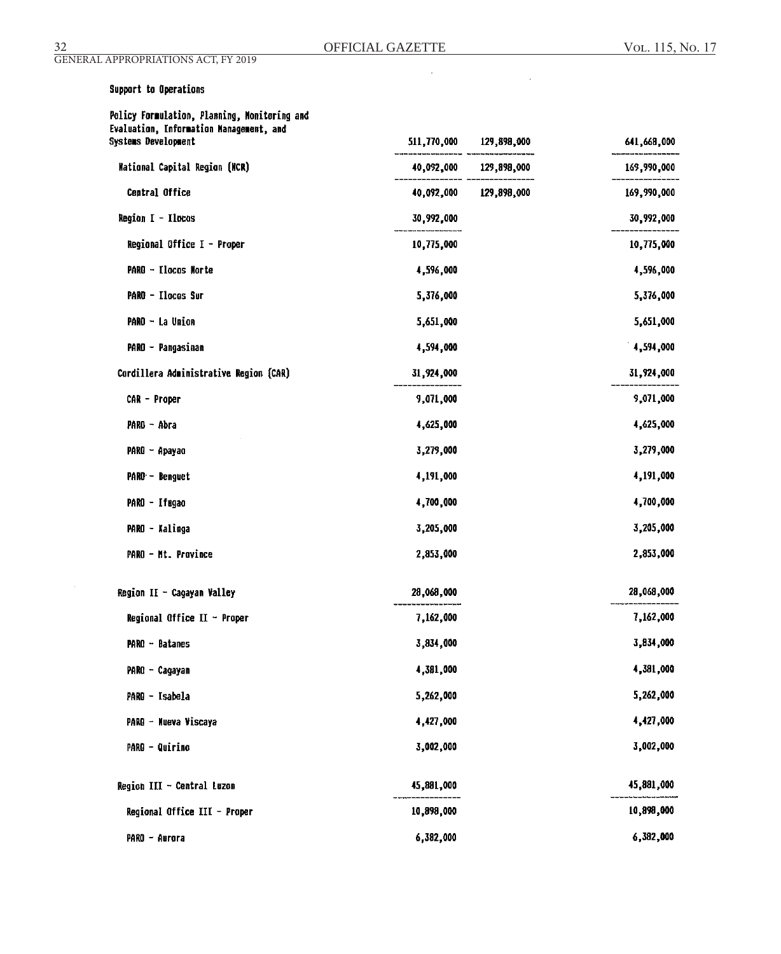$\mathbf{r}$ 

 $\mathcal{L}^{\mathcal{L}}$ 

GENERAL APPROPRIATIONS ACT, FY 2019

| Support to Operations                                                                                          |             |                        |             |
|----------------------------------------------------------------------------------------------------------------|-------------|------------------------|-------------|
| Policy Formulation, Planning, Monitoring and<br>Evaluation, Information Management, and<br>Systems Development | 511,770,000 | 129,898,000            | 641,668,000 |
| <b>Mational Capital Region (MCR)</b>                                                                           |             | 40,092,000 129,898,000 | 169,990,000 |
| <b>Central Office</b>                                                                                          |             | 40,092,000 129,898,000 | 169,990,000 |
| Region I - Ilocos                                                                                              | 30,992,000  |                        | 30,992,000  |
| Regional Office I - Proper                                                                                     | 10,775,000  |                        | 10,775,000  |
| PARO - Ilocos Morte                                                                                            | 4,596,000   |                        | 4,596,000   |
| PARO - Ilocos Sur                                                                                              | 5,376,000   |                        | 5,376,000   |
| PARO - La Union                                                                                                | 5,651,000   |                        | 5,651,000   |
| PARO - Pangasinan                                                                                              | 4,594,000   |                        | 4,594,000   |
| Cordillera Administrative Region (CAR)                                                                         | 31,924,000  |                        | 31,924,000  |
| CAR - Proper                                                                                                   | 9,071,000   |                        | 9,071,000   |
| PARO - Abra                                                                                                    | 4,625,000   |                        | 4,625,000   |
| PARO - Apayao                                                                                                  | 3,279,000   |                        | 3,279,000   |
| PARO - Benguet                                                                                                 | 4,191,000   |                        | 4,191,000   |
| PARO - Ifugao                                                                                                  | 4,700,000   |                        | 4,700,000   |
| PARO - Kalinga                                                                                                 | 3,205,000   |                        | 3,205,000   |
| PARO - Mt. Province                                                                                            | 2,853,000   |                        | 2,853,000   |
| Region II - Cagayan Valley                                                                                     | 28,068,000  |                        | 28,068,000  |
| Regional Office II $\sim$ Proper                                                                               | 7,162,000   |                        | 7,162,000   |
| $PARO - Batanes$                                                                                               | 3,834,000   |                        | 3,834,000   |
| PARO - Cagayan                                                                                                 | 4,381,000   |                        | 4,381,000   |
| PARO - Isabela                                                                                                 | 5,262,000   |                        | 5,262,000   |
| PARO - Nueva Viscaya                                                                                           | 4,427,000   |                        | 4,427,000   |
| <b>PARO - Quirino</b>                                                                                          | 3,002,000   |                        | 3,002,000   |
| Region III - Central Luzon                                                                                     | 45,881,000  |                        | 45,881,000  |
| Regional Office III - Proper                                                                                   | 10,898,000  |                        | 10,898,000  |
| PARO - Aurora                                                                                                  | 6,382,000   |                        | 6,382,000   |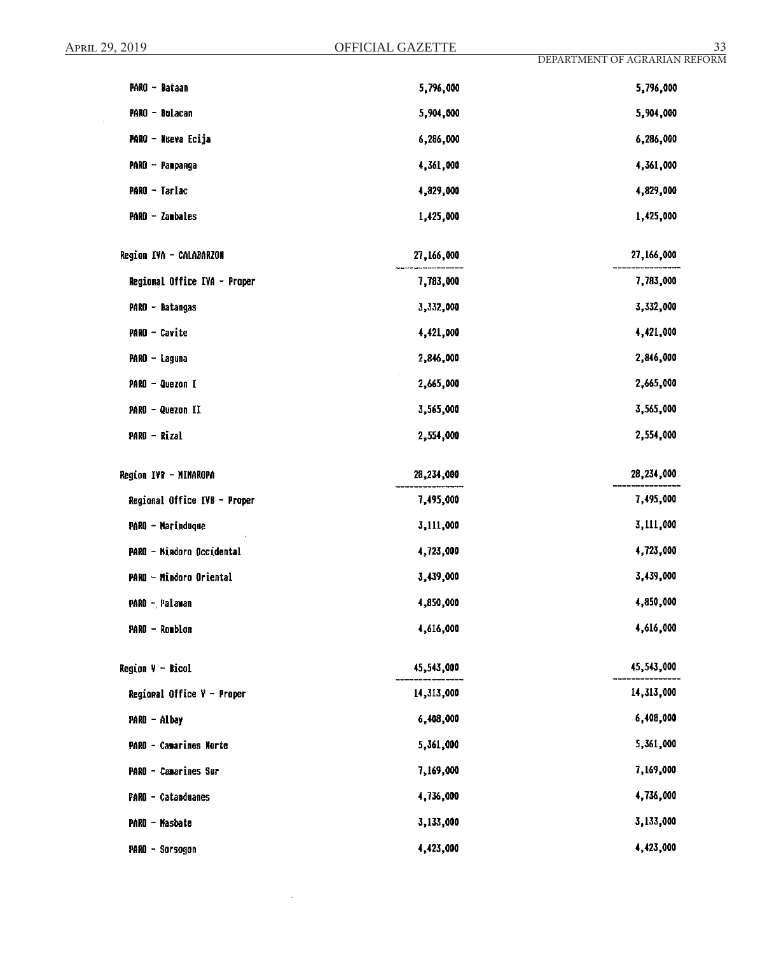$\mathcal{A}$ 

| PARO - Bataan                 | 5,796,000  | 5,796,000  |
|-------------------------------|------------|------------|
| PARO - Bulacan                | 5,904,000  | 5,904,000  |
| PARO - Nueva Ecija            | 6,286,000  | 6,286,000  |
| PARO - Panpanga               | 4,361,000  | 4,361,000  |
| PARO - Tarlac                 | 4,829,000  | 4,829,000  |
| PARO - Zambales               | 1,425,000  | 1,425,000  |
| Region IVA - CALABARZON       | 27,166,000 | 27,166,000 |
| Regional Office IVA - Proper  | 7,783,000  | 7,783,000  |
| PARO - Batangas               | 3,332,000  | 3,332,000  |
| PARO - Cavite                 | 4,421,000  | 4,421,000  |
| PARO - Laguna                 | 2,846,000  | 2,846,000  |
| PARO - Quezon I               | 2,665,000  | 2,665,000  |
| PARO - Quezon II              | 3,565,000  | 3,565,000  |
| PARO - Rizal                  | 2,554,000  | 2,554,000  |
| Region IVB - MINAROPA         | 28,234,000 | 28,234,000 |
| Regional Office IVB - Proper  | 7,495,000  | 7,495,000  |
| PARO - Marinduque             | 3,111,000  | 3,111,000  |
| PARO - Nindoro Occidental     | 4,723,000  | 4,723,000  |
| PARO - Mindoro Oriental       | 3,439,000  | 3,439,000  |
| PARO - Palawan                | 4,850,000  | 4,850,000  |
| PARO - Romblon                | 4,616,000  | 4,616,000  |
| Region V - Bicol              | 45,543,000 | 45,543,000 |
| Regional Office $V -$ Proper  | 14,313,000 | 14,313,000 |
| PARO - Albay                  | 6,408,000  | 6,408,000  |
| <b>PARO - Camarines Norte</b> | 5,361,000  | 5,361,000  |
| PARO - Camarines Sur          |            |            |
|                               | 7,169,000  | 7,169,000  |
| PARO - Catanduanes            | 4,736,000  | 4,736,000  |
| PARO - Masbate                | 3,133,000  | 3,133,000  |

 $\sim$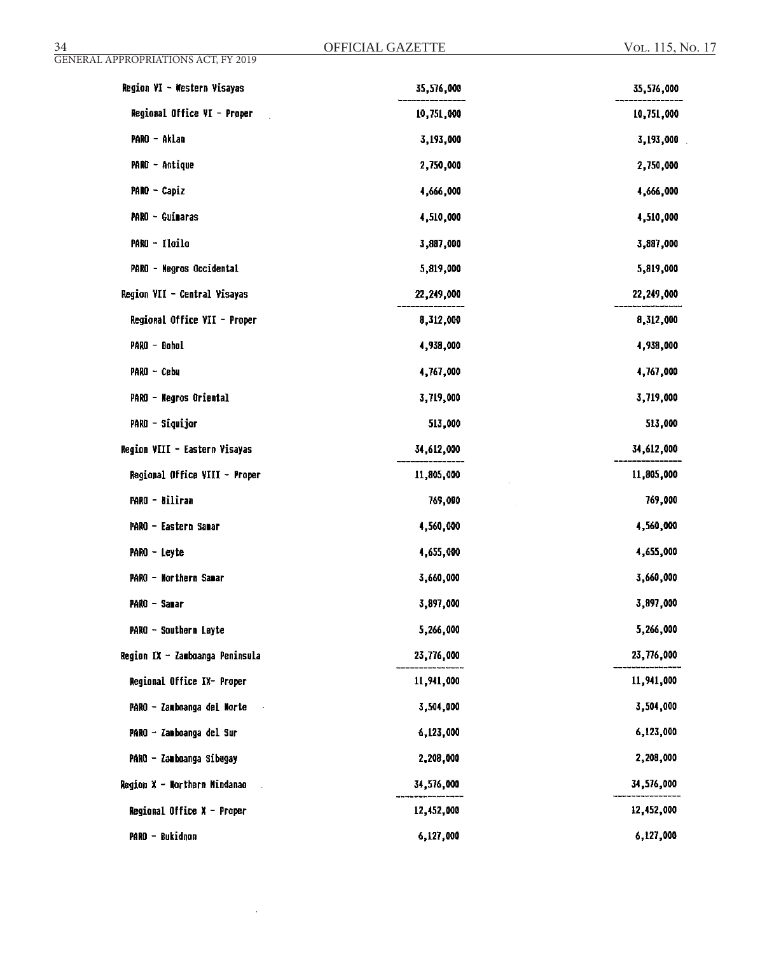| Region VI - Western Visayas     | 35,576,000 | 35,576,000 |
|---------------------------------|------------|------------|
| Regional Office VI - Proper     | 10,751,000 | 10,751,000 |
| PARO - Aklan                    | 3,193,000  | 3,193,000  |
| PARO - Antique                  | 2,750,000  | 2,750,000  |
| PARO - Capiz                    | 4,666,000  | 4,666,000  |
| PARO - Guimaras                 | 4,510,000  | 4,510,000  |
| PARO - Iloilo                   | 3,887,000  | 3,887,000  |
| PARO - Negros Occidental        | 5,819,000  | 5,819,000  |
| Region VII - Central Visayas    | 22,249,000 | 22,249,000 |
| Regional Office VII - Proper    | 8,312,000  | 8,312,000  |
| PARO - Bohol                    | 4,938,000  | 4,938,000  |
| PARO - Cebu                     | 4,767,000  | 4,767,000  |
| PARO - Negros Oriental          | 3,719,000  | 3,719,000  |
| PARO - Siquijor                 | 513,000    | 513,000    |
| Region VIII - Eastern Visayas   | 34,612,000 | 34,612,000 |
| Regional Office VIII - Proper   | 11,805,000 | 11,805,000 |
| PARO - Biliran                  | 769,000    | 769,000    |
| PARO - Eastern Sanar            | 4,560,000  | 4,560,000  |
| PARO - Leyte                    | 4,655,000  | 4,655,000  |
| PARO - Northern Samar           | 3,660,000  | 3,660,000  |
| PARO - Samar                    | 3,897,000  | 3,897,000  |
| PARO - Southern Leyte           | 5,266,000  | 5,266,000  |
| Region IX - Zamboanga Peninsula | 23,776,000 | 23,776,000 |
| Regional Office IX- Proper      | 11,941,000 | 11,941,000 |
| PARO - Zamboanga del Norte      | 3,504,000  | 3,504,000  |
| PARO - Zamboanga del Sur        | 6,123,000  | 6,123,000  |
| PARO - Zamboanga Sibugay        | 2,208,000  | 2,208,000  |
| Region X - Northern Mindanao    | 34,576,000 | 34,576,000 |
| Regional Office $X -$ Proper    | 12,452,000 | 12,452,000 |
| PARO - Bukidnon                 | 6,127,000  | 6,127,000  |

 $\alpha$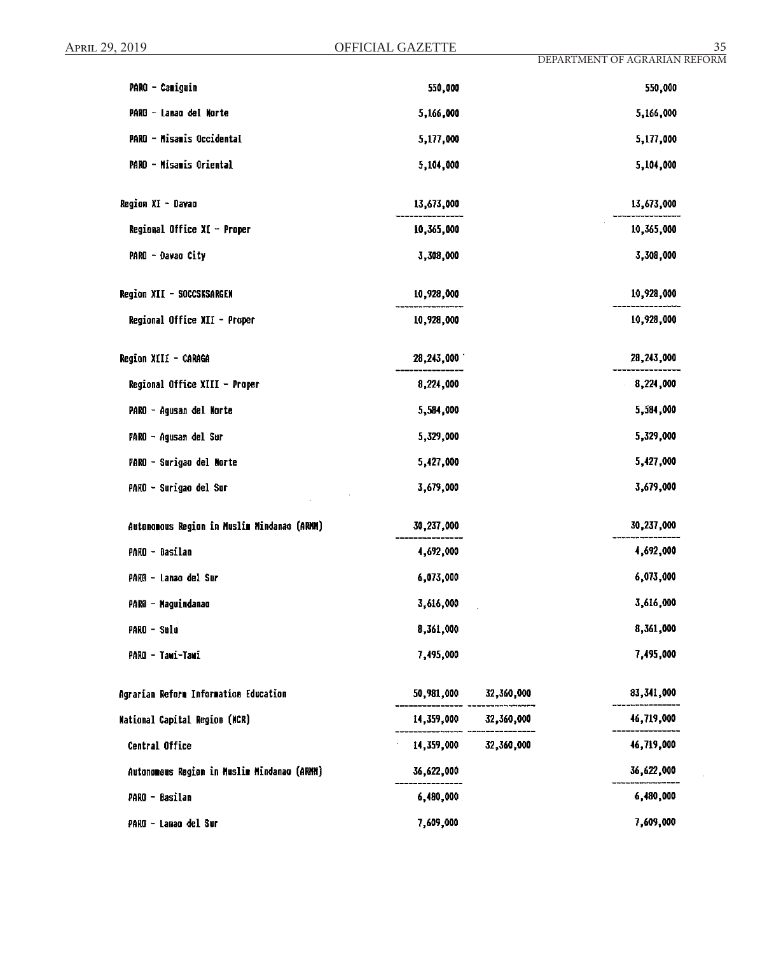$\epsilon$ 

| PARO - Camiguin                             | 550,000    |            | 550,000    |
|---------------------------------------------|------------|------------|------------|
| PARO - Lanao del Norte                      | 5,166,000  |            | 5,166,000  |
| PARO - Misamis Occidental                   | 5,177,000  |            | 5,177,000  |
| PARO - Misamis Oriental                     | 5,104,000  |            | 5,104,000  |
| Region XI - Davao                           | 13,673,000 |            | 13,673,000 |
| Regional Office XI - Proper                 | 10,365,000 |            | 10,365,000 |
| PARO - Davao City                           | 3,308,000  |            | 3,308,000  |
| Region XII - SOCCSKSARGEN                   | 10,928,000 |            | 10,928,000 |
| Regional Office XII - Proper                | 10,928,000 |            | 10,928,000 |
| Region XIII - CARAGA                        | 28,243,000 |            | 28,243,000 |
| Regional Office XIII - Proper               | 8,224,000  |            | 8,224,000  |
| PARO - Agusan del Norte                     | 5,584,000  |            | 5,584,000  |
| PARO - Agusan del Sur                       | 5,329,000  |            | 5,329,000  |
| PARO - Surigao del Norte                    | 5,427,000  |            | 5,427,000  |
| PARO - Surigao del Sur                      | 3,679,000  |            | 3,679,000  |
| Autonomous Region in Muslim Mindanao (ARMM) | 30,237,000 |            | 30,237,000 |
| PARO - Basilan                              | 4,692,000  |            | 4,692,000  |
| PARO - Lanao del Sur                        | 6,073,000  |            | 6,073,000  |
| PARO - Maguindanao                          | 3,616,000  |            | 3,616,000  |
| PARO - Sulu                                 | 8,361,000  |            | 8,361,000  |
| PARO - Tawi-Tawi                            | 7,495,000  |            | 7,495,000  |
| Agrarian Reform Information Education       | 50,981,000 | 32,360,000 | 83,341,000 |
| <b>Mational Capital Region (NCR)</b>        | 14,359,000 | 32,360,000 | 46,719,000 |
| Central Office                              | 14,359,000 | 32,360,000 | 46,719,000 |
| Autonomous Region in Muslim Mindanao (ARMM) | 36,622,000 |            | 36,622,000 |
| PARO - Basilan                              | 6,480,000  |            | 6,480,000  |
| PARG - Lanao del Sur                        | 7,609,000  |            | 7,609,000  |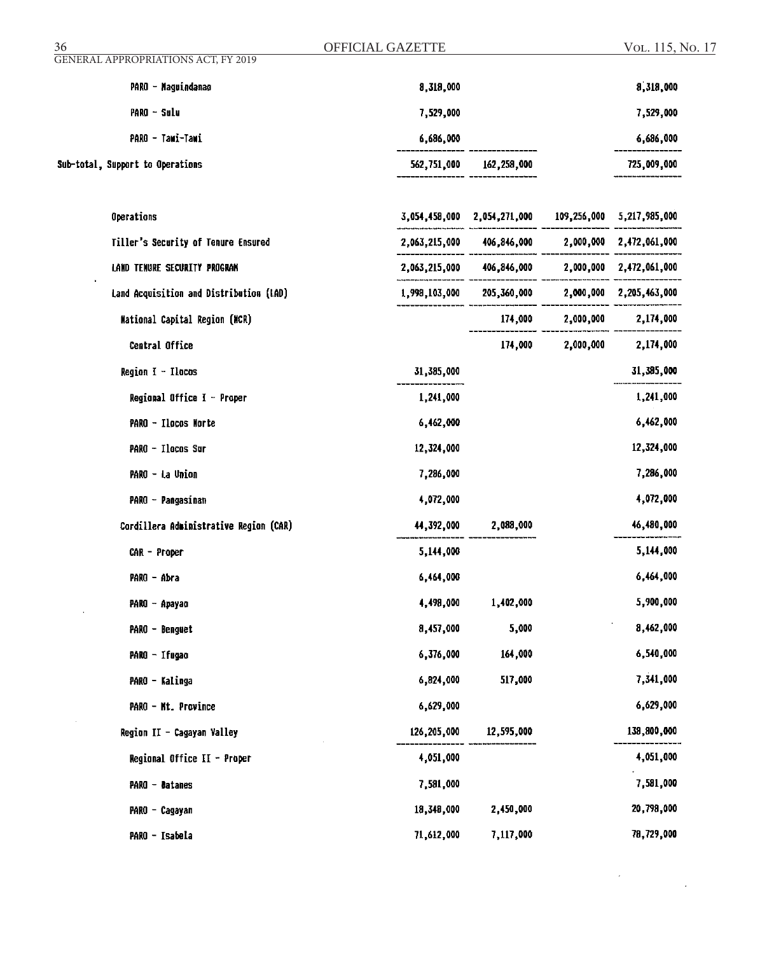| <b>GENERAL APPROPRIATIONS ACT, FY 2019</b><br>PARO - Maguindanao | 8,318,000                   |                           |             |                         |  |
|------------------------------------------------------------------|-----------------------------|---------------------------|-------------|-------------------------|--|
|                                                                  |                             |                           |             | 8,318,000               |  |
| PARO - Sulu                                                      | 7,529,000                   |                           |             | 7,529,000               |  |
| PARO - Tawi-Tawi                                                 | 6,686,000                   |                           |             | 6,686,000               |  |
| Sub-total, Support to Operations                                 | 562,751,000                 | 162,258,000               |             | 725,009,000             |  |
| Operations                                                       | 3,054,458,000 2,054,271,000 |                           | 109,256,000 | 5,217,985,000           |  |
| Tiller's Security of Tenure Ensured                              |                             | 2,063,215,000 406,846,000 | 2,000,000   | 2,472,061,000           |  |
| LAND TENURE SECURITY PROGRAM                                     |                             | 2,063,215,000 406,846,000 |             | 2,000,000 2,472,061,000 |  |
| Land Acquisition and Distribution (LAD)                          | 1,998,103,000               | 205,360,000               | 2,000,000   | 2,205,463,000           |  |
| <b>Mational Capital Region (NCR)</b>                             |                             | 174,000                   | 2,000,000   | 2,174,000               |  |
| Central Office                                                   |                             | 174,000                   | 2,000,000   | 2,174,000               |  |
| Region $I - Ilocos$                                              | 31,385,000                  |                           |             | 31,385,000              |  |
| Regional Office I - Proper                                       | 1,241,000                   |                           |             | 1,241,000               |  |
| PARO - Ilocos Morte                                              | 6,462,000                   |                           |             | 6,462,000               |  |
| PARO - Ilocos Sur                                                | 12,324,000                  |                           |             | 12,324,000              |  |
| PARO - La Union                                                  | 7,286,000                   |                           |             | 7,286,000               |  |
| PARO - Pangasinan                                                | 4,072,000                   |                           |             | 4,072,000               |  |
| Cordillera Administrative Region (CAR)                           | 44,392,000                  | 2,088,000                 |             | 46,480,000              |  |
| CAR - Proper                                                     | 5,144,000                   |                           |             | 5,144,000               |  |
| PARO - Abra                                                      | 6,464,000                   |                           |             | 6,464,000               |  |
| PARO - Apayao                                                    | 4,498,000                   | 1,402,000                 |             | 5,900,000               |  |
| PARO - Benguet                                                   | 8,457,000                   | 5,000                     |             | 8,462,000               |  |
| PARO - Ifugao                                                    | 6,376,000                   | 164,000                   |             | 6,540,000               |  |
| PARO - Kalinga                                                   | 6,824,000                   | 517,000                   |             | 7,341,000               |  |
| PARO - Mt. Province                                              | 6,629,000                   |                           |             | 6,629,000               |  |
| Region II - Cagayan Valley                                       | 126,205,000                 | 12,595,000                |             | 138,800,000             |  |
| Regional Office II - Proper                                      | 4,051,000                   |                           |             | 4,051,000               |  |
| PARO - Datanes                                                   | 7,581,000                   |                           |             | 7,581,000               |  |
| PARO - Cagayan                                                   | 18,348,000                  | 2,450,000                 |             | 20,798,000              |  |
| PARO - Isabela                                                   | 71,612,000                  | 7,117,000                 |             | 78,729,000              |  |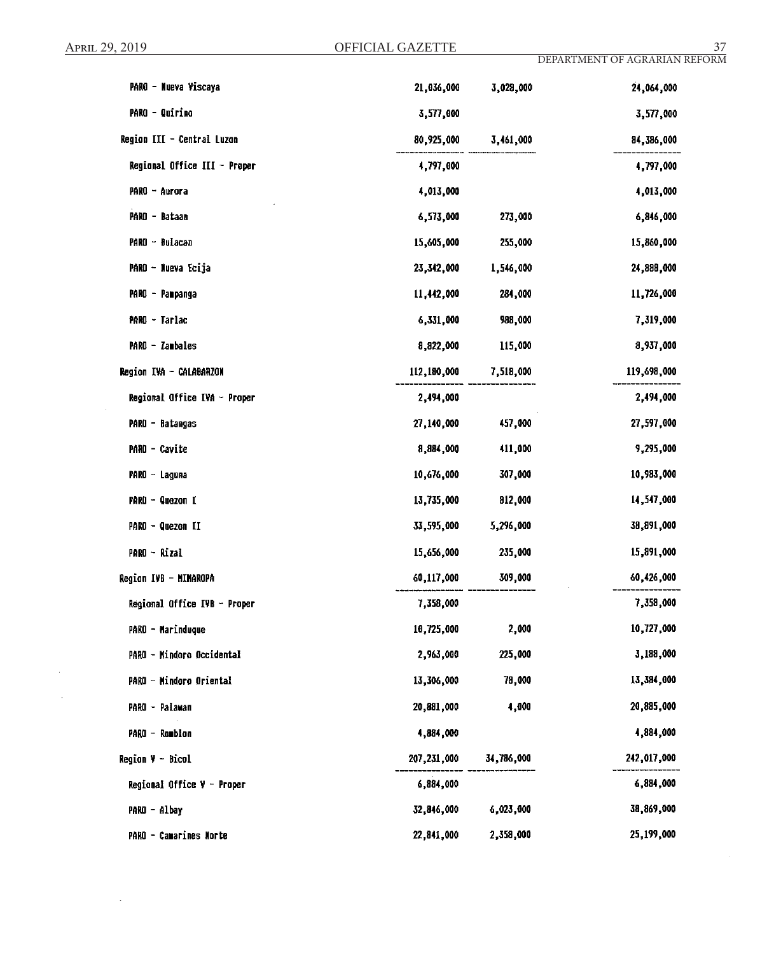$\sim$ 

 $\sim$ 

 $\sim$ 

 $\bar{z}$ 

| PARO - Nueva Viscaya         | 21,036,000  | 3,028,000  | 24,064,000  |
|------------------------------|-------------|------------|-------------|
| PARO - Quirino               | 3,577,000   |            | 3,577,000   |
| Region III - Central Luzon   | 80,925,000  | 3,461,000  | 84,386,000  |
| Regional Office III - Proper | 4,797,000   |            | 4,797,000   |
| $PARO - Aurora$              | 4,013,000   |            | 4,013,000   |
| PARO - Bataan                | 6,573,000   | 273,000    | 6,846,000   |
| PARO - Bulacan               | 15,605,000  | 255,000    | 15,860,000  |
| PARO - Nueva Ecija           | 23,342,000  | 1,546,000  | 24,888,000  |
| PARO - Pampanga              | 11,442,000  | 284,000    | 11,726,000  |
| PARO - Tarlac                | 6,331,000   | 988,000    | 7,319,000   |
| PARO - Zambales              | 8,822,000   | 115,000    | 8,937,000   |
| Region IVA - CALABARZON      | 112,180,000 | 7,518,000  | 119,698,000 |
| Regional Office IVA - Proper | 2,494,000   |            | 2,494,000   |
| PARO - Batangas              | 27,140,000  | 457,000    | 27,597,000  |
| PARO - Cavite                | 8,884,000   | 411,000    | 9,295,000   |
| $PARO - Laguna$              | 10,676,000  | 307,000    | 10,983,000  |
| PARO - Quezon I              | 13,735,000  | 812,000    | 14,547,000  |
| PARO - Quezon II             | 33,595,000  | 5,296,000  | 38,891,000  |
| PARO - Rizal                 | 15,656,000  | 235,000    | 15,891,000  |
| Region IVB - MIMAROPA        | 60,117,000  | 309,000    | 60,426,000  |
| Regional Office IVB - Proper | 7,358,000   |            | 7,358,000   |
| PARO - Marinduque            | 10,725,000  | 2,000      | 10,727,000  |
| PARO - Mindoro Occidental    | 2,963,000   | 225,000    | 3,188,000   |
| PARO - Mindoro Oriental      | 13,306,000  | 78,000     | 13,384,000  |
| PARO - Palawan               | 20,881,000  | 4,000      | 20,885,000  |
| PARO - Romblon               | 4,884,000   |            | 4,884,000   |
| <b>Region V - Bicol</b>      | 207,231,000 | 34,786,000 | 242,017,000 |
| Regional Office V - Proper   | 6,884,000   |            | 6,884,000   |
| PARO - Albay                 | 32,846,000  | 6,023,000  | 38,869,000  |
| PARO - Camarines Morte       | 22,841,000  | 2,358,000  | 25,199,000  |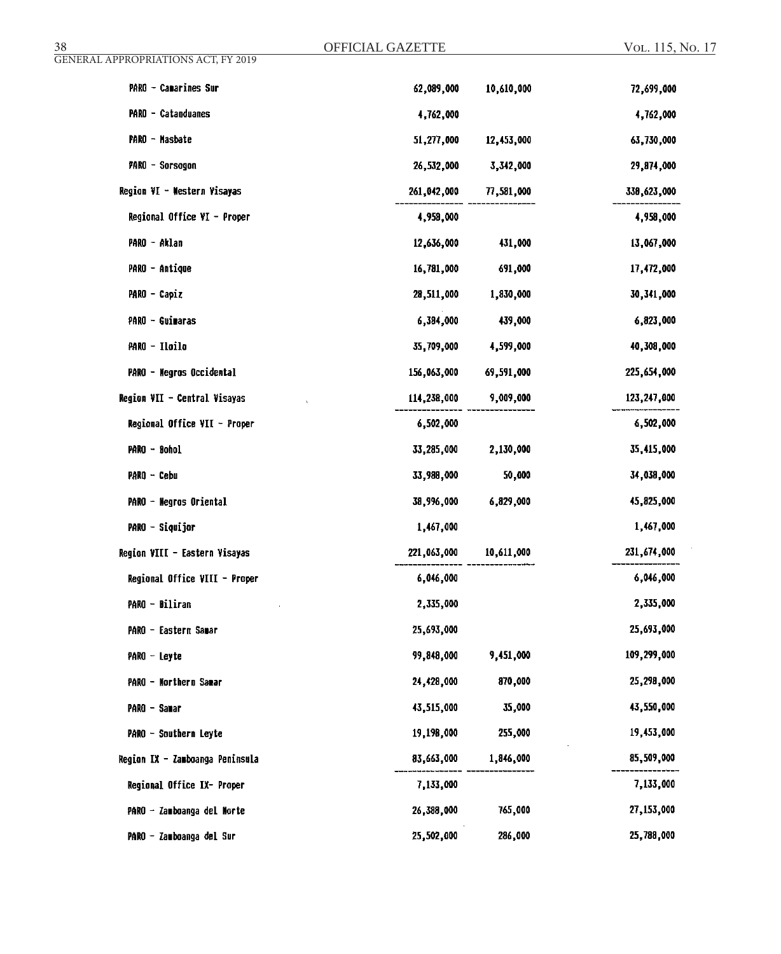| GENERAL APPROPRIATIONS ACT, FY 2019 |             |            |              |
|-------------------------------------|-------------|------------|--------------|
| PARO - Camarines Sur                | 62,089,000  | 10,610,000 | 72,699,000   |
| <b>PARO - Catanduanes</b>           | 4,762,000   |            | 4,762,000    |
| PARO - Masbate                      | 51,277,000  | 12,453,000 | 63,730,000   |
| <b>PARO - Sorsogon</b>              | 26,532,000  | 3,342,000  | 29,874,000   |
| Region VI - Western Visayas         | 261,042,000 | 77,581,000 | 339,623,000  |
| Regional Office VI - Proper         | 4,958,000   |            | 4,958,000    |
| PARO - Aklan                        | 12,636,000  | 431,000    | 13,067,000   |
| <b>PARO - Antique</b>               | 16,781,000  | 691,000    | 17,472,000   |
| PARO - Capiz                        | 28,511,000  | 1,830,000  | 30, 341, 000 |
| PARO - Guimaras                     | 6,384,000   | 439,000    | 6,823,000    |
| PARO - Iloilo                       | 35,709,000  | 4,599,000  | 40,308,000   |
| PARO - Negros Occidental            | 156,063,000 | 69,591,000 | 225,654,000  |
| Region VII - Central Visayas        | 114,238,000 | 9,009,000  | 123,247,000  |
| Regional Office VII - Proper        | 6,502,000   |            | 6,502,000    |
| PARO - Bohol                        | 33,285,000  | 2,130,000  | 35,415,000   |
| $PARO - Cebu$                       | 33,988,000  | 50,000     | 34,038,000   |
| PARO - Negros Oriental              | 38,996,000  | 6,829,000  | 45,825,000   |
| PARO - Siquijor                     | 1,467,000   |            | 1,467,000    |
| Region VIII - Eastern Visayas       | 221,063,000 | 10,611,000 | 231,674,000  |
| Regional Office VIII - Proper       | 6,046,000   |            | 6,046,000    |
| PARO - Biliran                      | 2,335,000   |            | 2,335,000    |
| PARO - Eastern Samar                | 25,693,000  |            | 25,693,000   |
| $PARO - Leyte$                      | 99,848,000  | 9,451,000  | 109,299,000  |
| PARO - Northern Samar               | 24,428,000  | 870,000    | 25,298,000   |
| PARO - Sanar                        | 43,515,000  | 35,000     | 43,550,000   |
| PARO - Southern Leyte               | 19,198,000  | 255,000    | 19,453,000   |
| Region IX - Zamboanga Peninsula     | 83,663,000  | 1,846,000  | 85,509,000   |
| Regional Office IX- Proper          | 7,133,000   |            | 7,133,000    |
| PARO - Zamboanga del Morte          | 26,388,000  | 765,000    | 27,153,000   |
| PARO - Zauboanga del Sur            | 25,502,000  | 286,000    | 25,788,000   |

OFFICIAL GAZETTE

38 OFFICIAL GAZETTE Vol. 115, No. 17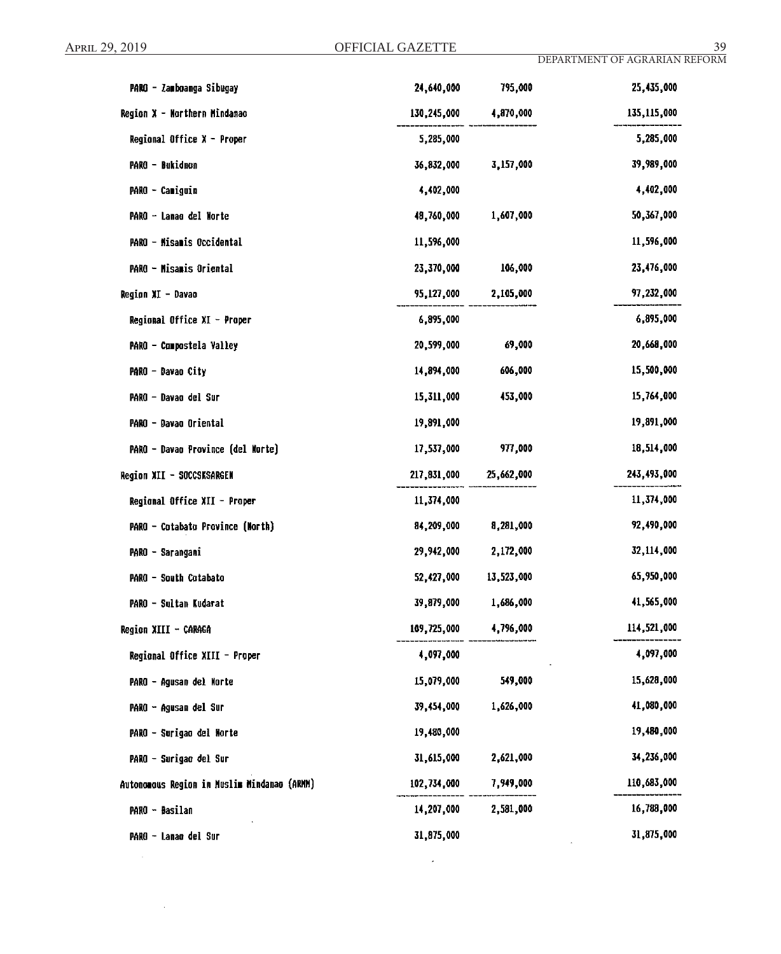$\sim 10^{-1}$ 

| PARO - Zamboanga Sibugay                    | 24,640,000  | 795,000    | 25,435,000  |
|---------------------------------------------|-------------|------------|-------------|
| Region X - Northern Mindanao                | 130,245,000 | 4,870,000  | 135,115,000 |
| Regional Office $X -$ Proper                | 5,285,000   |            | 5,285,000   |
| PARO - Bukidnon                             | 36,832,000  | 3,157,000  | 39,989,000  |
| PARO - Camiguin                             | 4,402,000   |            | 4,402,000   |
| PARO - Lanao del Norte                      | 48,760,000  | 1,607,000  | 50,367,000  |
| PARO - Misamis Occidental                   | 11,596,000  |            | 11,596,000  |
| PARO - Misamis Oriental                     | 23,370,000  | 106,000    | 23,476,000  |
| Region XI - Davao                           | 95,127,000  | 2,105,000  | 97,232,000  |
| Regional Office XI - Proper                 | 6,895,000   |            | 6,895,000   |
| PARO - Compostela Valley                    | 20,599,000  | 69,000     | 20,668,000  |
| PARO - Davao City                           | 14,894,000  | 606,000    | 15,500,000  |
| PARO - Davao del Sur                        | 15,311,000  | 453,000    | 15,764,000  |
| PARO - Davao Oriental                       | 19,891,000  |            | 19,891,000  |
| PARO - Davao Province (del Norte)           | 17,537,000  | 977,000    | 18,514,000  |
| Region XII - SOCCSKSARGEN                   | 217,831,000 | 25,662,000 | 243,493,000 |
| Regional Office XII - Proper                | 11,374,000  |            | 11,374,000  |
| PARO - Cotabato Province (North)            | 84,209,000  | 8,281,000  | 92,490,000  |
| PARO - Sarangani                            | 29,942,000  | 2,172,000  | 32,114,000  |
| PARO - South Cotabato                       | 52,427,000  | 13,523,000 | 65,950,000  |
| PARO - Sultan Kudarat                       | 39,879,000  | 1,686,000  | 41,565,000  |
| Region XIII - CARAGA                        | 109,725,000 | 4,796,000  | 114,521,000 |
| Regional Office XIII - Proper               | 4,097,000   |            | 4,097,000   |
| PARO - Agusan del Norte                     | 15,079,000  | 549,000    | 15,628,000  |
| PARO - Agusan del Sur                       | 39,454,000  | 1,626,000  | 41,080,000  |
| PARO - Surigao del Norte                    | 19,480,000  |            | 19,480,000  |
| PARO - Surigao del Sur                      | 31,615,000  | 2,621,000  | 34,236,000  |
| Autonomous Region in Muslim Mindanao (ARMM) | 102,734,000 | 7,949,000  | 110,683,000 |
| PARO - <del>D</del> asilan                  | 14,207,000  | 2,581,000  | 16,788,000  |
| PARO - Lanao del Sur                        | 31,875,000  |            | 31,875,000  |

 $\sim 10^{-1}$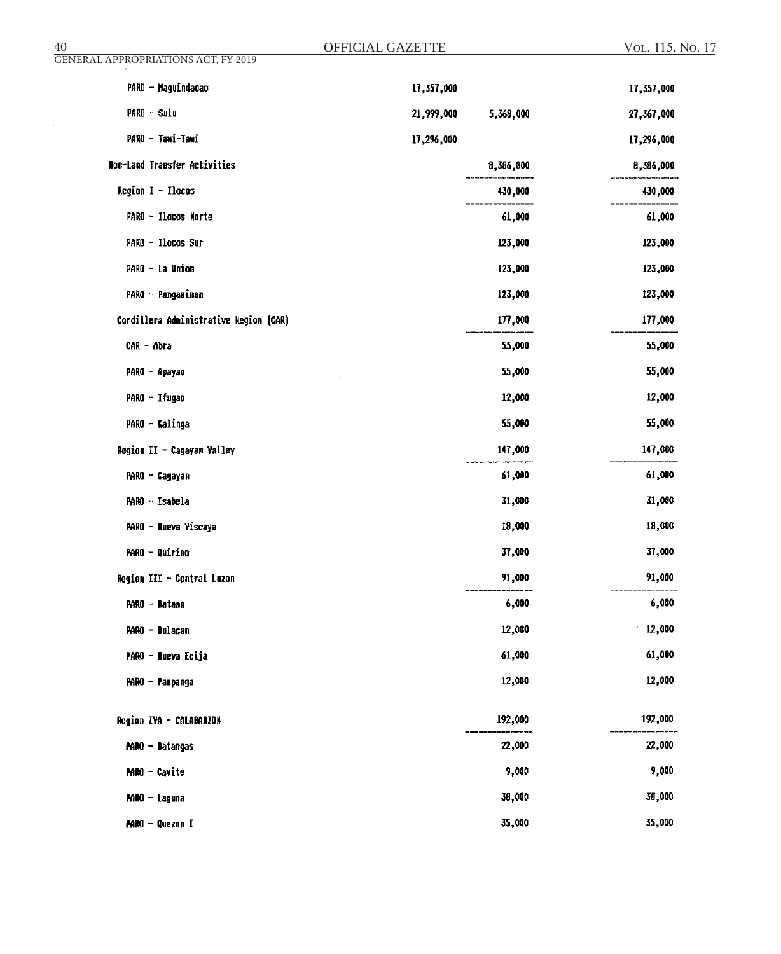| 40                                         | OFFICIAL GAZETTE |           | VOL. 115, No. 17 |
|--------------------------------------------|------------------|-----------|------------------|
| <b>GENERAL APPROPRIATIONS ACT, FY 2019</b> |                  |           |                  |
| PARO - Maguindanao                         | 17,357,000       |           | 17,357,000       |
| PARO - Sulu                                | 21,999,000       | 5,368,000 | 27,367,000       |
| PARO - Tawi-Tawi                           | 17,296,000       |           | 17,296,000       |
| Non-Land Transfer Activities               |                  | 8,386,000 | 8,386,000        |
| Region I - Ilocos                          |                  | 430,000   | 430,000          |
| PARO - Ilocos Norte                        |                  | 61,000    | 61,000           |
| PARO - Ilocos Sur                          |                  | 123,000   | 123,000          |
| PARO - La Union                            |                  | 123,000   | 123,000          |
| PARO - Pangasinan                          |                  | 123,000   | 123,000          |
| Cordillera Administrative Region (CAR)     |                  | 177,000   | 177,000          |
| CAR - Abra                                 |                  | 55,000    | 55,000           |
| PARO - Apayao                              |                  | 55,000    | 55,000           |
| PARO - Ifugao                              |                  | 12,000    | 12,000           |
| PARO - Kalinga                             |                  | 55,000    | 55,000           |
| Region II - Cagayan Valley                 |                  | 147,000   | 147,000          |
| PARO - Cagayan                             |                  | 61,000    | 61,000           |
| PARO - Isabela                             |                  | 31,000    | 31,000           |
| PARO - Nueva Viscaya                       |                  | 18,000    | 18,000           |
| <b>PARO - Quirino</b>                      |                  | 37,000    | 37,000           |
| Region III - Central Luzon                 |                  | 91,000    | 91,000           |
| PARO - Bataan                              |                  | 6,000     | 6,000            |
| PARO - Bulacan                             |                  | 12,000    | 12,000           |
| PARO - Nueva Ecija                         |                  | 61,000    | 61,000           |
| PARO - Pampanga                            |                  | 12,000    | 12,000           |
| Region IVA - CALABARZON                    |                  | 192,000   | 192,000          |
| PARO - Batangas                            |                  | 22,000    | 22,000           |
| PARO - Cavite                              |                  | 9,000     | 9,000            |
| PARO - Laguna                              |                  | 38,000    | 38,000           |
| PARO - Quezon I                            |                  | 35,000    | 35,000           |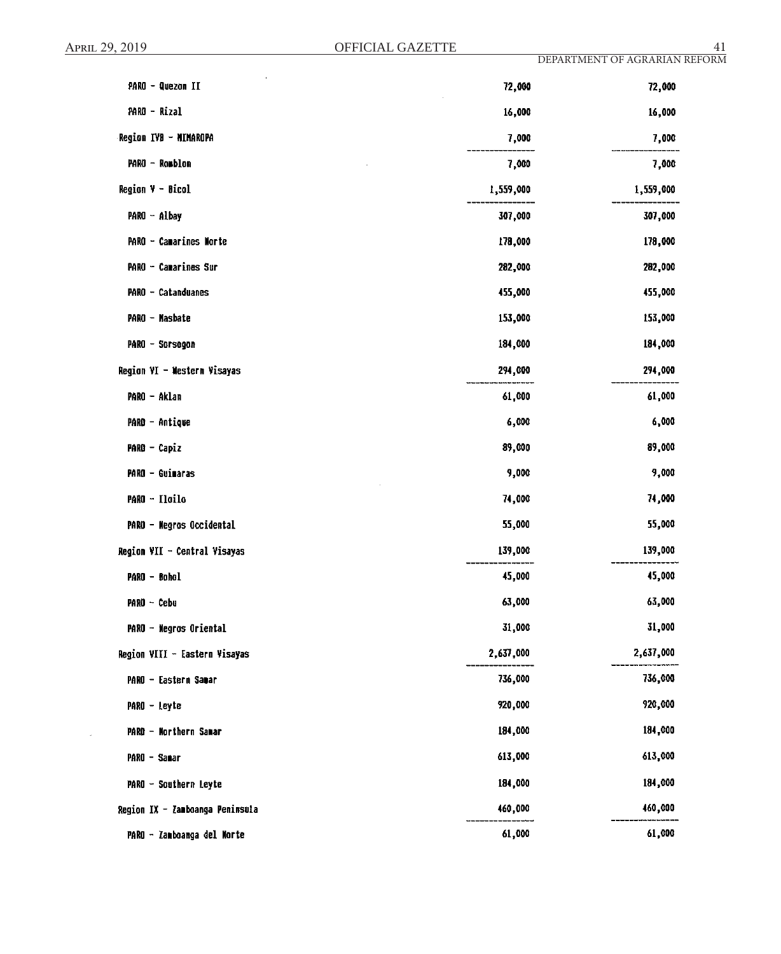$\ddot{\phantom{0}}$ 

| PARO - Quezon II                    | 72,000    | 72,000    |
|-------------------------------------|-----------|-----------|
| PARO - Rizal                        | 16,000    | 16,000    |
| Region IVB - MIMAROPA               | 7,000     | 7,000     |
| PARO - Romblon                      | 7,000     | 7,000     |
| <b>Region V - Bicol</b>             | 1,559,000 | 1,559,000 |
| PARO - Albay                        | 307,000   | 307,000   |
| PARO - Camarines Morte              | 178,000   | 178,000   |
| PARO - Camarines Sur                | 282,000   | 282,000   |
| PARO - Catanduanes                  | 455,000   | 455,000   |
| PARO - Masbate                      | 153,000   | 153,000   |
| PARO - Sorsegon                     | 184,000   | 184,000   |
| Region VI - Western Visayas         | 294,000   | 294,000   |
| PARO - Aklan                        | 61,000    | 61,000    |
| PARO - Antique                      | 6,000     | 6,000     |
| PARO - Capiz                        | 89,000    | 89,000    |
| PARO - Guimaras                     | 9,000     | 9,000     |
| PARO - Iloilo                       | 74,000    | 74,000    |
| PARO - Negros Occidental            | 55,000    | 55,000    |
| <b>Region VII - Central Visayas</b> | 139,000   | 139,000   |
| PARO - Bohol                        | 45,000    | 45,000    |
| PARO - Cebu                         | 63,000    | 63,000    |
| PARO - Negros Oriental              | 31,000    | 31,000    |
| Region VIII - Eastern Visayas       | 2,637,000 | 2,637,000 |
| PARO - Eastern Samar                | 736,000   | 736,000   |
| PARO - Leyte                        | 920,000   | 920,000   |
| PARO - Northern Samar               | 184,000   | 184,000   |
| PARO - Sanar                        | 613,000   | 613,000   |
| PARO - Southern Leyte               | 184,000   | 184,000   |
| Region IX - Zamboanga Peninsula     | 460,000   | 460,000   |
| PARO - Zamboanga del Norte          | 61,000    | 61,000    |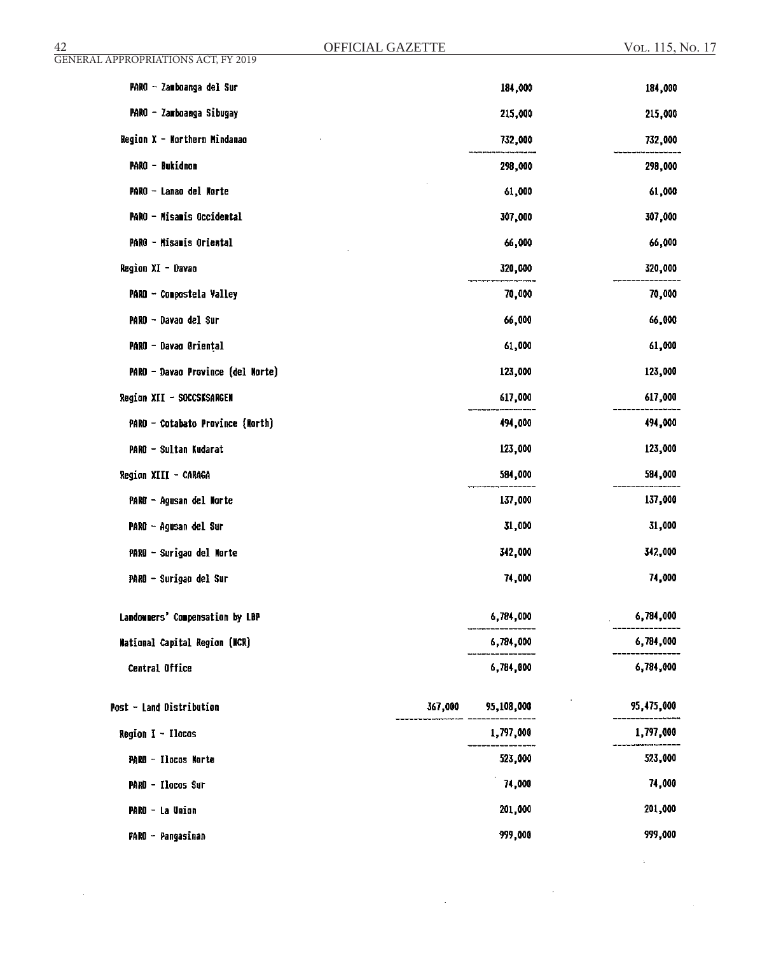| $\frac{42}{\mbox{GENERAL}$ APPROPRIATIONS ACT, FY 2019 | OFFICIAL GAZETTE |            | VOL. 115, No. 17 |
|--------------------------------------------------------|------------------|------------|------------------|
|                                                        |                  |            |                  |
| PARO - Zamboanga del Sur                               |                  | 184,000    | 184,000          |
| PARO - Zamboanga Sibugay                               |                  | 215,000    | 215,000          |
| Region X - Northern Mindanao                           |                  | 732,000    | 732,000          |
| PARO - Bukidnon                                        |                  | 298,000    | 298,000          |
| PARO - Lanao del Norte                                 |                  | 61,000     | 61,000           |
| PARO - Misamis Occidental                              |                  | 307,000    | 307,000          |
| PARO - Misamis Oriental                                |                  | 66,000     | 66,000           |
| Region XI - Davao                                      |                  | 320,000    | 320,000          |
| PARO - Compostela Valley                               |                  | 70,000     | 70,000           |
| PARO - Davao del Sur                                   |                  | 66,000     | 66,000           |
| PARO - Davao Oriental                                  |                  | 61,000     | 61,000           |
| PARO - Davao Province (del Morte)                      |                  | 123,000    | 123,000          |
| Region XII - SOCCSKSARGEN                              |                  | 617,000    | 617,000          |
| PARO - Cotabato Province (North)                       |                  | 494,000    | 494,000          |
| PARO - Sultan Kudarat                                  |                  | 123,000    | 123,000          |
| Region XIII - CARAGA                                   |                  | 584,000    | 584,000          |
| PARO - Agusan del Norte                                |                  | 137,000    | 137,000          |
| PARO – Agusan del Sur                                  |                  | 31,000     | 31,000           |
| PARO - Surigao del Morte                               |                  | 342,000    | 342,000          |
| PARO - Surigao del Sur                                 |                  | 74,000     | 74,000           |
| Landowners' Compensation by LBP                        |                  | 6,784,000  | 6,784,000        |
| <b>Mational Capital Region (NCR)</b>                   |                  | 6,784,000  | 6,784,000        |
| Central Office                                         |                  | 6,784,000  | 6,784,000        |
| Post - Land Distribution                               | 367,000          | 95,108,000 | 95,475,000       |
| Region I - Ilocas                                      |                  | 1,797,000  | 1,797,000        |
| PARO - Ilocos Norte                                    |                  | 523,000    | 523,000          |
| PARO - Ilocos Sur                                      |                  | 74,000     | 74,000           |
| PARO - La Union                                        |                  | 201,000    | 201,000          |
| PARO - Pangasinan                                      |                  | 999,000    | 999,000          |

 $\sim$ 

 $\mathcal{L}_{\text{max}}$  and  $\mathcal{L}_{\text{max}}$ 

 $\label{eq:2.1} \frac{1}{\sqrt{2\pi}}\int_{0}^{\infty}\frac{1}{\sqrt{2\pi}}\left(\frac{1}{\sqrt{2\pi}}\right)^{2}d\mu\,d\mu\,.$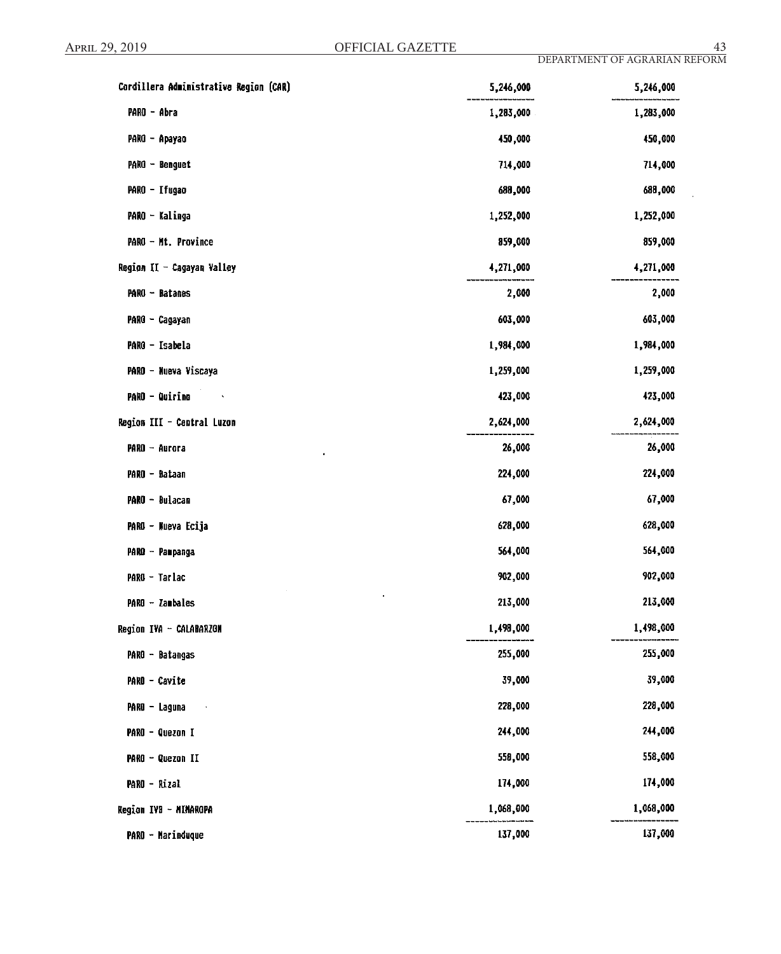J.

| Cordillera Administrative Region (CAR)   | 5,246,000 | 5,246,000 |
|------------------------------------------|-----------|-----------|
| PARO - Abra                              | 1,283,000 | 1,283,000 |
| PARO - Apayao                            | 450,000   | 450,000   |
| PARO - Benguet                           | 714,000   | 714,000   |
| PARO - Ifugao                            | 688,000   | 688,000   |
| PARO - Kalinga                           | 1,252,000 | 1,252,000 |
| PARO - Mt. Province                      | 859,000   | 859,000   |
| Region II - Cagayan Valley               | 4,271,000 | 4,271,000 |
| PARO - Batanes                           | 2,000     | 2,000     |
| PARO - Cagayan                           | 603,000   | 603,000   |
| PARO - Isabela                           | 1,984,000 | 1,984,000 |
| PARO - Nueva Viscaya                     | 1,259,000 | 1,259,000 |
| <b>PARO - Quirino</b><br><b>Contract</b> | 423,000   | 423,000   |
| Region III - Central Luzon               | 2,624,000 | 2,624,000 |
| PARO - Aurora                            | 26,000    | 26,000    |
| PARO - Bataan                            | 224,000   | 224,000   |
| PARO - Bulacan                           | 67,000    | 67,000    |
| PARO - Nueva Ecija                       | 628,000   | 628,000   |
| PARO - Pampanga                          | 564,000   | 564,000   |
| PARO - Tarlac                            | 902,000   | 902,000   |
| PARO - Zambales                          | 213,000   | 213,000   |
| Region IVA - CALABARZON                  | 1,498,000 | 1,498,000 |
| PARO - Batangas                          | 255,000   | 255,000   |
| PARO - Cavite                            | 39,000    | 39,000    |
| PARO - Laguna                            | 228,000   | 228,000   |
| PARO - Quezon I                          | 244,000   | 244,000   |
| PARO - Quezon II                         | 558,000   | 558,000   |
| PARO - Rizal                             | 174,000   | 174,000   |
| Region IVB - MIMAROPA                    | 1,068,000 | 1,068,000 |
| <b>PARO - Marinduque</b>                 | 137,000   | 137,000   |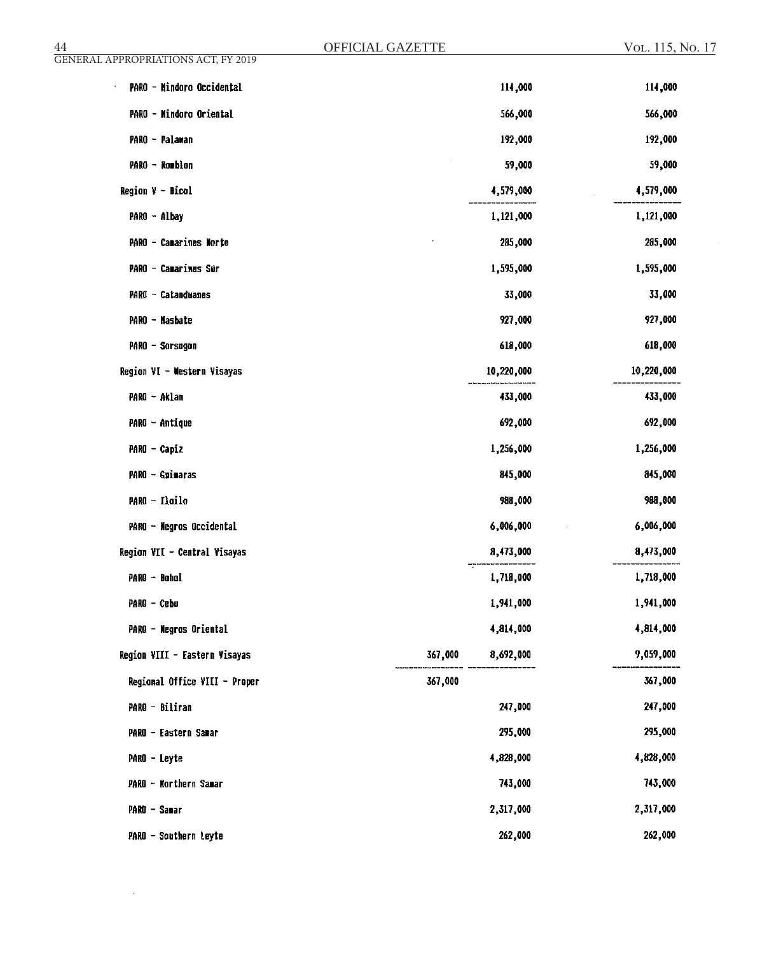| $\overline{44}$                            | OFFICIAL GAZETTE     | VOL. 115, No. 17 |
|--------------------------------------------|----------------------|------------------|
| <b>GENERAL APPROPRIATIONS ACT, FY 2019</b> |                      |                  |
| PARO - Mindoro Occidental                  | 114,000              | 114,000          |
| PARO - Mindoro Oriental                    | 566,000              | 566,000          |
| PARO - Palawan                             | 192,000              | 192,000          |
| PARO - Rombion                             | 59,000               | 59,000           |
| $Region V - Bical$                         | 4,579,000            | 4,579,000        |
| PARO - Albay                               | 1,121,000            | 1,121,000        |
| PARO - Camarines Norte                     | 285,000              | 285,000          |
| PARO - Camarines Sur                       | 1,595,000            | 1,595,000        |
| <b>PARO - Catanduanes</b>                  | 33,000               | 33,000           |
| PARO - Masbate                             | 927,000              | 927,000          |
| PARO - Sorsagon                            | 618,000              | 618,000          |
| Region VI - Western Visayas                | 10,220,000           | 10,220,000       |
| PARO - Aklan                               | 433,000              | 433,000          |
| PARO - Antique                             | 692,000              | 692,000          |
| PARO - Capiz                               | 1,256,000            | 1,256,000        |
| PARO - Guimaras                            | 845,000              | 845,000          |
| PARO - Iloilo                              | 988,000              | 988,000          |
| PARO - Negros Occidental                   | 6,006,000            | 6,006,000        |
| Region VII - Central Visayas               | 8,473,000            | 8,473,000        |
| PARO - Bohol                               | 1,718,000            | 1,718,000        |
| PARO - Cebu                                | 1,941,000            | 1,941,000        |
| PARO - Negros Oriental                     | 4,814,000            | 4,814,000        |
| Region VIII - Eastern Visayas              | 367,000<br>8,692,000 | 9,059,000        |
| Regional Office VIII - Proper              | 367,000              | 367,000          |
| PARO - Biliran                             | 247,000              | 247,000          |
| PARO - Eastern Samar                       | 295,000              | 295,000          |
| PARO - Leyte                               | 4,828,000            | 4,828,000        |
| PARO - Northern Samar                      | 743,000              | 743,000          |
| PARO - Samar                               | 2,317,000            | 2,317,000        |
| PARO - Southern Leyte                      | 262,000              | 262,000          |

 $\hat{\mathcal{A}}$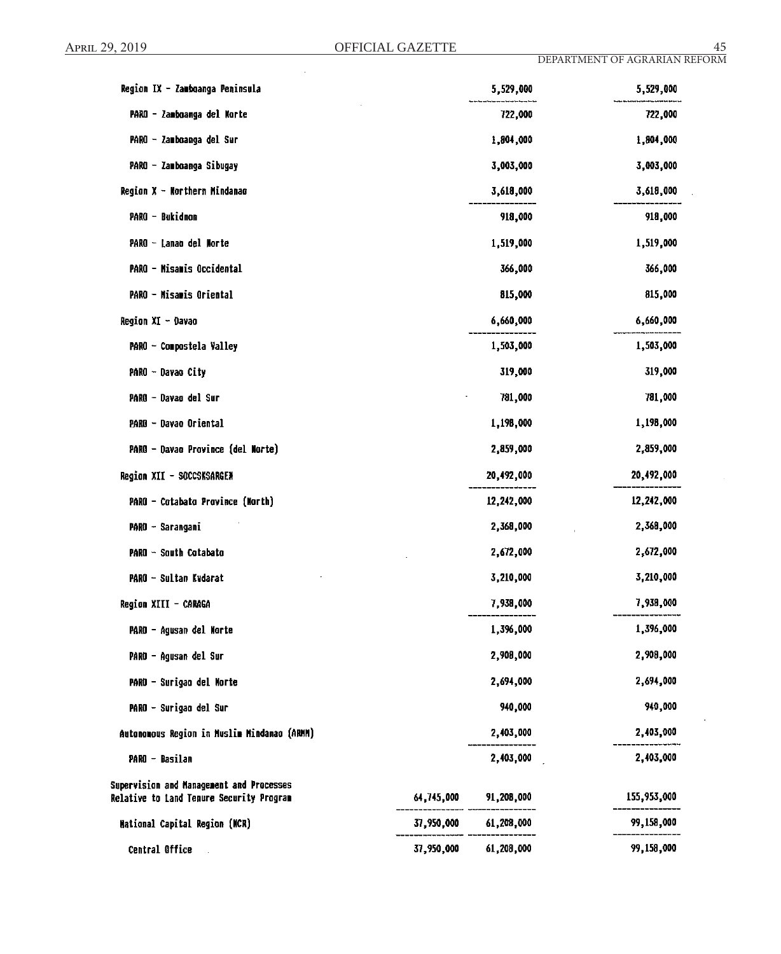| Region IX - Zamboanga Peninsula             |            | 5,529,000             | 5,529,000   |
|---------------------------------------------|------------|-----------------------|-------------|
| PARO - Zamboanga del Norte                  |            | 722,000               | 722,000     |
| PARO - Zamboanga del Sur                    |            | 1,804,000             | 1,804,000   |
| PARO - Zamboanga Sibugay                    |            | 3,003,000             | 3,003,000   |
| Region X - Northern Mindanao                |            | 3,618,000             | 3,618,000   |
| PARO - Bukidnon                             |            | 918,000               | 918,000     |
| PARO - Lanao del Morte                      |            | 1,519,000             | 1,519,000   |
| PARO - Misamis Occidental                   |            | 366,000               | 366,000     |
| PARO - Misamis Oriental                     |            | 815,000               | 815,000     |
| Region XI - Davao                           |            | 6,660,000             | 6,660,000   |
| PARO ~ Compostela Valley                    |            | 1,503,000             | 1,503,000   |
| PARO - Davao City                           |            | 319,000               | 319,000     |
| PARO - Davao del Sur                        |            | 781,000               | 781,000     |
| PARO - Davao Oriental                       |            | 1,198,000             | 1,198,000   |
| PARO - Davao Province (del Norte)           |            | 2,859,000             | 2,859,000   |
| Region XII - SOCCSKSARGEN                   |            | 20,492,000            | 20,492,000  |
| PARO - Cotabato Province (North)            |            | 12,242,000            | 12,242,000  |
| PARO - Sarangani                            |            | 2,368,000             | 2,368,000   |
| PARO - South Cotabato                       |            | 2,672,000             | 2,672,000   |
| PARO - Sultan Kudarat                       |            | 3,210,000             | 3,210,000   |
| Region XIII - CARAGA                        |            | 7,938,000             | 7,938,000   |
| PARO - Agusan del Norte                     |            | 1,396,000             | 1,396,000   |
| PARO - Agusan del Sur                       |            | 2,908,000             | 2,908,000   |
| PARO - Surigao del Morte                    |            | 2,694,000             | 2,694,000   |
| PARO - Surigao del Sur                      |            | 940,000               | 940,000     |
| Autonomous Region in Muslim Mindanao (ARMM) |            | 2,403,000             | 2,403,000   |
| PARO - Basilan                              |            | 2,403,000             | 2,403,000   |
| Supervision and Management and Processes    |            |                       |             |
| Relative to Land Tenure Security Program    |            | 64,745,000 91,208,000 | 155,953,000 |
| <b>Mational Capital Region (MCR)</b>        | 37,950,000 | 61,208,000            | 99,158,000  |
| Central Office                              | 37,950,000 | 61,208,000            | 99,158,000  |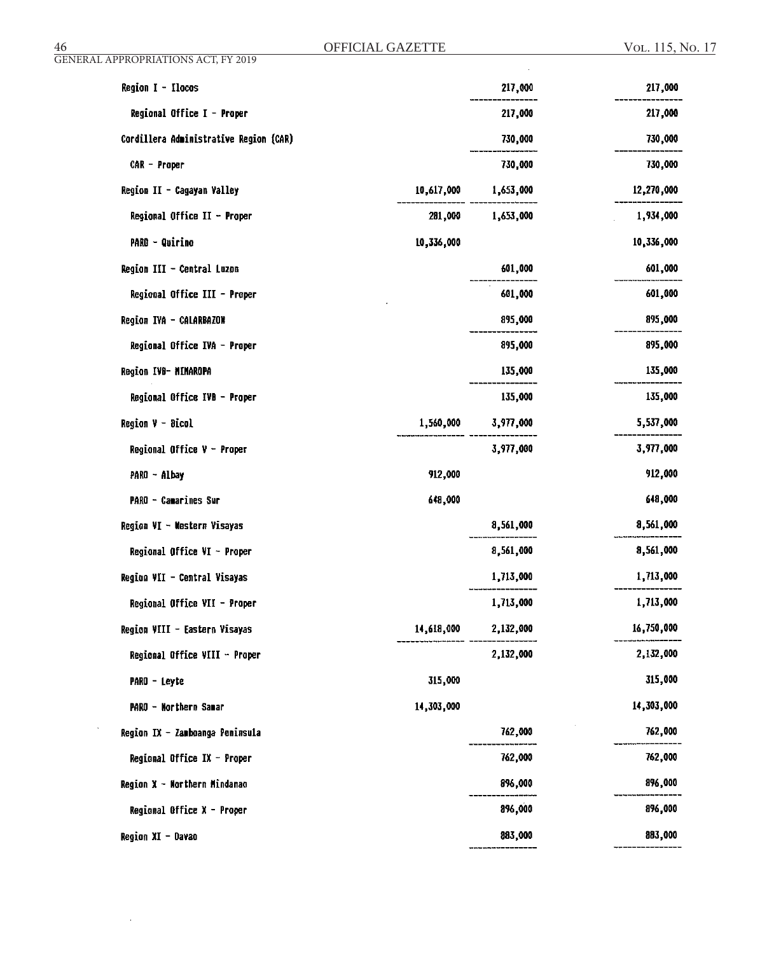$\sim$ 

 $\sim$   $\sim$ 

 $\mathcal{A}^{\mathcal{A}}$ 

| Region I - Ilocos                      |            | 217,000   | 217,000    |
|----------------------------------------|------------|-----------|------------|
| Regional Office I - Proper             |            | 217,000   | 217,000    |
| Cordillera Administrative Region (CAR) |            | 730,000   | 730,000    |
| CAR - Proper                           |            | 730,000   | 730,000    |
| Region II - Cagayan Valley             | 10,617,000 | 1,653,000 | 12,270,000 |
| Regional Office II - Proper            | 281,000    | 1,653,000 | 1,934,000  |
| <b>PARO - Quirino</b>                  | 10,336,000 |           | 10,336,000 |
| Region III - Central Luzon             |            | 601,000   | 601,000    |
| Regional Office III - Proper           |            | 601,000   | 601,000    |
| Region IVA - CALARBAZON                |            | 895,000   | 895,000    |
| Regional Office IVA - Proper           |            | 895,000   | 895,000    |
| Region IVB- MIMAROPA                   |            | 135,000   | 135,000    |
| Regional Office IVB - Proper           |            | 135,000   | 135,000    |
| <b>Region <math>V - Bicol</math></b>   | 1,560,000  | 3,977,000 | 5,537,000  |
| Regional Office $V -$ Proper           |            | 3,977,000 | 3,977,000  |
| PARO - Albay                           | 912,000    |           | 912,000    |
| <b>PARO - Camarines Sur</b>            | 648,000    |           | 648,000    |
| Region VI - Western Visayas            |            | 8,561,000 | 8,561,000  |
| Regional Office VI - Proper            |            | 8,561,000 | 8,561,000  |
| Region VII - Central Visayas           |            | 1,713,000 | 1,713,000  |
| Regional Office VII - Proper           |            | 1,713,000 | 1,713,000  |
| Region VIII - Eastern Visayas          | 14,618,000 | 2,132,000 | 16,750,000 |
| Regional Office VIII - Proper          |            | 2,132,000 | 2,132,000  |
| PARO - Leyte                           | 315,000    |           | 315,000    |
| PARO - Northern Samar                  | 14,303,000 |           | 14,303,000 |
| Region IX - Zamboanga Peninsula        |            | 762,000   | 762,000    |
| Regional Office IX - Proper            |            | 762,000   | 762,000    |
| Region X - Northern Mindanao           |            | 896,000   | 896,000    |
| Regional Office X - Proper             |            | 896,000   | 896,000    |
| Region XI - Davao                      |            | 883,000   | 883,000    |
|                                        |            |           |            |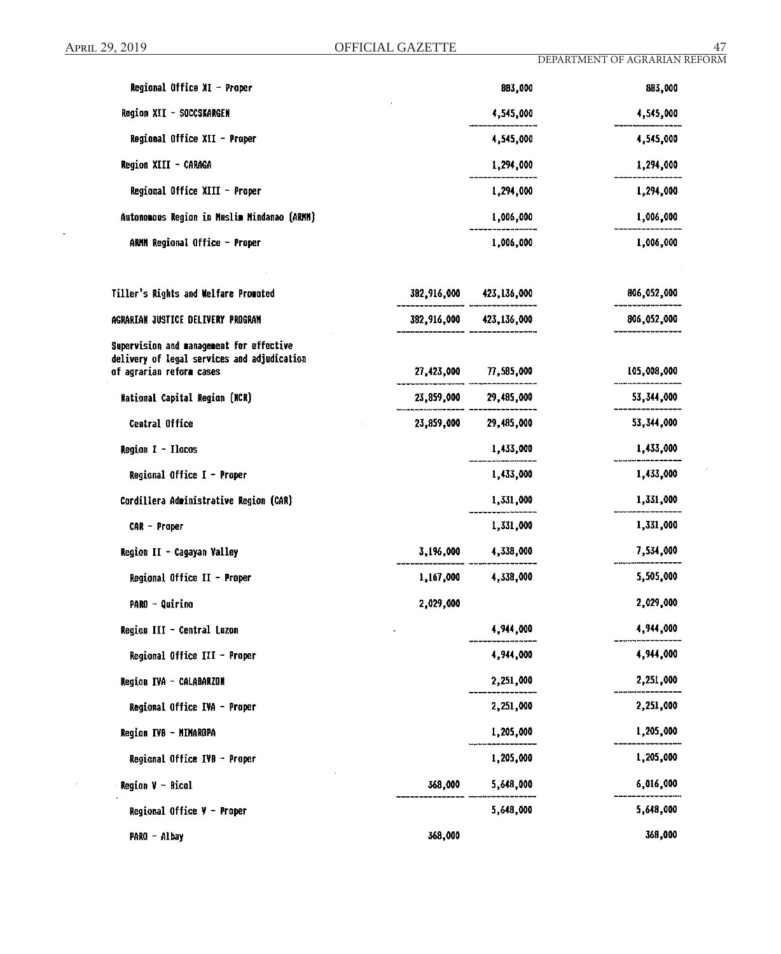l,

 $\sim$ 

 $\epsilon$ 

| Regional Office $XI -$ Proper                                           |           | 883,000                 | 883,000     |
|-------------------------------------------------------------------------|-----------|-------------------------|-------------|
| Region XII - SOCCSKARGEN                                                |           | 4,545,000               | 4,545,000   |
| Regional Office XII - Proper                                            |           | 4,545,000               | 4,545,000   |
| Region XIII - CARAGA                                                    |           | 1,294,000               | 1,294,000   |
| Regional Office XIII - Proper                                           |           | 1,294,000               | 1,294,000   |
| Autonomous Region in Muslim Mindanao (ARMM)                             |           | 1,006,000               | 1,006,000   |
| ARMM Regional Office - Proper                                           |           | 1,006,000               | 1,006,000   |
| Tiller's Rights and Welfare Promoted                                    |           | 382,916,000 423,136,000 | 806,052,000 |
| AGRARIAN JUSTICE DELIVERY PROGRAM                                       |           | 382,916,000 423,136,000 | 806,052,000 |
| Supervision and management for effective                                |           |                         |             |
| delivery of legal services and adjudication<br>of agrarian reform cases |           | 27,423,000 77,585,000   | 105,008,000 |
| <b>Mational Capital Region (NCR)</b>                                    |           | 23,859,000 29,485,000   | 53,344,000  |
| Central Office                                                          |           | 23,859,000 29,485,000   | 53,344,000  |
| Region $I - I$ locos                                                    |           | 1,433,000               | 1,433,000   |
| Regional Office $I -$ Proper                                            |           | 1,433,000               | 1,433,000   |
| Cordillera Administrative Region (CAR)                                  |           | 1,331,000               | 1,331,000   |
| CAR - Proper                                                            |           | 1,331,000               | 1,331,000   |
| Region II - Cagayan Valley                                              |           | 3,196,000 4,338,000     | 7,534,000   |
| Regional Office II - Proper                                             |           | 1,167,000 4,338,000     | 5,505,000   |
| <b>PARO - Quirino</b>                                                   | 2,029,000 |                         | 2,029,000   |
| Region III - Central Luzon                                              |           | 4,944,000               | 4,944,000   |
| Regional Office III - Proper                                            |           | 4,944,000               | 4,944,000   |
| Region IVA - CALABARZON                                                 |           | 2,251,000               | 2,251,000   |
| Regional Office IVA - Proper                                            |           | 2,251,000               | 2,251,000   |
| Region IVB - MINAROPA                                                   |           | 1,205,000               | 1,205,000   |
| Regional Office IVB - Proper                                            |           | 1,205,000               | 1,205,000   |
| <b>Region <math>V - Bical</math></b>                                    | 368,000   | 5,648,000               | 6,016,000   |
| Regional Office $V -$ Proper                                            |           | 5,648,000               | 5,648,000   |
| PARO - Albay                                                            | 368,000   |                         | 368,000     |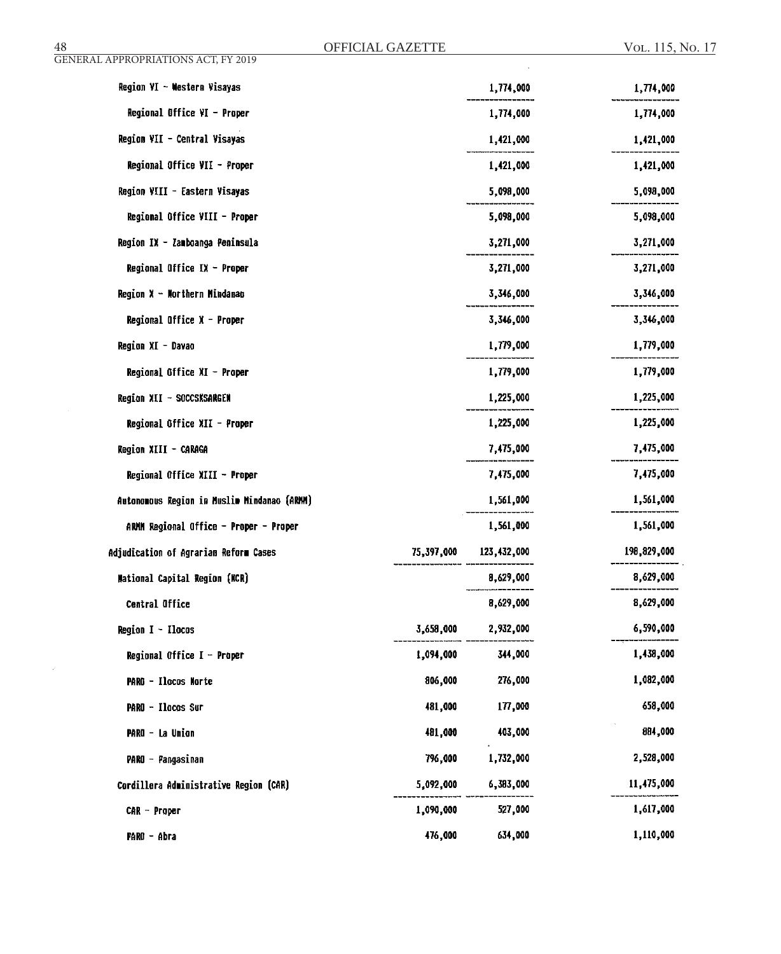$\bar{\mathcal{A}}$ 

| Region VI - Western Visayas                 |           | 1,774,000              | 1,774,000   |
|---------------------------------------------|-----------|------------------------|-------------|
| Regional Office VI - Proper                 |           | 1,774,000              | 1,774,000   |
| Region VII - Central Visayas                |           | 1,421,000              | 1,421,000   |
| Regional Office VII - Proper                |           | 1,421,000              | 1,421,000   |
| Region VIII - Eastern Visayas               |           | 5,098,000              | 5,098,000   |
| Regional Office VIII - Proper               |           | 5,098,000              | 5,098,000   |
| Region IX - Zamboanga Peninsula             |           | 3,271,000              | 3,271,000   |
| Regional Office IX - Proper                 |           | 3,271,000              | 3,271,000   |
| Region X - Northern Mindanao                |           | 3,346,000              | 3,346,000   |
| Regional Office $X -$ Proper                |           | 3,346,000              | 3,346,000   |
| Region XI - Davao                           |           | 1,779,000              | 1,779,000   |
| Regional Office XI - Proper                 |           | 1,779,000              | 1,779,000   |
| Region XII - SOCCSKSARGEN                   |           | 1,225,000              | 1,225,000   |
| Regional Office XII - Proper                |           | 1,225,000              | 1,225,000   |
| Region XIII - CARAGA                        |           | 7,475,000              | 7,475,000   |
| Regional Office XIII - Proper               |           | 7,475,000              | 7,475,000   |
| Autonomous Region in Muslim Mindanao (ARMM) |           | 1,561,000              | 1,561,000   |
| ARMM Regional Office - Proper - Proper      |           | 1,561,000              | 1,561,000   |
| Adjudication of Agrarian Reform Cases       |           | 75,397,000 123,432,000 | 198,829,000 |
| <b>Mational Capital Region (KCR)</b>        |           | 8,629,000              | 8,629,000   |
| Central Office                              |           | 8,629,000              | 8,629,000   |
| Region $I - I$ locos                        | 3,658,000 | 2,932,000              | 6,590,000   |
| Regional Office I - Proper                  | 1,094,000 | 344,000                | 1,438,000   |
| <b>PARO - Ilocos Morte</b>                  | 806,000   | 276,000                | 1,082,000   |
| PARO - Ilocos Sur                           | 481,000   | 177,000                | 658,000     |
| PARO - La Union                             | 481,000   | 403,000                | 884,000     |
| PARO - Pangasinan                           | 796,000   | 1,732,000              | 2,528,000   |
| Cordillera Administrative Region (CAR)      | 5,092,000 | 6,383,000              | 11,475,000  |
| $CAR - Paper$                               | 1,090,000 | 527,000                | 1,617,000   |
| PARO - Abra                                 | 476,000   | 634,000                | 1,110,000   |

 $\hat{\boldsymbol{\epsilon}}$ 

GENERAL APPROPRIATIONS ACT, FY 2019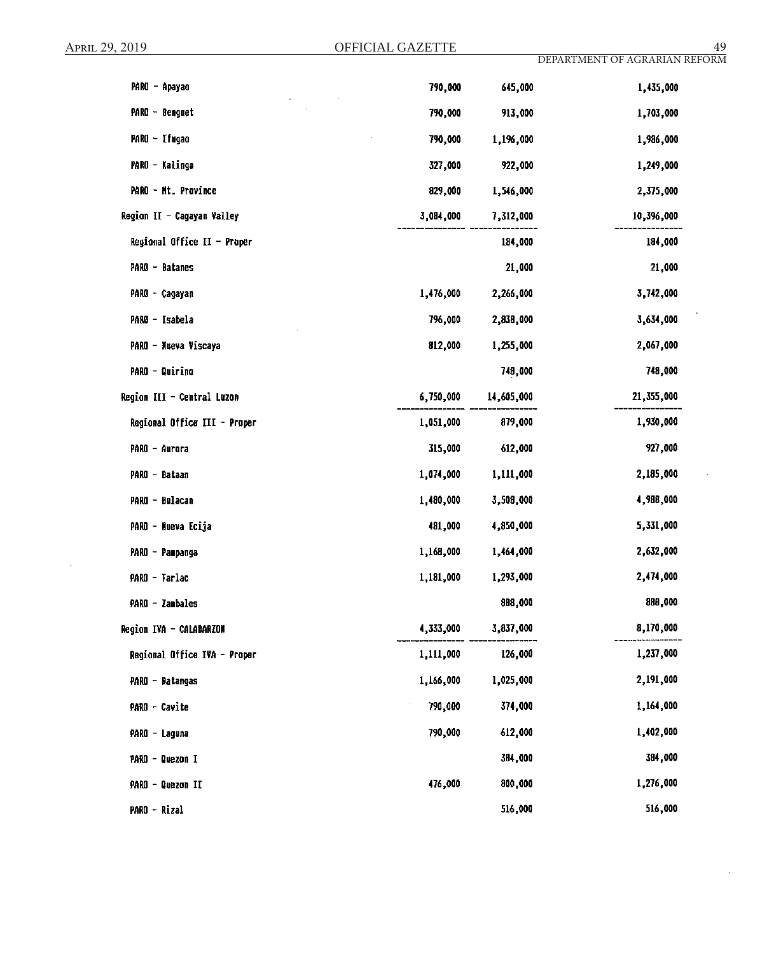| PARO - Apayao                | 790,000   | 645,000    | 1,435,000  |
|------------------------------|-----------|------------|------------|
| PARO - Benguet               | 790,000   | 913,000    | 1,703,000  |
| PARO - Ifugao                | 790,000   | 1,196,000  | 1,986,000  |
| PARO - Kalinga               | 327,000   | 922,000    | 1,249,000  |
| PARO - Mt. Province          | 829,000   | 1,546,000  | 2,375,000  |
| Region II - Cagayan Valley   | 3,084,000 | 7,312,000  | 10,396,000 |
| Regional Office II - Proper  |           | 184,000    | 184,000    |
| PARO - Batanes               |           | 21,000     | 21,000     |
| PARO - Cagayan               | 1,476,000 | 2,266,000  | 3,742,000  |
| PARO - Isabela               | 796,000   | 2,838,000  | 3,634,000  |
| PARO - Nueva Viscaya         | 812,000   | 1,255,000  | 2,067,000  |
| <b>PARO - Quirino</b>        |           | 748,000    | 748,000    |
| Region III - Central Luzon   | 6,750,000 | 14,605,000 | 21,355,000 |
| Regional Office III - Proper | 1,051,000 | 879,000    | 1,930,000  |
| PARO - Aurora                | 315,000   | 612,000    | 927,000    |
| PARO - Bataan                | 1,074,000 | 1,111,000  | 2,185,000  |
| PARO - Bulacan               | 1,480,000 | 3,508,000  | 4,988,000  |
| PARO - Nueva Ecija           | 481,000   | 4,850,000  | 5,331,000  |
| PARO - Pampanga              | 1,168,000 | 1,464,000  | 2,632,000  |
| PARO - Tarlac                | 1,181,000 | 1,293,000  | 2,474,000  |
| PARO - Zambales              |           | 888,000    | 888,000    |
| Region IVA - CALABARZON      | 4,333,000 | 3,837,000  | 8,170,000  |
| Regional Office IVA - Proper | 1,111,000 | 126,000    | 1,237,000  |
| PARO - Batangas              | 1,166,000 | 1,025,000  | 2,191,000  |
| PARO - Cavite                | 790,000   | 374,000    | 1,164,000  |
| PARO - Laguna                | 790,000   | 612,000    | 1,402,000  |
| PARO - Quezon I              |           | 384,000    | 384,000    |
| PARO - Quezon II             | 476,000   | 800,000    | 1,276,000  |
| PARO - Rizal                 |           | 516,000    | 516,000    |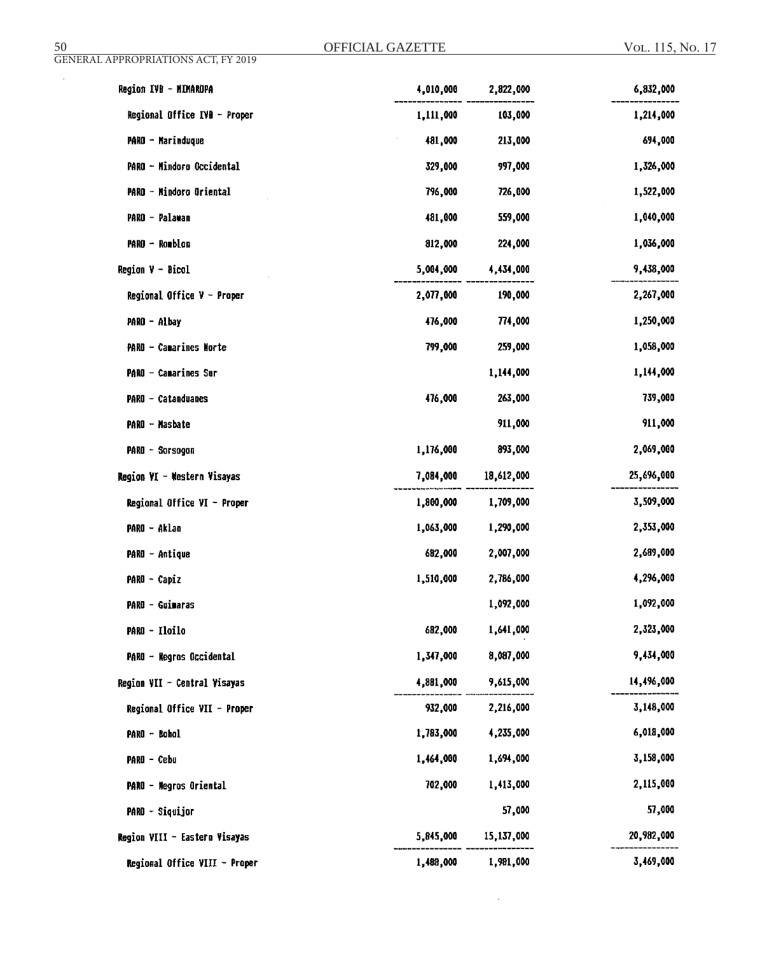$\mathcal{L}_{\mathcal{A}}$ 

| Region IVB - MIMAROPA         | 4,010,000 | 2,822,000  | 6,832,000  |
|-------------------------------|-----------|------------|------------|
| Regional Office IVB - Proper  | 1,111,000 | 103,000    | 1,214,000  |
| <b>PARO - Marinduque</b>      | 481,000   | 213,000    | 694,000    |
| PARO - Mindoro Occidental     | 329,000   | 997,000    | 1,326,000  |
| PARO - Mindoro Oriental       | 796,000   | 726,000    | 1,522,000  |
| PARO - Palawan                | 481,000   | 559,000    | 1,040,000  |
| PARO - Romblon                | 812,000   | 224,000    | 1,036,000  |
| $Region V - Bicol$            | 5,004,000 | 4,434,000  | 9,438,000  |
| Regional Office $V -$ Proper  | 2,077,000 | 190,000    | 2,267,000  |
| PARO - Albay                  | 476,000   | 774,000    | 1,250,000  |
| PARO - Camarines Morte        | 799,000   | 259,000    | 1,058,000  |
| PARO - Camarines Sur          |           | 1,144,000  | 1,144,000  |
| PARO - Catanduanes            | 476,000   | 263,000    | 739,000    |
| PARO - Masbate                |           | 911,000    | 911,000    |
| PARO - Sorsogon               | 1,176,000 | 893,000    | 2,069,000  |
| Region VI - Western Visayas   | 7,084,000 | 18,612,000 | 25,696,000 |
| Regional Office VI - Proper   | 1,800,000 | 1,709,000  | 3,509,000  |
| PARO - Aklao                  | 1,063,000 | 1,290,000  | 2,353,000  |
| PARO - Antique                | 682,000   | 2,007,000  | 2,689,000  |
| PARO - Capiz                  | 1,510,000 | 2,786,000  | 4,296,000  |
| PARO - Guimaras               |           | 1,092,000  | 1,092,000  |
| PARO - Iloilo                 | 682,000   | 1,641,000  | 2,323,000  |
| PARO - Negros Occidental      | 1,347,000 | 8,087,000  | 9,434,000  |
| Region VII - Central Visayas  | 4,881,000 | 9,615,000  | 14,496,000 |
| Regional Office VII - Proper  | 932,000   | 2,216,000  | 3,148,000  |
| PARO - Bohol                  | 1,783,000 | 4,235,000  | 6,018,000  |
| PARO - Cebu                   | 1,464,000 | 1,694,000  | 3,158,000  |
| <b>PARO - Negros Oriental</b> | 702,000   | 1,413,000  | 2,115,000  |
| PARO - Siquijor               |           | 57,000     | 57,000     |
| Region VIII - Eastern Visayas | 5,845,000 | 15,137,000 | 20,982,000 |
| Regional Office VIII - Proper | 1,488,000 | 1,981,000  | 3,469,000  |

 $\mathcal{A}^{\pm}$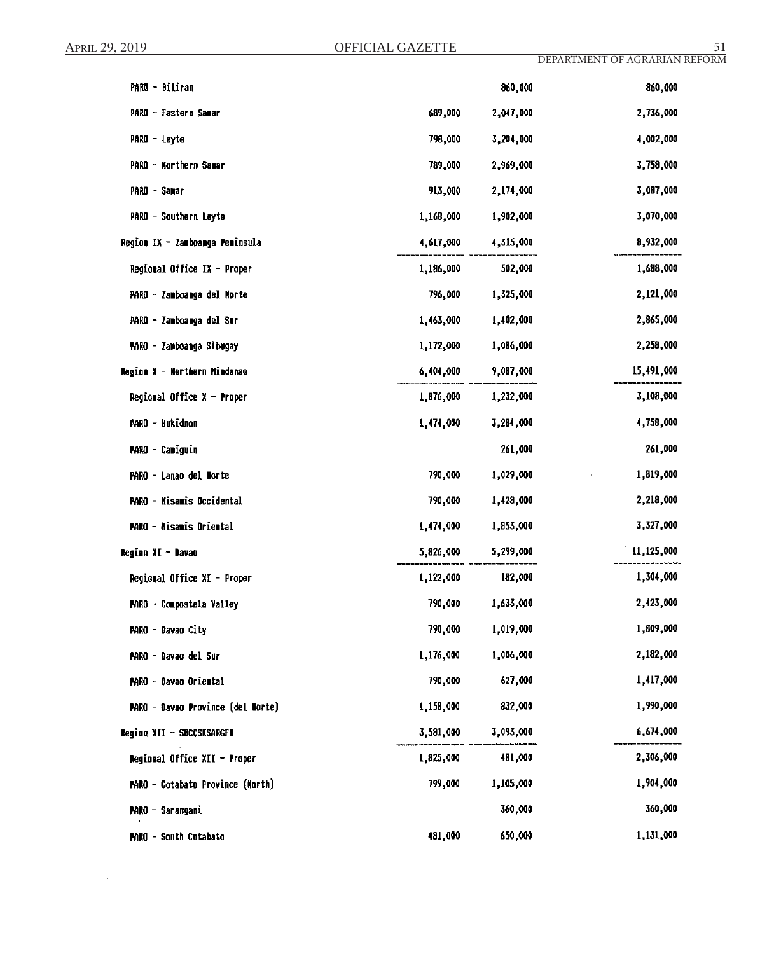$\sim$ 

| PARO - Biliran                    |           | 860,000   | 860,000    |
|-----------------------------------|-----------|-----------|------------|
| PARO - Eastern Samar              | 689,000   | 2,047,000 | 2,736,000  |
| PARO - Leyte                      | 798,000   | 3,204,000 | 4,002,000  |
| PARO - Northern Samar             | 789,000   | 2,969,000 | 3,758,000  |
| PARO - Samar                      | 913,000   | 2,174,000 | 3,087,000  |
| PARO - Southern Leyte             | 1,168,000 | 1,902,000 | 3,070,000  |
| Region IX - Zamboanga Peninsula   | 4,617,000 | 4,315,000 | 8,932,000  |
| Regional Office IX - Proper       | 1,186,000 | 502,000   | 1,688,000  |
| PARO - Zamboanga del Norte        | 796,000   | 1,325,000 | 2,121,000  |
| PARO - Zamboanga del Sur          | 1,463,000 | 1,402,000 | 2,865,000  |
| PARO - Zamboanga Sibugay          | 1,172,000 | 1,086,000 | 2,258,000  |
| Region X - Northern Mindanae      | 6,404,000 | 9,087,000 | 15,491,000 |
| Regional Office $X -$ Proper      | 1,876,000 | 1,232,000 | 3,108,000  |
| PARO - Bukidnon                   | 1,474,000 | 3,284,000 | 4,758,000  |
| <b>PARO - Camiguin</b>            |           | 261,000   | 261,000    |
| PARO - Lanao del Morte            | 790,000   | 1,029,000 | 1,819,000  |
| PARO - Misamis Occidental         | 790,000   | 1,428,000 | 2,218,000  |
| PARO - Misamis Oriental           | 1,474,000 | 1,853,000 | 3,327,000  |
| Region XI - Davao                 | 5,826,000 | 5,299,000 | 11,125,000 |
| Regional Office XI - Proper       | 1,122,000 | 182,000   | 1,304,000  |
| PARO - Compostela Valley          | 790,000   | 1,633,000 | 2,423,000  |
| PARO - Davao City                 | 790,000   | 1,019,000 | 1,809,000  |
| PARO - Davao del Sur              | 1,176,000 | 1,006,000 | 2,182,000  |
| PARO - Davao Oriental             | 790,000   | 627,000   | 1,417,000  |
| PARO - Davao Province (del Morte) | 1,158,000 | 832,000   | 1,990,000  |
| Region XII - SOCCSKSARGEN         | 3,581,000 | 3,093,000 | 6,674,000  |
| Regional Office XII - Proper      | 1,825,000 | 481,000   | 2,306,000  |
| PARO - Cotabato Province (Morth)  | 799,000   | 1,105,000 | 1,904,000  |
| PARO - Sarangani                  |           | 360,000   | 360,000    |
| PARO - South Cotabato             | 481,000   | 650,000   | 1,131,000  |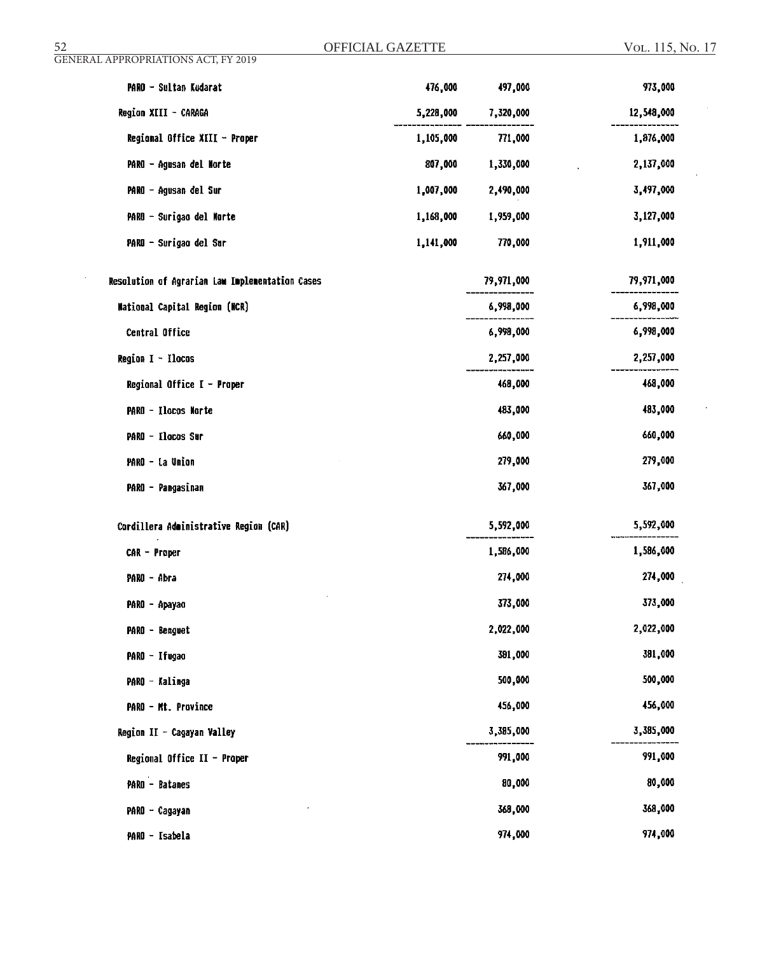| OFFICIAL GAZETTE<br>52                          |           |            | VOL. 115, No. 17 |  |
|-------------------------------------------------|-----------|------------|------------------|--|
| <b>GENERAL APPROPRIATIONS ACT, FY 2019</b>      |           |            |                  |  |
| PARO - Sultan Kudarat                           | 476,000   | 497,000    | 973,000          |  |
| Region XIII - CARAGA                            | 5,228,000 | 7,320,000  | 12,548,000       |  |
| Regional Office XIII - Proper                   | 1,105,000 | 771,000    | 1,876,000        |  |
| PARO - Agusan del Norte                         | 807,000   | 1,330,000  | 2,137,000        |  |
| PARO - Agusan del Sur                           | 1,007,000 | 2,490,000  | 3,497,000        |  |
| PARO - Surigao del Norte                        | 1,168,000 | 1,959,000  | 3,127,000        |  |
| PARO - Surigao del Sur                          | 1,141,000 | 770,000    | 1,911,000        |  |
| Resolution of Agrarian Law Implementation Cases |           | 79,971,000 | 79,971,000       |  |
| National Capital Region (NCR)                   |           | 6,998,000  | 6,998,000        |  |
| Central Office                                  |           | 6,998,000  | 6,998,000        |  |
| Region I - Ilocos                               |           | 2,257,000  | 2,257,000        |  |
| Regional Office I - Proper                      |           | 468,000    | 468,000          |  |
| PARO - Ilocos Norte                             |           | 483,000    | 483,000          |  |
| PARO - Elocos Sur                               |           | 660,000    | 660,000          |  |
| PARO - La Union                                 |           | 279,000    | 279,000          |  |
| PARO - Pangasinan                               |           | 367,000    | 367,000          |  |
| Cordillera Administrative Region (CAR)          |           | 5,592,000  | 5,592,000        |  |
| CAR - Proper                                    |           | 1,586,000  | 1,586,000        |  |
| PARO – Abra                                     |           | 274,000    | 274,000          |  |
| PARO - Apayao                                   |           | 373,000    | 373,000          |  |
| PARO - Benguet                                  |           | 2,022,000  | 2,022,000        |  |
| PARO - Ifugao                                   |           | 391,000    | 381,000          |  |
| PARO - Kalinga                                  |           | 500,000    | 500,000          |  |
| PARO - Mt. Province                             |           | 456,000    | 456,000          |  |
| Region II - Cagayan Valley                      |           | 3,385,000  | 3,385,000        |  |
| Regional Office II - Proper                     |           | 991,000    | 991,000          |  |
| PARO - Batanes                                  |           | 80,000     | 80,000           |  |
| PARO - Cagayan                                  |           | 368,000    | 368,000          |  |
| PARO - Isabela                                  |           | 974,000    | 974,000          |  |
|                                                 |           |            |                  |  |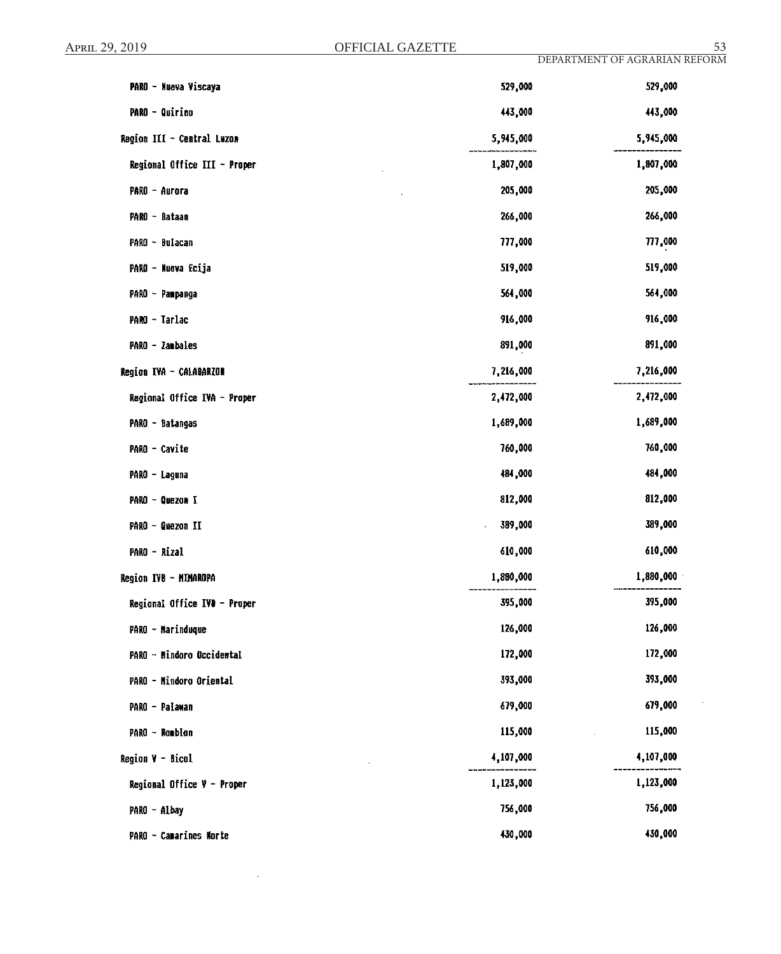$\mathbf{r}$ 

| PARO - Nueva Viscaya         | 529,000   | 529,000   |
|------------------------------|-----------|-----------|
| <b>PARO - Quirino</b>        | 443,000   | 443,000   |
| Region III - Central Luzon   | 5,945,000 | 5,945,000 |
| Regional Office III - Proper | 1,807,000 | 1,807,000 |
| PARO - Aurora                | 205,000   | 205,000   |
| PARO - Bataan                | 266,000   | 266,000   |
| PARO - Bulacan               | 777,000   | 777,000   |
| PARO - Nueva Ecija           | 519,000   | 519,000   |
| PARO - Pampanga              | 564,000   | 564,000   |
| PARO - Tarlac                | 916,000   | 916,000   |
| PARO - Zambales              | 891,000   | 891,000   |
| Region IVA - CALABARZON      | 7,216,000 | 7,216,000 |
| Regional Office IVA - Proper | 2,472,000 | 2,472,000 |
| PARO - Batangas              | 1,689,000 | 1,689,000 |
| PARO - Cavite                | 760,000   | 760,000   |
| PARO – Laguna                | 484,000   | 484,000   |
| PARO - Quezon I              | 812,000   | 812,000   |
| PARO - Quezon II             | 389,000   | 389,000   |
| PARO - Rizal                 | 610,000   | 610,000   |
| Region IVB - MIMAROPA        | 1,880,000 | 1,880,000 |
| Regional Office IVD - Proper | 395,000   | 395,000   |
| PARO - Marinduque            | 126,000   | 126,000   |
| PARO - Mindoro Occidental    | 172,000   | 172,000   |
| PARO - Mindoro Oriental      | 393,000   | 393,000   |
| PARO - Palawan               | 679,000   | 679,000   |
| PARO - Rombion               | 115,000   | 115,000   |
| Region V - Bicol             | 4,107,000 | 4,107,000 |
| Regional Office $Y -$ Proper | 1,123,000 | 1,123,000 |
| PARO - Albay                 | 756,000   | 756,000   |
| PARO - Camarines Norte       | 430,000   | 430,000   |

 $\cdot$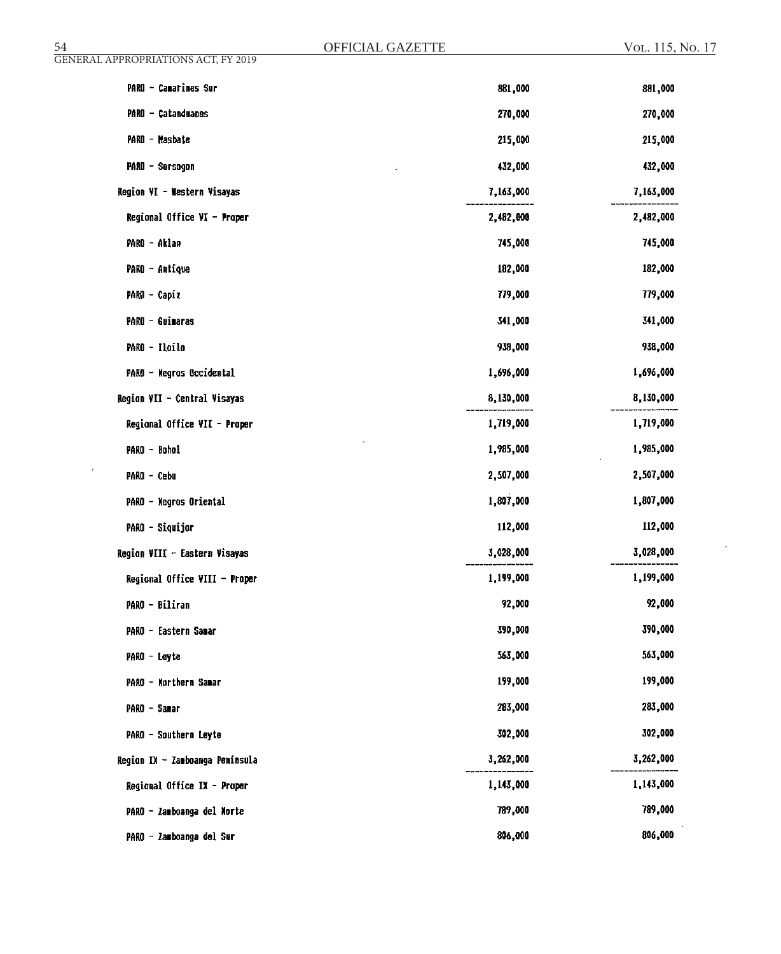| <u>54</u>                                  | OFFICIAL GAZETTE | VOL. 115, No. 17 |
|--------------------------------------------|------------------|------------------|
| <b>GENERAL APPROPRIATIONS ACT, FY 2019</b> |                  |                  |
| PARO - Camarines Sur                       | 881,000          | 881,000          |
| PARO - Catanduanes                         | 270,000          | 270,000          |
| PARO - Masbate                             | 215,000          | 215,000          |
| <b>PARO - Sorsagon</b>                     | 432,000          | 432,000          |
| Region VI - Western Visayas                | 7,163,000        | 7,163,000        |
| Regional Office VI - Proper                | 2,482,000        | 2,482,000        |
| PARO - Aklan                               | 745,000          | 745,000          |
| PARO - Antique                             | 182,000          | 182,000          |
| PARO - Capiz                               | 779,000          | 779,000          |
| PARO - Guimaras                            | 341,000          | 341,000          |
| PARO - Iloilo                              | 938,000          | 938,000          |
| PARO - Wegros Occidental                   | 1,696,000        | 1,696,000        |
| Region VII - Central Visayas               | 8,130,000        | 8,130,000        |
| Regional Office VII - Proper               | 1,719,000        | 1,719,000        |
| PARO - Bohol                               | 1,985,000        | 1,985,000        |
| ٠<br>PARO - Cebu                           | 2,507,000        | 2,507,000        |
| PARO - Negros Oriental                     | 1,807,000        | 1,807,000        |
| <b>PARO - Siquijor</b>                     | 112,000          | 112,000          |
| Region VIII - Eastern Visayas              | 3,028,000        | 3,028,000        |
| Regional Office VIII - Proper              | 1,199,000        | 1,199,000        |
| PARO - Biliran                             | 92,000           | 92,000           |
| PARO - Eastern Sanar                       | 390,000          | 390,000          |
| PARO - Leyte                               | 563,000          | 563,000          |
| PARO - Northern Samar                      | 199,000          | 199,000          |
| PARO - Samar                               | 283,000          | 283,000          |
| PARO - Southern Leyte                      | 302,000          | 302,000          |
| Region IX - Zamboanga Peninsula            | 3,262,000        | 3,262,000        |
| Regional Office IX - Proper                | 1,143,000        | 1,143,000        |
| PARO - Zamboanga del Norte                 | 789,000          | 789,000          |
| PARO - Zamboanga del Sur                   | 806,000          | 806,000          |
|                                            |                  |                  |

 $\sim$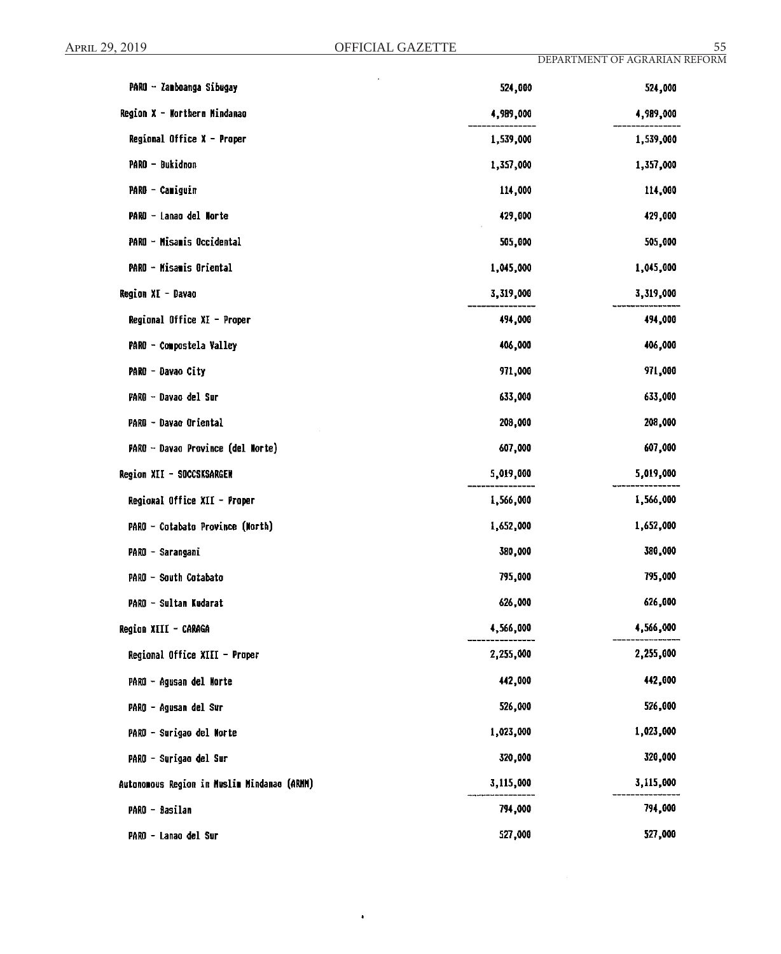| PARO - Zamboanga Sibugay                    | 524,000   | 524,000   |
|---------------------------------------------|-----------|-----------|
| Region X - Worthern Mindanao                | 4,989,000 | 4,989,000 |
| Regional Office $X -$ Proper                | 1,539,000 | 1,539,000 |
| PARO - Bukidnon                             | 1,357,000 | 1,357,000 |
| PARO - Camiguin                             | 114,000   | 114,000   |
| PARO - Lanao del Norte                      | 429,000   | 429,000   |
| PARO - Misamis Occidental                   | 505,000   | 505,000   |
| PARO - Misamis Oriental                     | 1,045,000 | 1,045,000 |
| Region XI - Davao                           | 3,319,000 | 3,319,000 |
| Regional Office XI - Proper                 | 494,000   | 494,000   |
| PARO - Compostela Valley                    | 406,000   | 406,000   |
| PARO - Davao City                           | 971,000   | 971,000   |
| PARO - Davao del Sur                        | 633,000   | 633,000   |
| PARO - Davao Oriental                       | 208,000   | 208,000   |
| PARO - Davao Province (del Norte)           | 607,000   | 607,000   |
| Region XII - SOCCSKSARGEN                   | 5,019,000 | 5,019,000 |
| Regional Office XII - Proper                | 1,566,000 | 1,566,000 |
| PARO - Cotabato Province (North)            | 1,652,000 | 1,652,000 |
| PARO - Sarangani                            | 380,000   | 380,000   |
| PARO - South Cotabato                       | 795,000   | 795,000   |
| PARO - Sultan Kudarat                       | 626,000   | 626,000   |
| Region XIII - CARAGA                        | 4,566,000 | 4,566,000 |
| Regional Office XIII - Proper               | 2,255,000 | 2,255,000 |
| PARO - Agusan del Morte                     | 442,000   | 442,000   |
| PARO - Agusan del Sur                       | 526,000   | 526,000   |
| PARO - Surigao del Morte                    | 1,023,000 | 1,023,000 |
| PARO - Surigao del Sur                      | 320,000   | 320,000   |
| Autonomous Region in Muslim Mindanao (ARMM) | 3,115,000 | 3,115,000 |
| PARO - Basilan                              | 794,000   | 794,000   |
|                                             | 527,000   | 527,000   |

 $\bullet$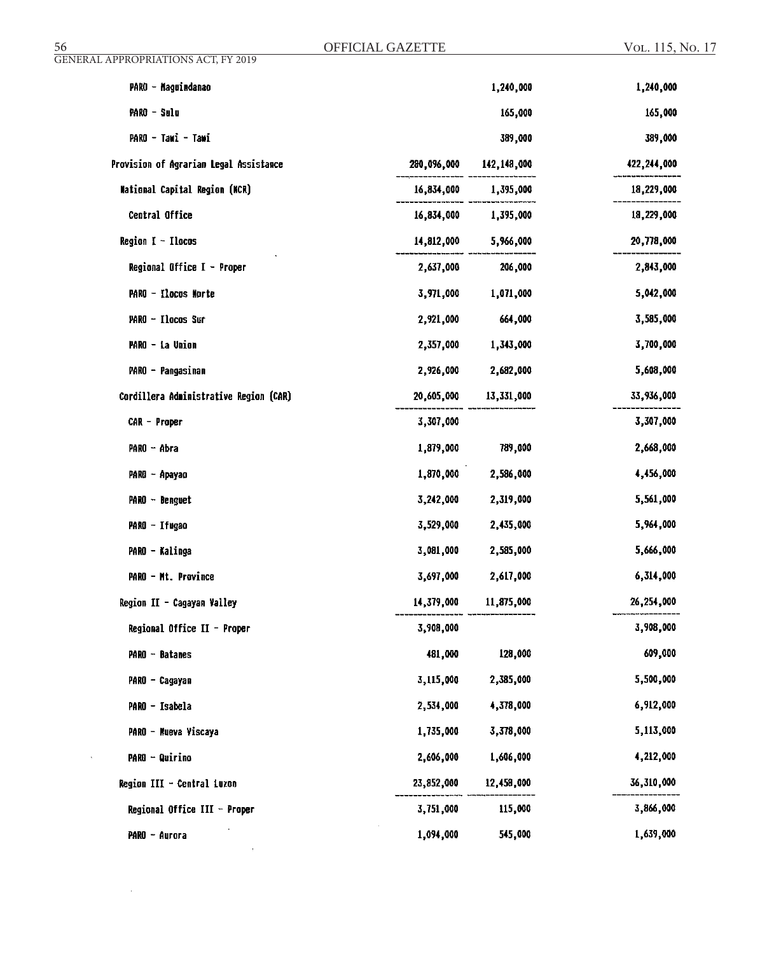| 56<br><b>GENERAL APPROPRIATIONS ACT, FY 2019</b> | OFFICIAL GAZETTE |             | VOL. 115, No. 17 |
|--------------------------------------------------|------------------|-------------|------------------|
| PARO - Maguindanao                               |                  | 1,240,000   | 1,240,000        |
| PARO - Sulu                                      |                  | 165,000     | 165,000          |
| PARO - Tawi - Tawi                               |                  | 389,000     | 389,000          |
| Provision of Agrarian Legal Assistance           | 280,096,000      | 142,148,000 | 422,244,000      |
| <b>Mational Capital Region (NCR)</b>             | 16,834,000       | 1,395,000   | 18,229,000       |
| Central Office                                   | 16,834,000       | 1,395,000   | 18,229,000       |
| Region $I - I$ locos                             | 14,812,000       | 5,966,000   | 20,778,000       |
| Regional Office $I -$ Proper                     | 2,637,000        | 206,000     | 2,843,000        |
| PARO - Ilocos Morte                              | 3,971,000        | 1,071,000   | 5,042,000        |

2,921,000

664,000

PARO - Ilocos Sur

 $\sim$ 

 $\sim 10^{11}$ 

 $\sim 10^6$ 

3,585,000

| PARO - La Union                        | 2,357,000  | 1,343,000  | 3,700,000  |
|----------------------------------------|------------|------------|------------|
| PARO - Pangasinan                      | 2,926,000  | 2,682,000  | 5,608,000  |
| Cordillera Administrative Region (CAR) | 20,605,000 | 13,331,000 | 33,936,000 |
| CAR - Proper                           | 3,307,000  |            | 3,307,000  |
| PARO - Abra                            | 1,879,000  | 789,000    | 2,668,000  |
| PARO - Apayao                          | 1,870,000  | 2,586,000  | 4,456,000  |
| $PARO - Benguet$                       | 3,242,000  | 2,319,000  | 5,561,000  |
| PARO - Ifugao                          | 3,529,000  | 2,435,000  | 5,964,000  |
| PARO - Kalinga                         | 3,081,000  | 2,585,000  | 5,666,000  |
| PARO - Mt. Province                    | 3,697,000  | 2,617,000  | 6,314,000  |
| Region II - Cagayan Valley             | 14,379,000 | 11,875,000 | 26,254,000 |
| Regional Office II - Proper            | 3,908,000  |            | 3,908,000  |
| PARO - Batanes                         | 481,000    | 128,000    | 609,000    |
| PARO - Cagayan                         | 3,115,000  | 2,385,000  | 5,500,000  |
| PARO - Isabela                         | 2,534,000  | 4,378,000  | 6,912,000  |
| PARO - Nueva Viscaya                   | 1,735,000  | 3,378,000  | 5,113,000  |
| <b>PARO - Quirino</b>                  | 2,606,000  | 1,606,000  | 4,212,000  |
| Region III - Central Luzon             | 23,852,000 | 12,458,000 | 36,310,000 |
| Regional Office III - Proper           | 3,751,000  | 115,000    | 3,866,000  |
| PARO - Aurora                          | 1,094,000  | 545,000    | 1,639,000  |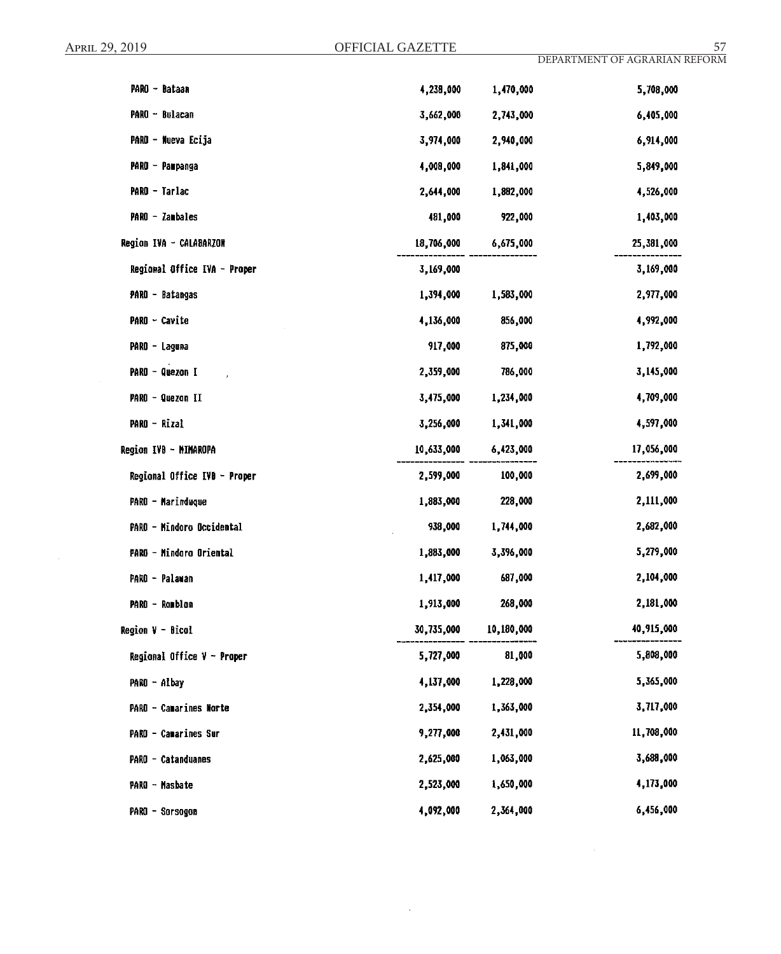| PARO - Bataan                | 4,238,000  | 1,470,000  | 5,708,000  |
|------------------------------|------------|------------|------------|
| PARO - Bulacan               | 3,662,000  | 2,743,000  | 6,405,000  |
| PARO - Nueva Ecija           | 3,974,000  | 2,940,000  | 6,914,000  |
| PARO - Pampanga              | 4,008,000  | 1,841,000  | 5,849,000  |
| PARO - Tarlac                | 2,644,000  | 1,882,000  | 4,526,000  |
| PARO - Zambales              | 481,000    | 922,000    | 1,403,000  |
| Region IVA - CALABARZON      | 18,706,000 | 6,675,000  | 25,381,000 |
| Regional Office IVA - Proper | 3,169,000  |            | 3,169,000  |
| PARO - Batangas              | 1,394,000  | 1,583,000  | 2,977,000  |
| PARO - Cavite                | 4,136,000  | 856,000    | 4,992,000  |
| PARO - Laguna                | 917,000    | 875,000    | 1,792,000  |
| PARO - Quezon I              | 2,359,000  | 786,000    | 3,145,000  |
| PARO - Quezon II             | 3,475,000  | 1,234,000  | 4,709,000  |
| PARO - Rizal                 | 3,256,000  | 1,341,000  | 4,597,000  |
| Region IVB - MIMAROPA        | 10,633,000 | 6,423,000  | 17,056,000 |
| Regional Office IVB - Proper | 2,599,000  | 100,000    | 2,699,000  |
| PARO - Marinduque            | 1,883,000  | 228,000    | 2,111,000  |
| PARO - Mindoro Occidental    | 938,000    | 1,744,000  | 2,682,000  |
| PARO - Mindoro Oriental      | 1,883,000  | 3,396,000  | 5,279,000  |
| PARO - Palawan               | 1,417,000  | 687,000    | 2,104,000  |
| PARO - Ramblan               | 1,913,000  | 268,000    | 2,181,000  |
| <b>Region V - Bicol</b>      | 30,735,000 | 10,180,000 | 40,915,000 |
| Regional Office $V -$ Proper | 5,727,000  | 81,000     | 5,808,000  |
| PARO - Albay                 | 4,137,000  | 1,228,000  | 5,365,000  |
| PARO - Camarines Norte       | 2,354,000  | 1,363,000  | 3,717,000  |
| PARO - Camarines Sur         | 9,277,000  | 2,431,000  | 11,708,000 |
| PARO - Catanduanes           | 2,625,000  | 1,063,000  | 3,688,000  |
| PARO - Masbate               | 2,523,000  | 1,650,000  | 4,173,000  |
| PARO - Sorsogon              | 4,092,000  | 2,364,000  | 6,456,000  |

 $\mathcal{L}_{\mathcal{A}}$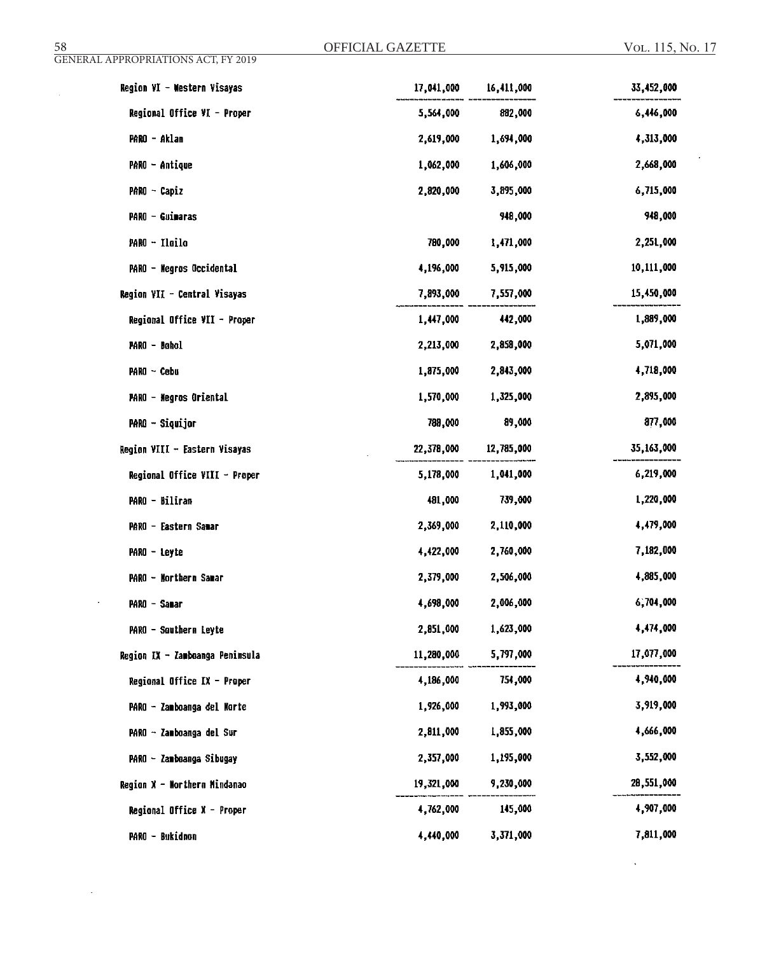$\mathcal{L}^{(1)}$ 

 $\mathcal{L}^{\pm}$ 

 $\bar{\mathcal{A}}$ 

 $\hat{\boldsymbol{\beta}}$ 

| Region VI - Western Visayas     | 17,041,000 | 16,411,000 | 33,452,000 |
|---------------------------------|------------|------------|------------|
| Regional Office VI - Proper     | 5,564,000  | 882,000    | 6,446,000  |
| PARO - Aklan                    | 2,619,000  | 1,694,000  | 4,313,000  |
| PARO - Antique                  | 1,062,000  | 1,606,000  | 2,668,000  |
| PARO - Capiz                    | 2,820,000  | 3,895,000  | 6,715,000  |
| PARO - Guimaras                 |            | 948,000    | 948,000    |
| PARO - Ilailo                   | 780,000    | 1,471,000  | 2,251,000  |
| PARO - Negros Occidental        | 4,196,000  | 5,915,000  | 10,111,000 |
| Region VII - Central Visayas    | 7,893,000  | 7,557,000  | 15,450,000 |
| Regional Office VII - Proper    | 1,447,000  | 442,000    | 1,889,000  |
| PARO - Bahol                    | 2,213,000  | 2,858,000  | 5,071,000  |
| PARO ~ Cebu                     | 1,875,000  | 2,843,000  | 4,718,000  |
| PARO - Negros Oriental          | 1,570,000  | 1,325,000  | 2,895,000  |
| PARO - Siquijor                 | 789,000    | 89,000     | 877,000    |
| Region VIII - Eastern Visayas   | 22,378,000 | 12,785,000 | 35,163,000 |
| Regional Office VIII - Proper   | 5,178,000  | 1,041,000  | 6,219,000  |
| PARO - Biliran                  | 481,000    | 739,000    | 1,220,000  |
| PARO - Eastern Samar            | 2,369,000  | 2,110,000  | 4,479,000  |
| PARO - Leyte                    | 4,422,000  | 2,760,000  | 7,182,000  |
| PARO - Northern Samar           | 2,379,000  | 2,506,000  | 4,885,000  |
| PARO - Sanar                    | 4,698,000  | 2,006,000  | 6,704,000  |
| PARO - Southern Leyte           | 2,851,000  | 1,623,000  | 4,474,000  |
| Region IX - Zamboanga Peninsula | 11,280,000 | 5,797,000  | 17,077,000 |
| Regional Office IX - Proper     | 4,186,000  | 754,000    | 4,940,000  |
| PARO - Zamboanga del Norte      | 1,926,000  | 1,993,000  | 3,919,000  |
| PARO - Zamboanga del Sur        | 2,811,000  | 1,855,000  | 4,666,000  |
| PARO - Zamboanga Sibugay        | 2,357,000  | 1,195,000  | 3,552,000  |
| Region X - Northern Mindanao    | 19,321,000 | 9,230,000  | 28,551,000 |
| Regional Office X - Proper      | 4,762,000  | 145,000    | 4,907,000  |
| PARO - Bukidnon                 | 4,440,000  | 3,371,000  | 7,811,000  |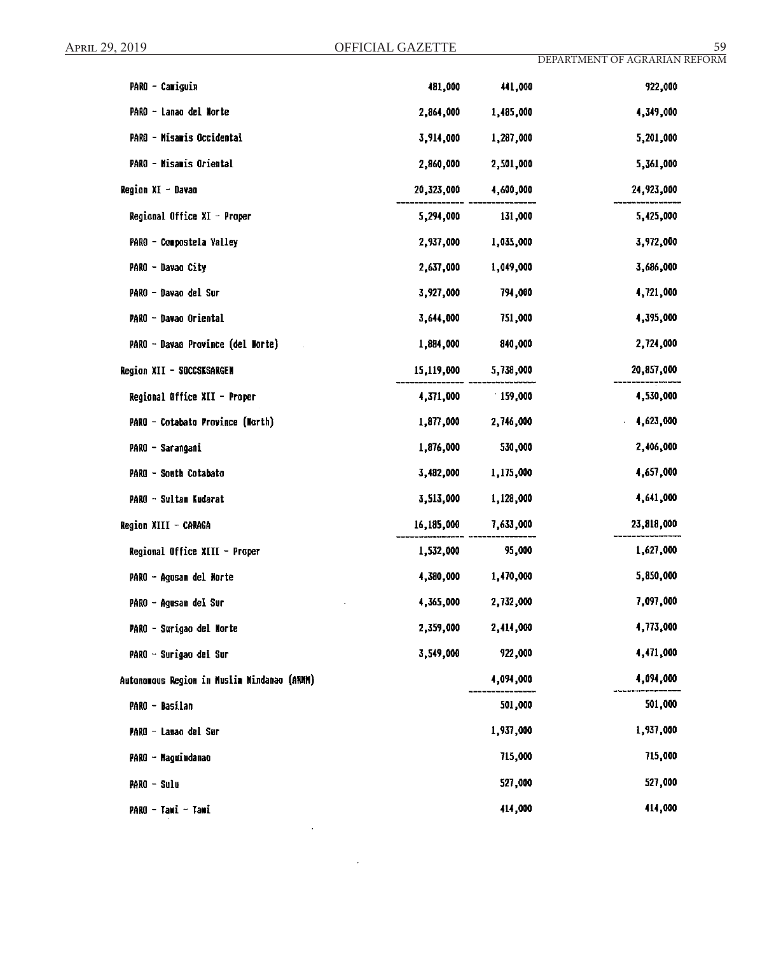| PARO - Camiguin                             | 481,000    | 441,000   | 922,000    |
|---------------------------------------------|------------|-----------|------------|
| PARO - Lanao del Norte                      | 2,864,000  | 1,485,000 | 4,349,000  |
| PARO - Misamis Occidental                   | 3,914,000  | 1,287,000 | 5,201,000  |
| PARO - Misamis Oriental                     | 2,860,000  | 2,501,000 | 5,361,000  |
| Region XI - Davao                           | 20,323,000 | 4,600,000 | 24,923,000 |
| Regional Office XI - Proper                 | 5,294,000  | 131,000   | 5,425,000  |
| PARO - Compostela Valley                    | 2,937,000  | 1,035,000 | 3,972,000  |
| PARO - Davao City                           | 2,637,000  | 1,049,000 | 3,686,000  |
| PARO - Davao del Sur                        | 3,927,000  | 794,000   | 4,721,000  |
| PARO - Davao Oriental                       | 3,644,000  | 751,000   | 4,395,000  |
| PARO - Davao Province (del Morte)           | 1,884,000  | 840,000   | 2,724,000  |
| Region XII - SOCCSKSARGEN                   | 15,119,000 | 5,738,000 | 20,857,000 |
| Regional Office XII - Proper                | 4,371,000  | 159,000   | 4,530,000  |
| PARO - Cotabato Province (North)            | 1,877,000  | 2,746,000 | 4,623,000  |
| PARO - Sarangani                            | 1,876,000  | 530,000   | 2,406,000  |
| PARO - South Cotabato                       | 3,482,000  | 1,175,000 | 4,657,000  |
| PARO - Sultan Kudarat                       | 3,513,000  | 1,128,000 | 4,641,000  |
| Region XIII - CARAGA                        | 16,185,000 | 7,633,000 | 23,818,000 |
| Regional Office XIII - Proper               | 1,532,000  | 95,000    | 1,627,000  |
| PARO - Agusan del Norte                     | 4,380,000  | 1,470,000 | 5,850,000  |
| PARO - Agusan del Sur                       | 4,365,000  | 2,732,000 | 7,097,000  |
| PARO - Surigao del Norte                    | 2,359,000  | 2,414,000 | 4,773,000  |
| PARO - Surigao del Sur                      | 3,549,000  | 922,000   | 4,471,000  |
| Autonomous Region in Muslim Mindanao (ARMM) |            | 4,094,000 | 4,094,000  |
| PARO - Basilan                              |            | 501,000   | 501,000    |
| PARO - Lanao del Sor                        |            | 1,937,000 | 1,937,000  |
| PARO - Maguindanao                          |            | 715,000   | 715,000    |
| PARO - Sulu                                 |            | 527,000   | 527,000    |
| PARO - Tawi - Tawi                          |            | 414,000   | 414,000    |

 $\sim 10^{-10}$ 

 $\sim$   $\sim$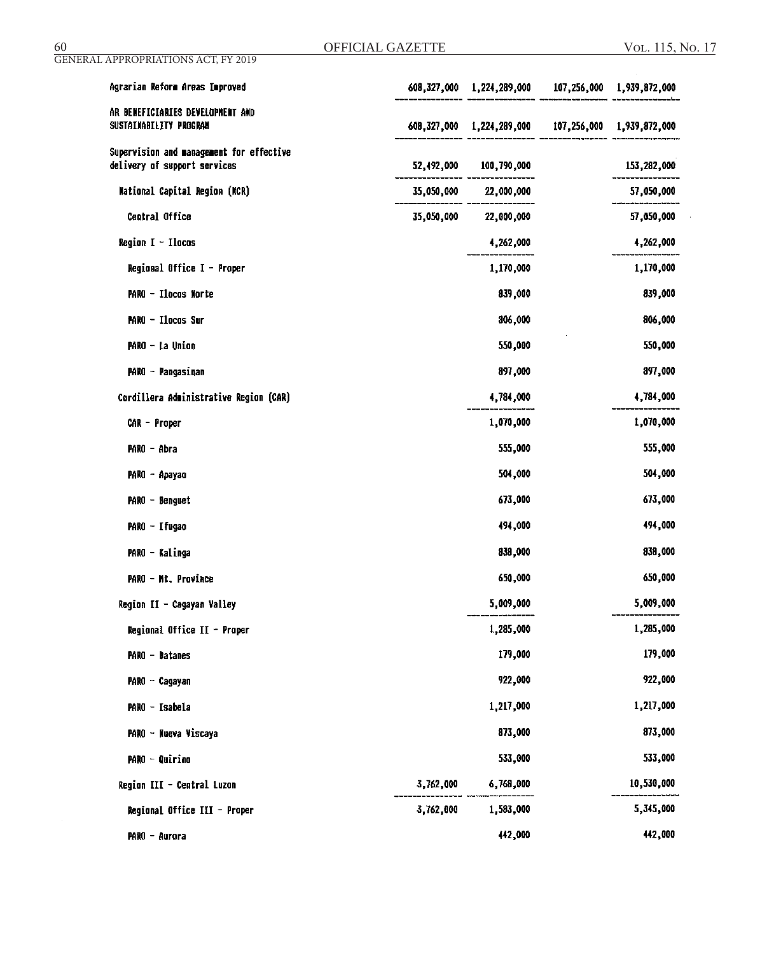| Agrarian Reform Areas Improved                                           |           | 608,327,000 1,224,289,000 107,256,000 1,939,872,000 |             |
|--------------------------------------------------------------------------|-----------|-----------------------------------------------------|-------------|
| AR BENEFICIARIES DEVELOPMENT AND<br>SUSTAINABILITY PROGRAM               |           | 608,327,000 1,224,289,000 107,256,000 1,939,872,000 |             |
| Supervision and management for effective<br>delivery of support services |           | 52,492,000 100,790,000                              | 153,282,000 |
| National Capital Region (MCR)                                            |           | 35,050,000 22,000,000                               | 57,050,000  |
| Central Office                                                           |           | 35,050,000 22,000,000                               | 57,050,000  |
| <b>Region <math>I - I</math>locos</b>                                    |           | 4,262,000                                           | 4,262,000   |
| Regional Office I - Proper                                               |           | 1,170,000                                           | 1,170,000   |
| PARO - Ilocos Norte                                                      |           | 839,000                                             | 839,000     |
| <b>MARO - Ilocos Sur</b>                                                 |           | 806,000                                             | 806,000     |
| PARO - La Union                                                          |           | 550,000                                             | 550,000     |
| PARO - Pangasinan                                                        |           | 897,000                                             | 897,000     |
| Cordillera Administrative Region (CAR)                                   |           | 4,784,000                                           | 4,784,000   |
| CAR - Proper                                                             |           | 1,070,000                                           | 1,070,000   |
| PARO - Abra                                                              |           | 555,000                                             | 555,000     |
| PARO - Apayao                                                            |           | 504,000                                             | 504,000     |
| PARO - Benguet                                                           |           | 673,000                                             | 673,000     |
| PARO - Ifugao                                                            |           | 494,000                                             | 494,000     |
| PARO - Kalinga                                                           |           | 838,000                                             | 838,000     |
| PARO - Mt. Province                                                      |           | 650,000                                             | 650,000     |
| Region II - Cagayan Valley                                               |           | 5,009,000                                           | 5,009,000   |
| Regional Office II - Proper                                              |           | 1,285,000                                           | 1,285,000   |
| <b>PARO - Datanes</b>                                                    |           | 179,000                                             | 179,000     |
| PARO - Cagayan                                                           |           | 922,000                                             | 922,000     |
| PARO - Isabela                                                           |           | 1,217,000                                           | 1,217,000   |
| PARO - Nueva Viscaya                                                     |           | 873,000                                             | 873,000     |
| <b>PARO - Quirino</b>                                                    |           | 533,000                                             | 533,000     |
| Region III - Central Luzon                                               | 3,762,000 | 6,768,000                                           | 10,530,000  |
| Regional Office III - Proper                                             | 3,762,000 | 1,583,000                                           | 5,345,000   |
| PARO - Aurora                                                            |           | 442,000                                             | 442,000     |

GENERAL APPROPRIATIONS ACT, FY 2019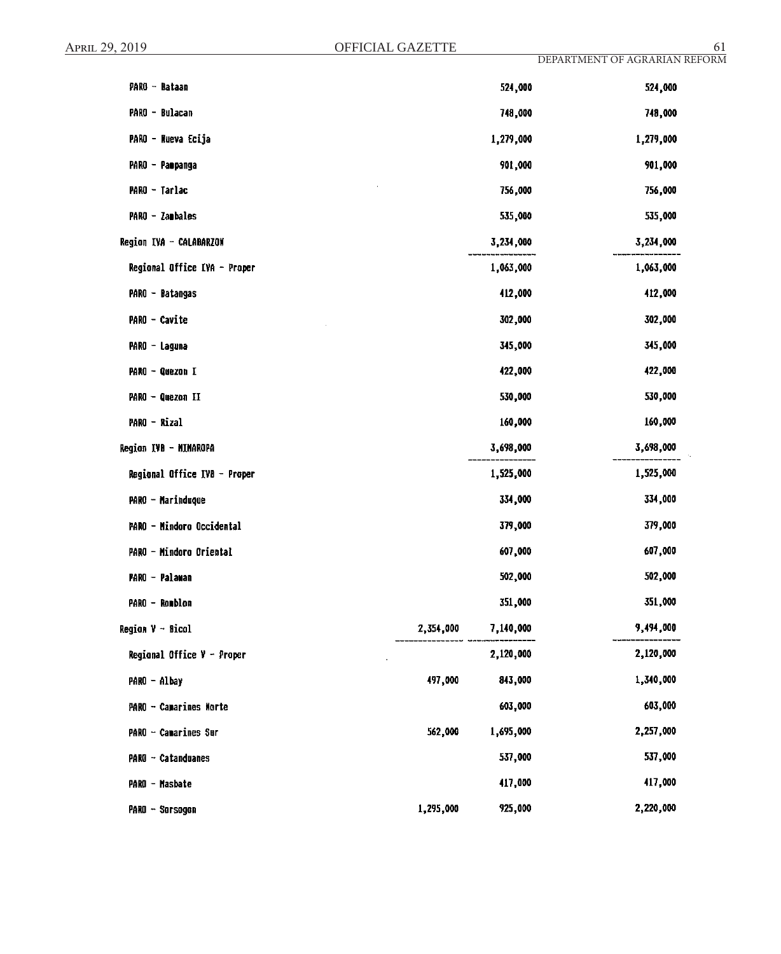| PARO - Bataan                |           | 524,000   | 524,000   |
|------------------------------|-----------|-----------|-----------|
| PARO - Bulacan               |           | 748,000   | 748,000   |
| PARO - Nueva Ecija           |           | 1,279,000 | 1,279,000 |
| PARO - Paopanga              |           | 901,000   | 901,000   |
| PARO - Tarlac                |           | 756,000   | 756,000   |
| PARO - Zambales              |           | 535,000   | 535,000   |
| Region IVA - CALABARZON      |           | 3,234,000 | 3,234,000 |
| Regional Office IVA - Proper |           | 1,063,000 | 1,063,000 |
| PARO - Batangas              |           | 412,000   | 412,000   |
| PARO - Cavite                |           | 302,000   | 302,000   |
| PARO - Laguna                |           | 345,000   | 345,000   |
| PARO - Quezon I              |           | 422,000   | 422,000   |
| PARO - Quezon II             |           | 530,000   | 530,000   |
| PARO - Rizal                 |           | 160,000   | 160,000   |
| Region IVB - MIMAROPA        |           | 3,698,000 | 3,698,000 |
| Regional Office IVB - Proper |           | 1,525,000 | 1,525,000 |
| PARO - Marinduque            |           | 334,000   | 334,000   |
| PARO - Mindoro Occidental    |           | 379,000   | 379,000   |
| PARO - Mindoro Oriental      |           | 607,000   | 607,000   |
| PARO - Palawan               |           | 502,000   | 502,000   |
| PARO - Romblon               |           | 351,000   | 351,000   |
| Region V - Bicol             | 2,354,000 | 7,140,000 | 9,494,000 |
| Regional Office $V -$ Proper |           | 2,120,000 | 2,120,000 |
| PARO - Albay                 | 497,000   | 843,000   | 1,340,000 |
| PARO - Camarines Morte       |           | 603,000   | 603,000   |
| PARO - Camarines Sur         | 562,000   | 1,695,000 | 2,257,000 |
| PARO - Catanduanes           |           | 537,000   | 537,000   |
| PARO - Masbate               |           | 417,000   | 417,000   |
| PARO - Sorsogon              | 1,295,000 | 925,000   | 2,220,000 |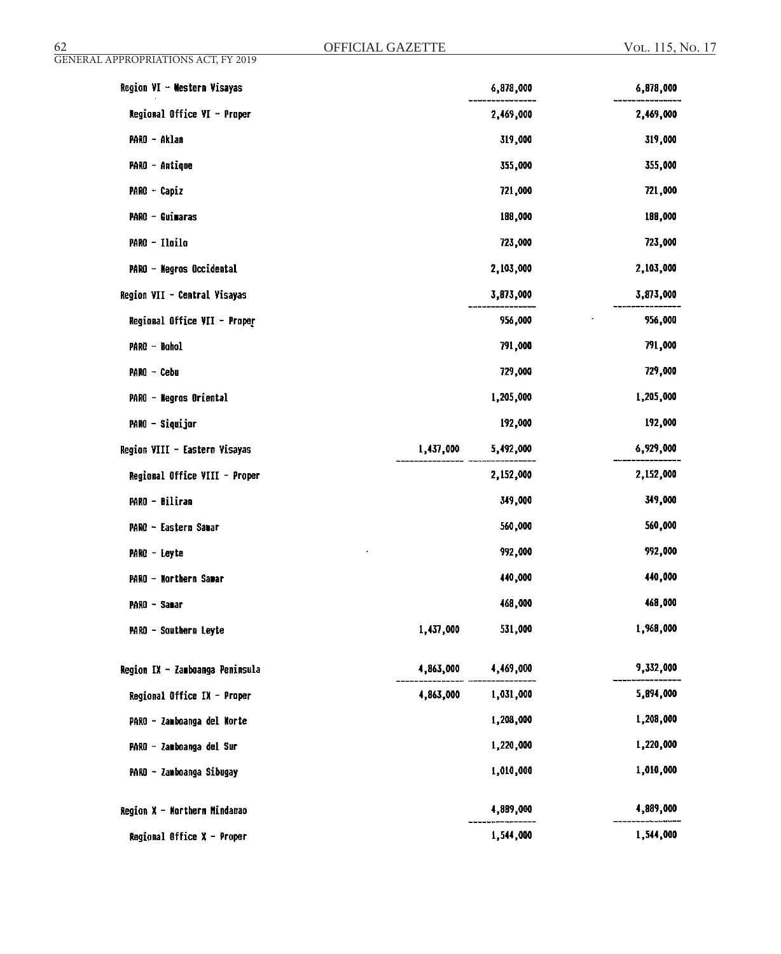| Region VI - Western Visayas     |           | 6,878,000 | 6,878,000 |
|---------------------------------|-----------|-----------|-----------|
| Regional Office VI - Proper     |           | 2,469,000 | 2,469,000 |
| PARO - Aklan                    |           | 319,000   | 319,000   |
| PARO - Antique                  |           | 355,000   | 355,000   |
| PARO - Capiz                    |           | 721,000   | 721,000   |
| <b>PARO - Guimaras</b>          |           | 188,000   | 188,000   |
| PARO - Iloilo                   |           | 723,000   | 723,000   |
| PARO - Negros Occidental        |           | 2,103,000 | 2,103,000 |
| Region VII - Central Visayas    |           | 3,873,000 | 3,873,000 |
| Regional Office VII - Proper    |           | 956,000   | 956,000   |
| PARO - Bohol                    |           | 791,000   | 791,000   |
| PARO - Cebu                     |           | 729,000   | 729,000   |
| PARO - Negros Oriental          |           | 1,205,000 | 1,205,000 |
| PARO - Siquijor                 |           | 192,000   | 192,000   |
| Region VIII - Eastern Visayas   | 1,437,000 | 5,492,000 | 6,929,000 |
| Regional Office VIII - Proper   |           | 2,152,000 | 2,152,000 |
| PARO - Biliran                  |           | 349,000   | 349,000   |
| PARO - Eastern Samar            |           | 560,000   | 560,000   |
| PARO - Leyte                    |           | 992,000   | 992,000   |
| PARO - Northern Samar           |           | 440,000   | 440,000   |
| PARO ~ Sanar                    |           | 468,000   | 468,000   |
| PARO - Southern Leyte           | 1,437,000 | 531,000   | 1,968,000 |
| Region IX - Zamboanga Peninsula | 4,863,000 | 4,469,000 | 9,332,000 |
| Regional Office IX - Proper     | 4,863,000 | 1,031,000 | 5,894,000 |
| PARO - Zamboanga del Norte      |           | 1,208,000 | 1,208,000 |
| PARO - Zamboanga del Sur        |           | 1,220,000 | 1,220,000 |
| PARO - Zamboanga Sibugay        |           | 1,010,000 | 1,010,000 |
| Region X - Northern Mindanao    |           | 4,889,000 | 4,889,000 |
| Regional Office X - Proper      |           | 1,544,000 | 1,544,000 |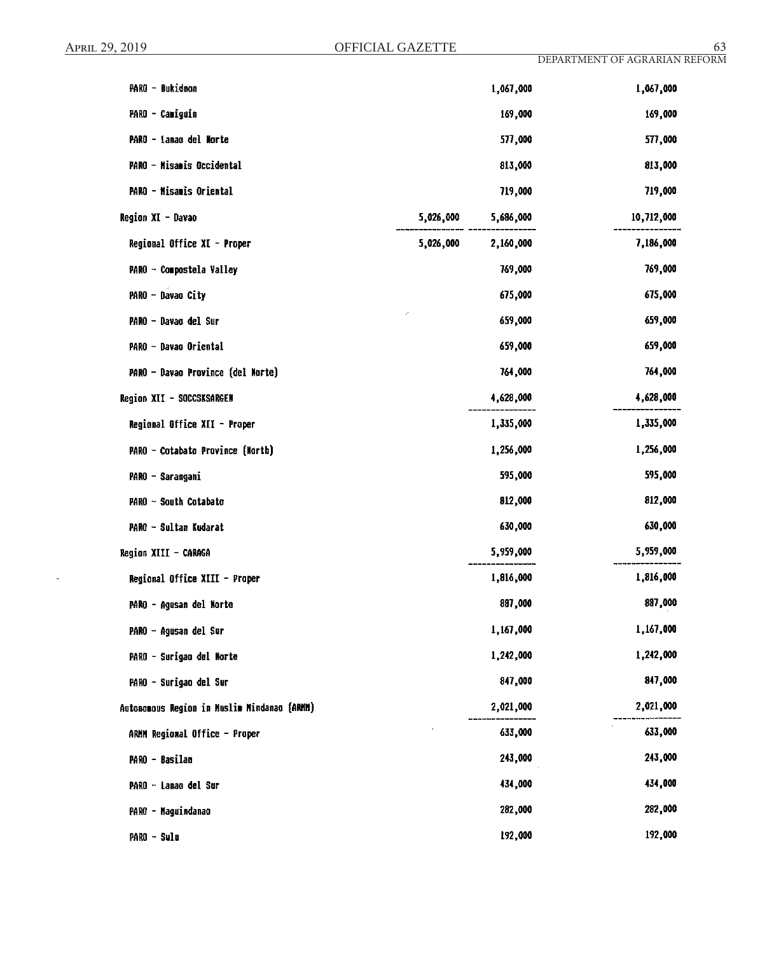$\hat{\mathcal{A}}$ 

| PARO - Bukidnon                             |           | 1,067,000 | 1,067,000  |
|---------------------------------------------|-----------|-----------|------------|
| PARO - Camiguin                             |           | 169,000   | 169,000    |
| PARO - Lanao del Norte                      |           | 577,000   | 577,000    |
| PARO - Misanis Occidental                   |           | 813,000   | 813,000    |
| PARO - Misamis Oriental                     |           | 719,000   | 719,000    |
| Region XI - Davao                           | 5,026,000 | 5,686,000 | 10,712,000 |
| Regional Office XI - Proper                 | 5,026,000 | 2,160,000 | 7,186,000  |
| PARO - Compostela Valley                    |           | 769,000   | 769,000    |
| PARO - Davao City                           |           | 675,000   | 675,000    |
| PARO - Davao del Sur                        |           | 659,000   | 659,000    |
| PARO - Davao Oriental                       |           | 659,000   | 659,000    |
| PARO - Davao Province (del Morte)           |           | 764,000   | 764,000    |
| Region XII - SOCCSKSARGEN                   |           | 4,628,000 | 4,628,000  |
| Regional Office XII - Proper                |           | 1,335,000 | 1,335,000  |
| PARO - Cotabato Province (North)            |           | 1,256,000 | 1,256,000  |
| PARO - Sarangani                            |           | 595,000   | 595,000    |
| PARO - South Cotabato                       |           | 812,000   | 812,000    |
| PARO - Sultan Kudarat                       |           | 630,000   | 630,000    |
| Region XIII - CARAGA                        |           | 5,959,000 | 5,959,000  |
| Regional Office XIII - Proper               |           | 1,816,000 | 1,816,000  |
| PARO - Agusan del Norte                     |           | 887,000   | 887,000    |
| PARO - Agusan del Sur                       |           | 1,167,000 | 1,167,000  |
| PARO - Surigao del Morte                    |           | 1,242,000 | 1,242,000  |
| PARO - Surigao del Sur                      |           | 847,000   | 847,000    |
| Autonomous Region in Muslim Mindanao (ARMM) |           | 2,021,000 | 2,021,000  |
| ARMM Regional Office - Proper               |           | 633,000   | 633,000    |
| PARO - Basilan                              |           | 243,000   | 243,000    |
| PARO - Lanao del Sur                        |           | 434,000   | 434,000    |
| PARO - Maguindanao                          |           | 282,000   | 282,000    |
| PARO - Sulu                                 |           | 192,000   | 192,000    |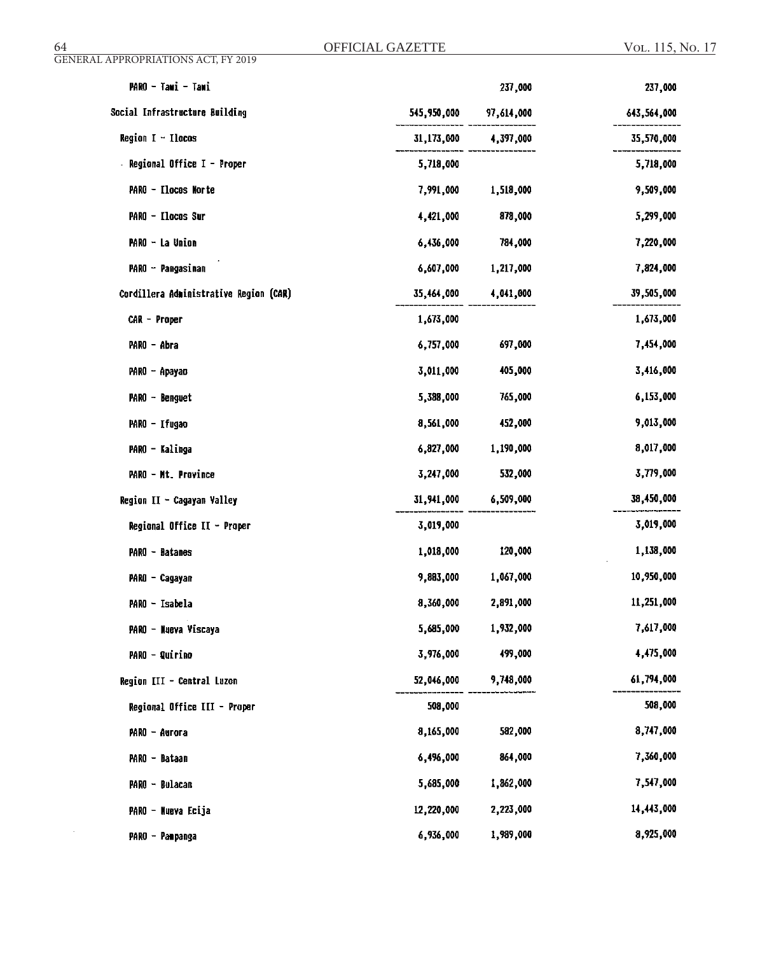$\sim 10^{-10}$ 

| PARO - Tawi - Tawi                     |                        | 237,000              | 237,000     |
|----------------------------------------|------------------------|----------------------|-------------|
| Social Infrastructure Building         | 545,950,000 97,614,000 |                      | 643,564,000 |
| Region I - Ilocos                      |                        | 31,173,000 4,397,000 | 35,570,000  |
| Regional Office I - Proper             | 5,718,000              |                      | 5,718,000   |
| PARO - Ilocos Morte                    | 7,991,000              | 1,518,000            | 9,509,000   |
| PARO - Ilocos Sur                      | 4,421,000              | 878,000              | 5,299,000   |
| PARO - La Union                        | 6,436,000              | 784,000              | 7,220,000   |
| PARO - Pangasinan                      | 6,607,000              | 1,217,000            | 7,824,000   |
| Cordillera Administrative Region (CAR) | 35,464,000             | 4,041,000            | 39,505,000  |
| CAR - Proper                           | 1,673,000              |                      | 1,673,000   |
| PARO - Abra                            | 6,757,000              | 697,000              | 7,454,000   |
| PARO - Apayao                          | 3,011,000              | 405,000              | 3,416,000   |
| PARO - Benguet                         | 5,388,000              | 765,000              | 6,153,000   |
| PARO - Ifugao                          | 8,561,000              | 452,000              | 9,013,000   |
| PARO - Kalinga                         | 6,827,000              | 1,190,000            | 8,017,000   |
| <b>PARO - Mt. Province</b>             | 3,247,000              | 532,000              | 3,779,000   |
| Region II - Cagayan Valley             |                        | 31,941,000 6,509,000 | 38,450,000  |
| Regional Office II - Proper            | 3,019,000              |                      | 3,019,000   |
| PARO - Batanes                         | 1,018,000              | 120,000              | 1,138,000   |
| PARO - Cagayan                         | 9,883,000              | 1,067,000            | 10,950,000  |
| PARO - Isabela                         | 8,360,000              | 2,891,000            | 11,251,000  |
| PARO - Nueva Viscaya                   | 5,685,000              | 1,932,000            | 7,617,000   |
| PARO - Quirino                         | 3,976,000              | 499,000              | 4,475,000   |
| Region III - Central Luzon             | 52,046,000             | 9,748,000            | 61,794,000  |
| Regional Office III - Proper           | 508,000                |                      | 508,000     |
| PARO - Aurora                          | 8,165,000              | 582,000              | 8,747,000   |
| PARO - Bataan                          | 6,496,000              | 864,000              | 7,360,000   |
| PARO - Bulacan                         | 5,685,000              | 1,862,000            | 7,547,000   |
| PARO - Nueva Ecija                     | 12,220,000             | 2,223,000            | 14,443,000  |
| PARO - Pampanga                        | 6,936,000              | 1,989,000            | 8,925,000   |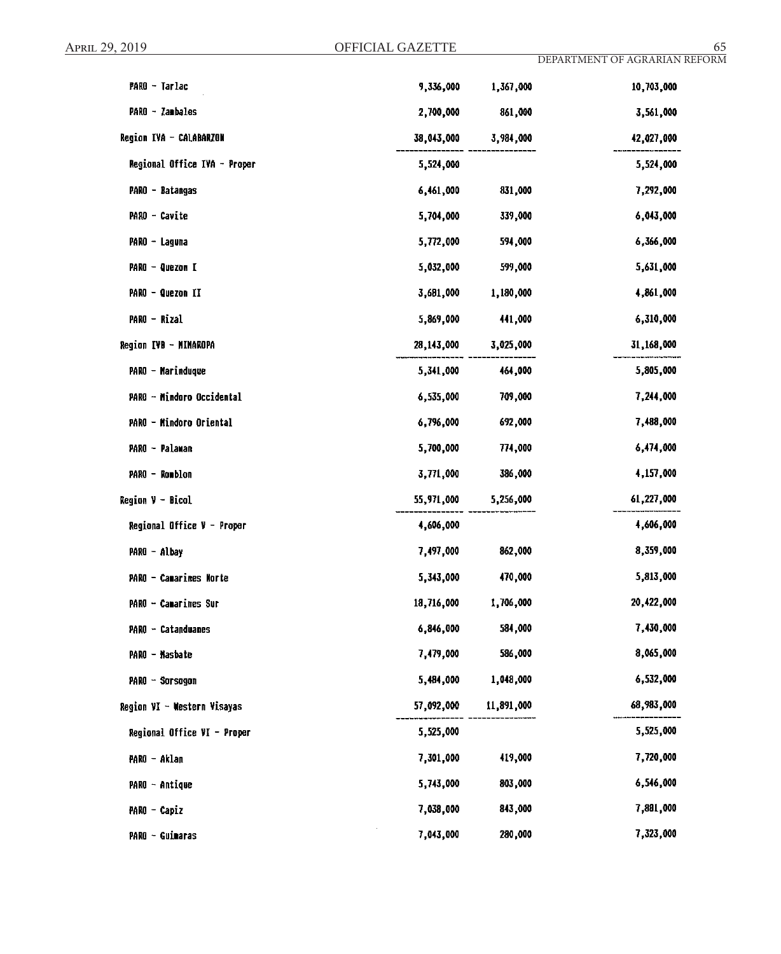| <b>PARO - Tarlac</b>         | 9,336,000  | 1,367,000  | 10,703,000 |
|------------------------------|------------|------------|------------|
| PARO - Zambales              | 2,700,000  | 861,000    | 3,561,000  |
| Region IVA - CALABARZON      | 38,043,000 | 3,984,000  | 42,027,000 |
| Regional Office IVA - Proper | 5,524,000  |            | 5,524,000  |
| PARO - Batangas              | 6,461,000  | 831,000    | 7,292,000  |
| PARO - Cavite                | 5,704,000  | 339,000    | 6,043,000  |
| PARO - Laguna                | 5,772,000  | 594,000    | 6,366,000  |
| PARO - Quezon I              | 5,032,000  | 599,000    | 5,631,000  |
| PARO - Quezon II             | 3,681,000  | 1,180,000  | 4,861,000  |
| PARO - Rizal                 | 5,869,000  | 441,000    | 6,310,000  |
| Region IVB - MIMAROPA        | 28,143,000 | 3,025,000  | 31,168,000 |
| PARO - Marinduque            | 5,341,000  | 464,000    | 5,805,000  |
| PARO - Mindoro Occidental    | 6,535,000  | 709,000    | 7,244,000  |
| PARO - Mindoro Oriental      | 6,796,000  | 692,000    | 7,488,000  |
| PARO - Palawan               | 5,700,000  | 774,000    | 6,474,000  |
| PARO - Romblon               | 3,771,000  | 386,000    | 4,157,000  |
| <b>Region V - Bicol</b>      | 55,971,000 | 5,256,000  | 61,227,000 |
| Regional Office V - Proper   | 4,606,000  |            | 4,606,000  |
| PARO - Albay                 | 7,497,000  | 862,000    | 8,359,000  |
| PARO - Camarines Norte       | 5,343,000  | 470,000    | 5,813,000  |
| PARO - Camarines Sur         | 18,716,000 | 1,706,000  | 20,422,000 |
| PARO - Catanduanes           | 6,846,000  | 584,000    | 7,430,000  |
| PARO - Masbate               | 7,479,000  | 586,000    | 8,065,000  |
| PARO - Sarsagan              | 5,484,000  | 1,048,000  | 6,532,000  |
| Region VI - Western Visayas  | 57,092,000 | 11,891,000 | 68,983,000 |
| Regional Office VI - Proper  | 5,525,000  |            | 5,525,000  |
| PARO - Aklan                 | 7,301,000  | 419,000    | 7,720,000  |
| PARO - Antique               | 5,743,000  | 803,000    | 6,546,000  |
| PARO - Capiz                 | 7,038,000  | 843,000    | 7,881,000  |
| PARO - Guimaras              | 7,043,000  | 280,000    | 7,323,000  |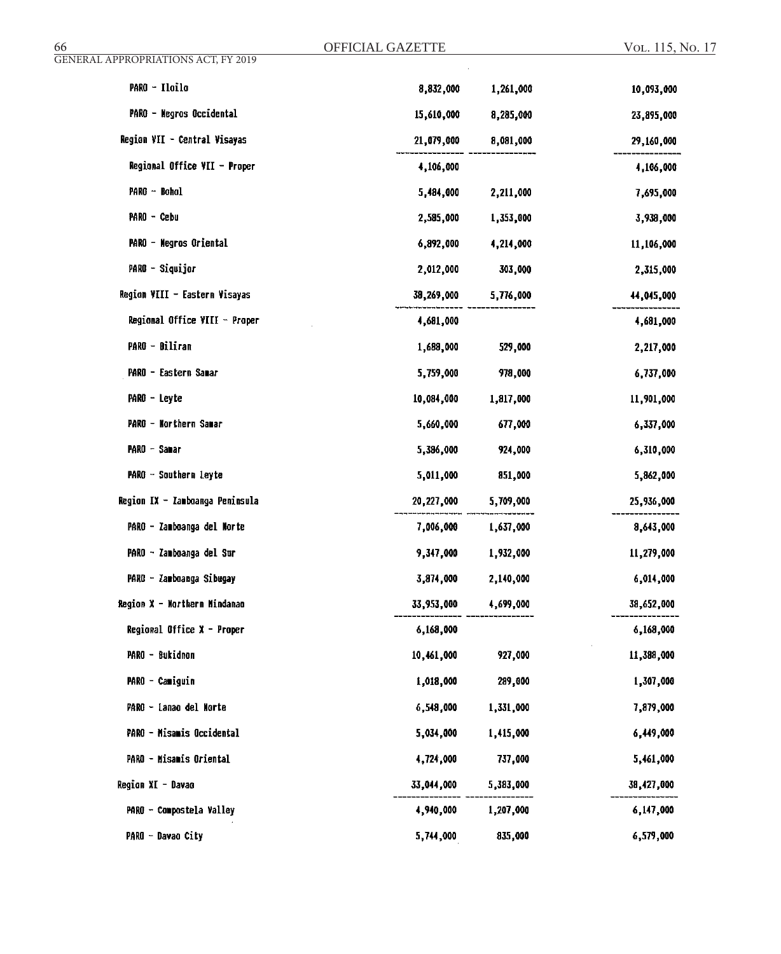| GENERAL APPROPRIATIONS ACT, FY 2019 |            |           |            |
|-------------------------------------|------------|-----------|------------|
| PARO - Iloilo                       | 8,832,000  | 1,261,000 | 10,093,000 |
| PARO - Negros Occidental            | 15,610,000 | 8,285,000 | 23,895,000 |
| Region VII - Central Visayas        | 21,079,000 | 8,081,000 | 29,160,000 |
| Regional Office VII - Proper        | 4,106,000  |           | 4,106,000  |
| PARO - Bohol                        | 5,484,000  | 2,211,000 | 7,695,000  |
| PARO - Cebu                         | 2,585,000  | 1,353,000 | 3,938,000  |
| PARO - Negros Oriental              | 6,892,000  | 4,214,000 | 11,106,000 |
| PARO - Siquijor                     | 2,012,000  | 303,000   | 2,315,000  |
| Region VIII - Eastern Visayas       | 38,269,000 | 5,776,000 | 44,045,000 |
| Regional Office VIII - Proper       | 4,681,000  |           | 4,681,000  |
| PARO - Biliran                      | 1,688,000  | 529,000   | 2,217,000  |
| PARO - Eastern Samar                | 5,759,000  | 978,000   | 6,737,000  |
| PARO - Leyte                        | 10,084,000 | 1,817,000 | 11,901,000 |
| PARO - Northern Samar               | 5,660,000  | 677,000   | 6,337,000  |
| PARO - Samar                        | 5,386,000  | 924,000   | 6,310,000  |
| PARO - Southern Leyte               | 5,011,000  | 851,000   | 5,862,000  |
| Region IX - Zamboanga Peninsula     | 20,227,000 | 5,709,000 | 25,936,000 |
| PARO - Zamboanga del Norte          | 7,006,000  | 1,637,000 | 8,643,000  |
| PARO - Zamboanga del Sur            | 9,347,000  | 1,932,000 | 11,279,000 |
| PARO - Zamboanga Sibugay            | 3,874,000  | 2,140,000 | 6,014,000  |
| Region X - Northern Mindanao        | 33,953,000 | 4,699,000 | 38,652,000 |
| Regional Office X - Proper          | 6,168,000  |           | 6,168,000  |
| PARO - Bukidnon                     | 10,461,000 | 927,000   | 11,388,000 |
| PARO - Camiguin                     | 1,018,000  | 289,000   | 1,307,000  |
| PARO - Lanao del Norte              | 6,548,000  | 1,331,000 | 7,879,000  |
| PARO - Misamis Occidental           | 5,034,000  | 1,415,000 | 6,449,000  |
| PARO - Misamis Oriental             | 4,724,000  | 737,000   | 5,461,000  |
| Region XI - Davao                   | 33,044,000 | 5,383,000 | 38,427,000 |
| PARO - Compostela Valley            | 4,940,000  | 1,207,000 | 6,147,000  |
| PARO - Davao City                   | 5,744,000  | 835,000   | 6,579,000  |

OFFICIAL GAZETTE

66 Vol. 115, No. 17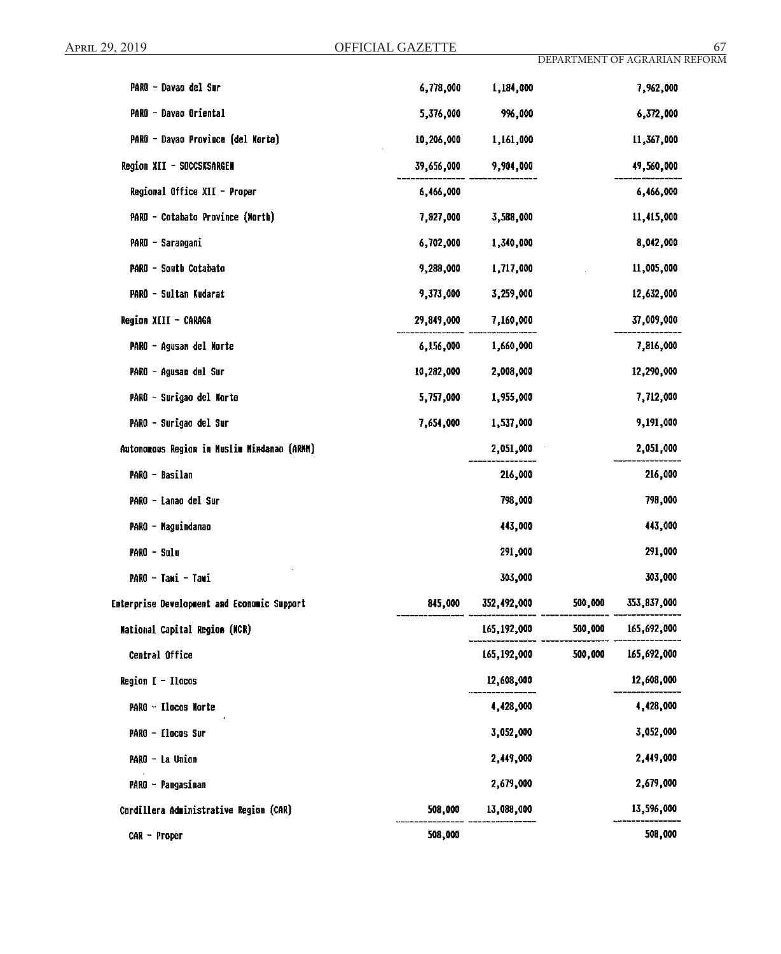| PARO - Davao del Sur                        | 6,778,000  | 1,184,000   |         | 7,962,000   |
|---------------------------------------------|------------|-------------|---------|-------------|
| PARO - Davao Oriental                       | 5,376,000  | 996,000     |         | 6,372,000   |
| PARO - Dayao Province (del Norte)           | 10,206,000 | 1,161,000   |         | 11,367,000  |
| Region XII - SOCCSKSARGEN                   | 39,656,000 | 9,904,000   |         | 49,560,000  |
| Regional Office XII - Proper                | 6,466,000  |             |         | 6,466,000   |
| PARO - Cotabato Province (Morth)            | 7,827,000  | 3,588,000   |         | 11,415,000  |
| PARO - Sarangani                            | 6,702,000  | 1,340,000   |         | 8,042,000   |
| PARO - South Cotabato                       | 9,288,000  | 1,717,000   |         | 11,005,000  |
| PARO - Sultan Kudarat                       | 9,373,000  | 3,259,000   |         | 12,632,000  |
| Region XIII - CARAGA                        | 29,849,000 | 7,160,000   |         | 37,009,000  |
| PARO - Agusan del Norte                     | 6,156,000  | 1,660,000   |         | 7,816,000   |
| PARO - Agusan del Sur                       | 10,282,000 | 2,008,000   |         | 12,290,000  |
| PARO - Surigao del Morte                    | 5,757,000  | 1,955,000   |         | 7,712,000   |
| PARO - Surigao del Sur                      | 7,654,000  | 1,537,000   |         | 9,191,000   |
| Autonomous Region in Muslim Mindanao (ARMM) |            | 2,051,000   |         | 2,051,000   |
| PARO - Basilan                              |            | 216,000     |         | 216,000     |
| PARO - Lanao del Sur                        |            | 798,000     |         | 798,000     |
| PARO - Maguindanao                          |            | 443,000     |         | 443,000     |
| PARO - Sulu                                 |            | 291,000     |         | 291,000     |
| PARO - Tawi - Tawi                          |            | 303,000     |         | 303,000     |
| Enterprise Development and Economic Support | 845,000    | 352,492,000 | 500,000 | 353,837,000 |
| Mational Capital Region (MCR)               |            | 165,192,000 | 500,000 | 165,692,000 |
| Central Office                              |            | 165,192,000 | 500,000 | 165,692,000 |
| Region I - Ilocos                           |            | 12,608,000  |         | 12,608,000  |
| PARO - Ilocos Norte                         |            | 4,428,000   |         | 4,428,000   |
| PARO - Ilocos Sur                           |            | 3,052,000   |         | 3,052,000   |
| PARO - La Union                             |            | 2,449,000   |         | 2,449,000   |
| PARO - Pangasinan                           |            | 2,679,000   |         | 2,679,000   |
| Cordillera Administrative Region (CAR)      | 508,000    | 13,088,000  |         | 13,596,000  |
| $CAR - Proper$                              | 508,000    |             |         | 508,000     |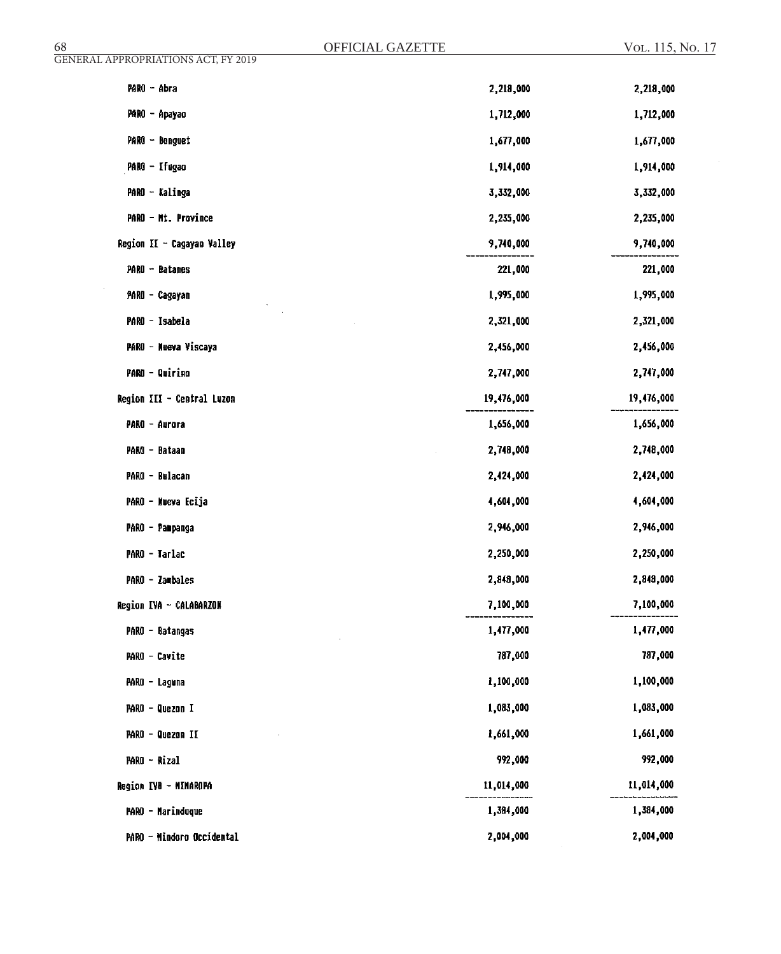| GENERAL APPROPRIATIONS ACT, FY 2019 |            |            |
|-------------------------------------|------------|------------|
| PARO - Abra                         | 2,218,000  | 2,218,000  |
| PARO - Apayao                       | 1,712,000  | 1,712,000  |
| PARO - Benguet                      | 1,677,000  | 1,677,000  |
| PARO - Ifugao                       | 1,914,000  | 1,914,000  |
| PARO - Kalinga                      | 3,332,000  | 3,332,000  |
| PARO - Mt. Province                 | 2,235,000  | 2,235,000  |
| Region II - Cagayan Valley          | 9,740,000  | 9,740,000  |
| PARO - Batanes                      | 221,000    | 221,000    |
| PARO - Cagayan                      | 1,995,000  | 1,995,000  |
| PARO - Isabela                      | 2,321,000  | 2,321,000  |
| PARO - Nueva Viscaya                | 2,456,000  | 2,456,000  |
| <b>PARO - Quirino</b>               | 2,747,000  | 2,747,000  |
| Region III - Central Luzon          | 19,476,000 | 19,476,000 |
| PARO - Aurora                       | 1,656,000  | 1,656,000  |
| PARO - Bataan                       | 2,748,000  | 2,748,000  |
| PARO - Bulacan                      | 2,424,000  | 2,424,000  |
| PARO - Nueva Ecija                  | 4,604,000  | 4,604,000  |
| PARO - Pampanga                     | 2,946,000  | 2,946,000  |
| PARO - Tarlac                       | 2,250,000  | 2,250,000  |
| PARO - Zambales                     | 2,848,000  | 2,848,000  |
| Region IVA - CALABARZON             | 7,100,000  | 7,100,000  |
| PARO - Batangas                     | 1,477,000  | 1,477,000  |
| PARO - Cavite                       | 787,000    | 787,000    |
| PARO - Laguna                       | 1,100,000  | 1,100,000  |
| PARO - Quezon I                     | 1,083,000  | 1,083,000  |
| PARO - Quezon II                    | 1,661,000  | 1,661,000  |
| PARO - Rizal                        | 992,000    | 992,000    |
| Region IVB - MINAROPA               | 11,014,000 | 11,014,000 |
| <b>PARO - Marinduque</b>            | 1,384,000  | 1,384,000  |
| PARO - Mindoro Occidental           | 2,004,000  | 2,004,000  |

OFFICIAL GAZETTE

68 Vol. 115, No. 17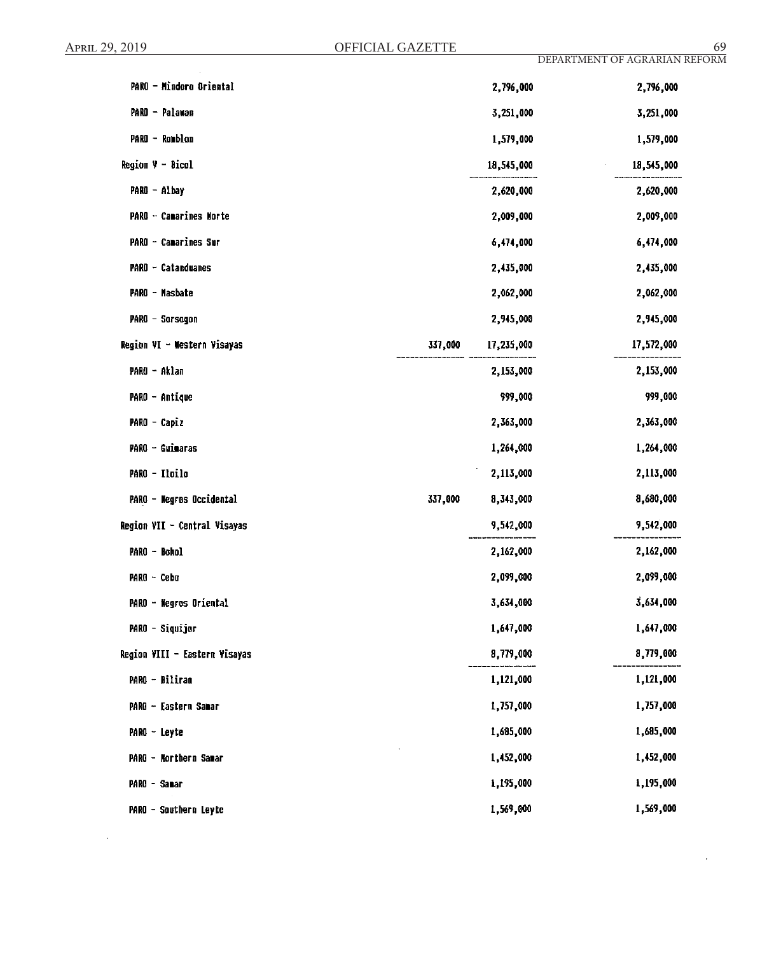$\bar{z}$ 

 $\epsilon$ 

| PARO - Mindoro Oriental       |         | 2,796,000  | 2,796,000  |
|-------------------------------|---------|------------|------------|
| PARO - Palawan                |         | 3,251,000  | 3,251,000  |
| PARO - Romblon                |         | 1,579,000  | 1,579,000  |
| Region V - Bicol              |         | 18,545,000 | 18,545,000 |
| PARO - Albay                  |         | 2,620,000  | 2,620,000  |
| PARO - Camarines Norte        |         | 2,009,000  | 2,009,000  |
| PARO - Camarines Sur          |         | 6,474,000  | 6,474,000  |
| PARO - Catanduanes            |         | 2,435,000  | 2,435,000  |
| PARO - Masbate                |         | 2,062,000  | 2,062,000  |
| PARO - Sorsogon               |         | 2,945,000  | 2,945,000  |
| Region VI - Western Visayas   | 337,000 | 17,235,000 | 17,572,000 |
| PARO - Aklan                  |         | 2,153,000  | 2,153,000  |
| PARO - Antique                |         | 999,000    | 999,000    |
| PARO - Capiz                  |         | 2,363,000  | 2,363,000  |
| PARO - Guimaras               |         | 1,264,000  | 1,264,000  |
| PARO - Iloilo                 |         | 2,113,000  | 2,113,000  |
| PARO - Negros Occidental      | 337,000 | 8,343,000  | 8,680,000  |
| Region VII - Central Visayas  |         | 9,542,000  | 9,542,000  |
| PARO - Bohol                  |         | 2,162,000  | 2,162,000  |
| PARO - Cebu                   |         | 2,099,000  | 2,099,000  |
| PARO - Negros Oriental        |         | 3,634,000  | 3,634,000  |
| PARO - Siquijor               |         | 1,647,000  | 1,647,000  |
| Region VIII - Eastern Visayas |         | 8,779,000  | 8,779,000  |
| PARO - Biliran                |         | 1,121,000  | 1,121,000  |
| PARO - Eastern Samar          |         | 1,757,000  | 1,757,000  |
| PARO - Leyte                  |         | 1,685,000  | 1,685,000  |
| PARO - Northern Samar         |         | 1,452,000  | 1,452,000  |
| PARO - Sanar                  |         | 1,195,000  | 1,195,000  |
| PARO - Southern Leyte         |         | 1,569,000  | 1,569,000  |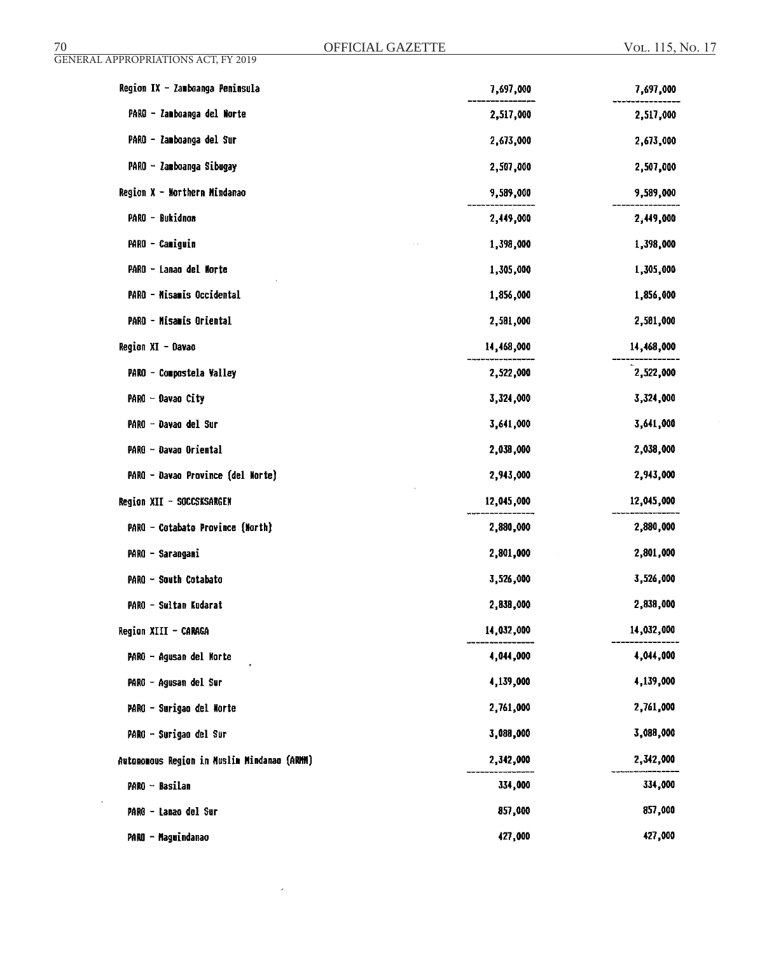$\bar{\mathcal{A}}$ 

 $\hat{\mathcal{A}}$ 

| Region IX - Zamboanga Peninsula             | 7,697,000  | 7,697,000  |
|---------------------------------------------|------------|------------|
| PARO - Zamboanga del Norte                  | 2,517,000  | 2,517,000  |
| PARO - Zamboanga del Sur                    | 2,673,000  | 2,673,000  |
| PARO - Zamboanga Sibugay                    | 2,507,000  | 2,507,000  |
| Region $X -$ Morthern Mindanao              | 9,589,000  | 9,589,000  |
| PARO - Bukidnon                             | 2,449,000  | 2,449,000  |
| PARO - Camiguin                             | 1,398,000  | 1,398,000  |
| PARO - Lanao del Morte                      | 1,305,000  | 1,305,000  |
| PARO - Misamis Occidental                   | 1,856,000  | 1,856,000  |
| PARO - Misamis Oriental                     | 2,581,000  | 2,581,000  |
| Region XI - Davao                           | 14,468,000 | 14,468,000 |
| PARO - Compostela Valley                    | 2,522,000  | 2,522,000  |
| PARO - Davao City                           | 3,324,000  | 3,324,000  |
| PARO - Davao del Sur                        | 3,641,000  | 3,641,000  |
| PARO - Davao Oriental                       | 2,038,000  | 2,038,000  |
| PARO - Davao Province (del Morte)           | 2,943,000  | 2,943,000  |
| Region XII - SOCCSKSARGEN                   | 12,045,000 | 12,045,000 |
| PARO - Cotabato Province (North)            | 2,880,000  | 2,880,000  |
| PARO - Sarangani                            | 2,801,000  | 2,801,000  |
| PARO - South Cotabato                       | 3,526,000  | 3,526,000  |
| PARO - Sultan Kudarat                       | 2,838,000  | 2,838,000  |
| Region XIII - CARAGA                        | 14,032,000 | 14,032,000 |
| PARO - Agusan del Norte                     | 4,044,000  | 4,044,000  |
| PARO - Agusan del Sur                       | 4,139,000  | 4,139,000  |
| PARO - Surigao del Morte                    | 2,761,000  | 2,761,000  |
| PARO - Surigao del Sur                      | 3,088,000  | 3,088,000  |
| Autonomous Region in Muslim Mindanao (ARMM) | 2,342,000  | 2,342,000  |
| PARO - Basilan                              | 334,000    | 334,000    |
| PARO - Lanao del Sur                        | 857,000    | 857,000    |
| PARO - Maguindanao                          | 427,000    | 427,000    |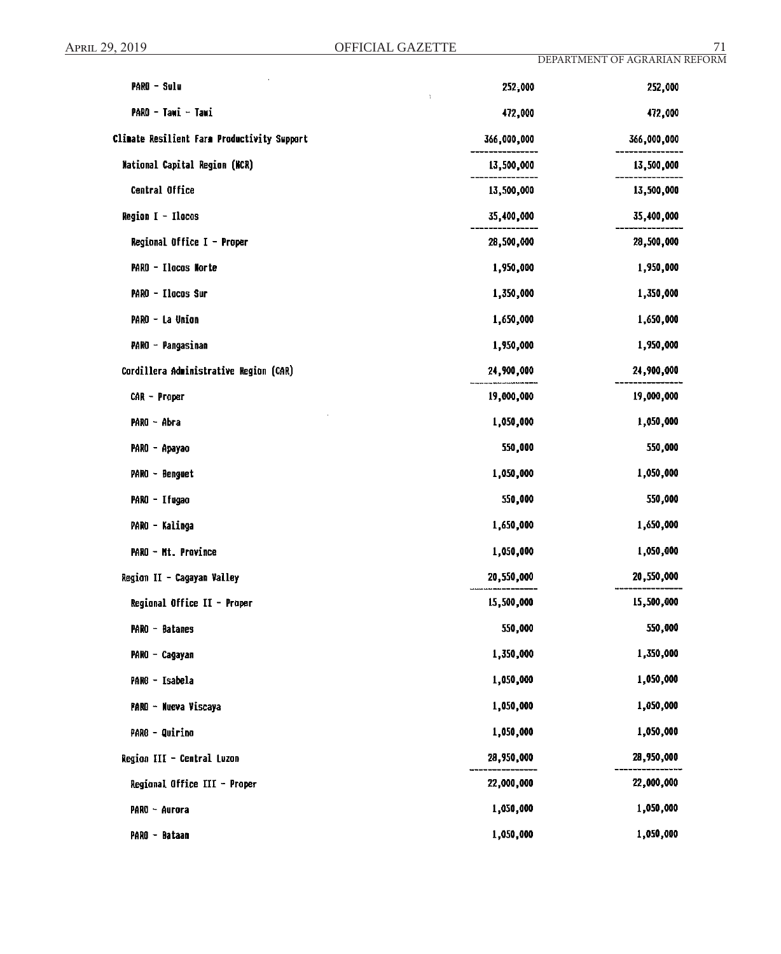| PARO - Sulu                                 | 252,000<br>$\chi$ | 252,000     |
|---------------------------------------------|-------------------|-------------|
| PARO - Tawi - Tawi                          | 472,000           | 472,000     |
| Climate Resilient Farm Productivity Support | 366,000,000       | 366,000,000 |
| National Capital Region (NCR)               | 13,500,000        | 13,500,000  |
| Central Office                              | 13,500,000        | 13,500,000  |
| Region I - Ilocos                           | 35,400,000        | 35,400,000  |
| Regional Office $I -$ Proper                | 28,500,000        | 28,500,000  |
| PARO - Ilocos Norte                         | 1,950,000         | 1,950,000   |
| PARO - Ilocos Sur                           | 1,350,000         | 1,350,000   |
| PARO - La Union                             | 1,650,000         | 1,650,000   |
| PARO - Pangasinan                           | 1,950,000         | 1,950,000   |
| Cordillera Administrative Region (CAR)      | 24,900,000        | 24,900,000  |
| CAR - Proper                                | 19,000,000        | 19,000,000  |
| PARO - Abra                                 | 1,050,000         | 1,050,000   |
| PARO - Apayao                               | 550,000           | 550,000     |
| PARO - Benguet                              | 1,050,000         | 1,050,000   |
| PARO - Ifugao                               | 550,000           | 550,000     |
| PARO - Kalinga                              | 1,650,000         | 1,650,000   |
| PARO - Mt. Province                         | 1,050,000         | 1,050,000   |
| Region II - Cagayan Valley                  | 20,550,000        | 20,550,000  |
| Regional Office II - Proper                 | 15,500,000        | 15,500,000  |
| PARO - Batanes                              | 550,000           | 550,000     |
| PARO - Cagayan                              | 1,350,000         | 1,350,000   |
| PARO - Isabela                              | 1,050,000         | 1,050,000   |
| PARO - Nueva Viscaya                        | 1,050,000         | 1,050,000   |
| PARO - Quirino                              | 1,050,000         | 1,050,000   |
| Region III - Central Luzon                  | 28,950,000        | 28,950,000  |
| Regional Office III - Proper                | 22,000,000        | 22,000,000  |
| PARO - Aurora                               | 1,050,000         | 1,050,000   |
| PARO - Bataan                               | 1,050,000         | 1,050,000   |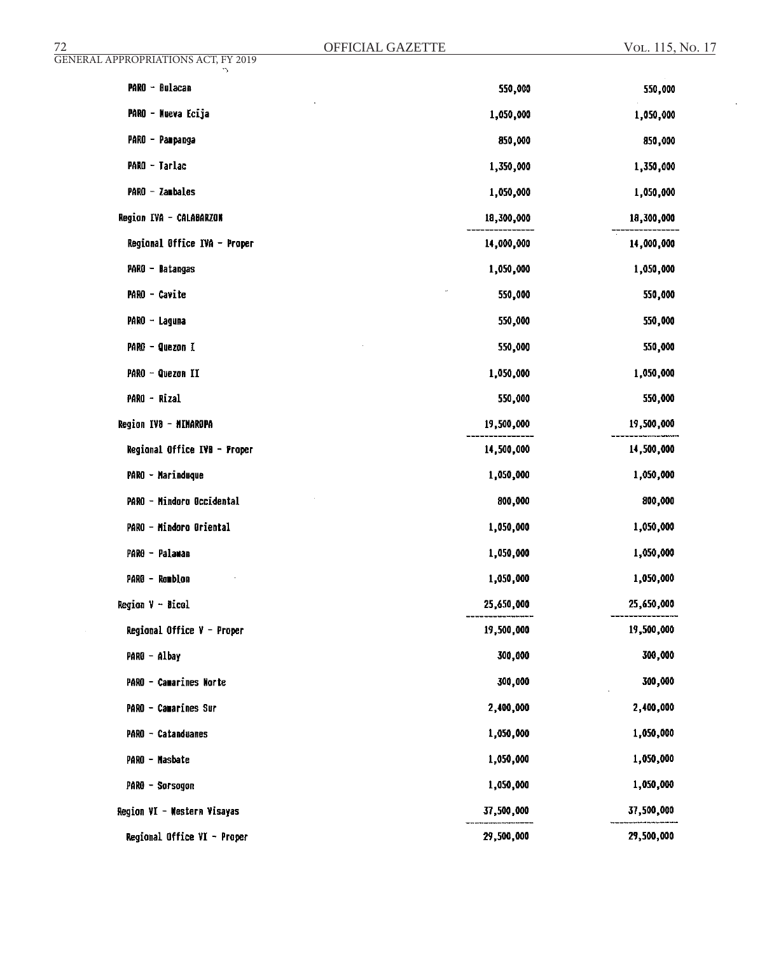| 72                                         | OFFICIAL GAZETTE | VOL. 115, No. 17 |
|--------------------------------------------|------------------|------------------|
| <b>GENERAL APPROPRIATIONS ACT, FY 2019</b> |                  |                  |
| PARO - Bulacan                             | 550,000          | 550,000          |
| PARO - Nueva Ecija                         | 1,050,000        | 1,050,000        |
| PARO - Panpanga                            | 850,000          | 850,000          |
| PARO - Tarlac                              | 1,350,000        | 1,350,000        |
| PARO - Zambales                            | 1,050,000        | 1,050,000        |
| Region IVA - CALABARZON                    | 18,300,000       | 18,300,000       |
| Regional Office IVA - Proper               | 14,000,000       | 14,000,000       |
| PARO - Datangas                            | 1,050,000        | 1,050,000        |
| PARO - Cavite                              | 550,000          | 550,000          |
| PARO - Laguna                              | 550,000          | 550,000          |
| PARO - Quezon I                            | 550,000          | 550,000          |
| PARO - Quezon II                           | 1,050,000        | 1,050,000        |
| PARO - Rizal                               | 550,000          | 550,000          |
| Region IVB - MIMAROPA                      | 19,500,000       | 19,500,000       |
| Regional Office IVB - Proper               | 14,500,000       | 14,500,000       |
| PARO - Marinduque                          | 1,050,000        | 1,050,000        |
| PARO - Mindoro Occidental                  | 800,000          | 800,000          |
| PARO - Mindoro Oriental                    | 1,050,000        | 1,050,000        |
| PARO - Palawan                             | 1,050,000        | 1,050,000        |
| PARO - Romblon                             | 1,050,000        | 1,050,000        |
| Region V - Bicol                           | 25,650,000       | 25,650,000       |
| Regional Office $V -$ Proper               | 19,500,000       | 19,500,000       |
| PARO - Albay                               | 300,000          | 300,000          |
| PARO - Camarines Norte                     | 300,000          | 300,000          |
| <b>PARO - Camarines Sur</b>                | 2,400,000        | 2,400,000        |
| PARO - Catanduanes                         | 1,050,000        | 1,050,000        |
| PARO - Masbate                             | 1,050,000        | 1,050,000        |
| PARO - Sarsagan                            | 1,050,000        | 1,050,000        |
| Region VI - Western Visayas                | 37,500,000       | 37,500,000       |
| Regional Office VI - Proper                | 29,500,000       | 29,500,000       |

 $\sim 40$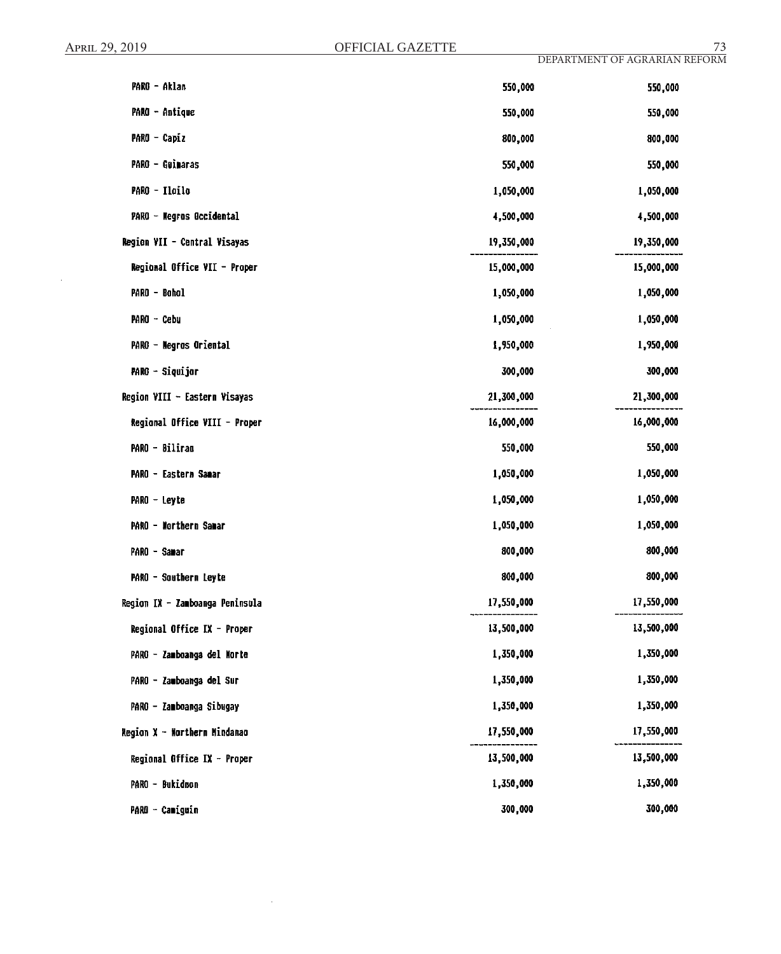$\sim$ 

| PARO - Aklan                    | 550,000    | 550,000    |
|---------------------------------|------------|------------|
| PARO - Antique                  | 550,000    | 550,000    |
| PARO - Capiz                    | 800,000    | 800,000    |
| PARO - Guimaras                 | 550,000    | 550,000    |
| PARO - Ilailo                   | 1,050,000  | 1,050,000  |
| PARO - Negros Occidental        | 4,500,000  | 4,500,000  |
| Region VII - Central Visayas    | 19,350,000 | 19,350,000 |
| Regional Office VII - Proper    | 15,000,000 | 15,000,000 |
| PARO - Bohol                    | 1,050,000  | 1,050,000  |
| PARO - Cebu                     | 1,050,000  | 1,050,000  |
| PARO - Negros Oriental          | 1,950,000  | 1,950,000  |
| PARO - Siquijor                 | 300,000    | 300,000    |
| Region VIII - Eastern Visayas   | 21,300,000 | 21,300,000 |
| Regional Office VIII - Proper   | 16,000,000 | 16,000,000 |
| PARO - Biliran                  | 550,000    | 550,000    |
| PARO - Eastern Sanar            | 1,050,000  | 1,050,000  |
| PARO - Leyte                    | 1,050,000  | 1,050,000  |
| PARO - Northern Samar           | 1,050,000  | 1,050,000  |
| PARO - Samar                    | 800,000    | 800,000    |
| PARO - Southern Leyte           | 800,000    | 800,000    |
| Region IX - Zamboanga Peninsula | 17,550,000 | 17,550,000 |
| Regional Office IX - Proper     | 13,500,000 | 13,500,000 |
| PARO - Zamboanga del Morte      | 1,350,000  | 1,350,000  |
| PARO - Zamboanga del Sur        | 1,350,000  | 1,350,000  |
| PARO - Zamboanga Sibugay        | 1,350,000  | 1,350,000  |
| Region X - Northern Mindanao    | 17,550,000 | 17,550,000 |
| Regional Office IX - Proper     | 13,500,000 | 13,500,000 |
| PARO - Bukidnon                 | 1,350,000  | 1,350,000  |
| PARO - Camiguin                 | 300,000    | 300,000    |

 $\sim$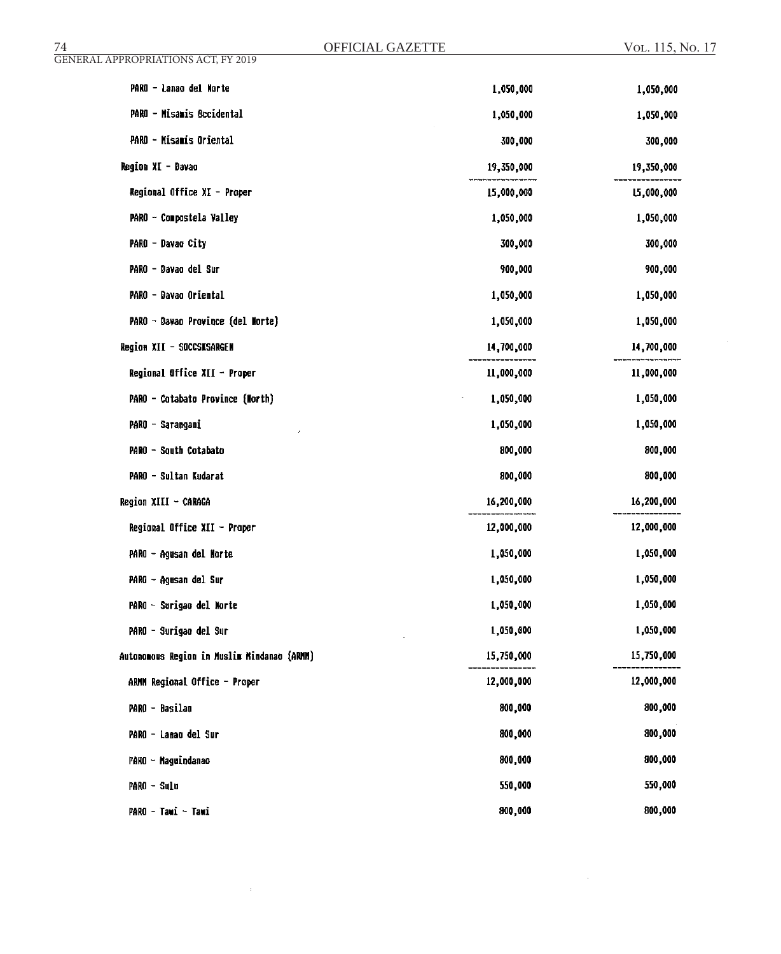| OFFICIAL GAZETTE<br>74                      |            | VOL. 115, No. 17 |
|---------------------------------------------|------------|------------------|
| <b>GENERAL APPROPRIATIONS ACT, FY 2019</b>  |            |                  |
| PARO - Lanao del Morte                      | 1,050,000  | 1,050,000        |
| PARO - Misamis Occidental                   | 1,050,000  | 1,050,000        |
| PARO - Misamis Oriental                     | 300,000    | 300,000          |
| Region XI - Davao                           | 19,350,000 | 19,350,000       |
| Regional Office XI - Proper                 | 15,000,000 | L5,000,000       |
| PARO - Compostela Valley                    | 1,050,000  | 1,050,000        |
| PARO - Davao City                           | 300,000    | 300,000          |
| PARO - Davao del Sur                        | 900,000    | 900,000          |
| PARO - Davao Oriental                       | 1,050,000  | 1,050,000        |
| PARO - Davao Province (del Morte)           | 1,050,000  | 1,050,000        |
| Region XII - SOCCSKSARGEN                   | 14,700,000 | 14,700,000       |
| Regional Office XII - Proper                | 11,000,000 | 11,000,000       |
| PARO - Catabato Province (North)            | 1,050,000  | 1,050,000        |
| PARO - Sarangani                            | 1,050,000  | 1,050,000        |
| PARO - South Cotabato                       | 800,000    | 800,000          |
| PARO - Sultan Kudarat                       | 800,000    | 800,000          |
| Region XIII - CARAGA                        | 16,200,000 | 16,200,000       |
| Regional Office XII - Proper                | 12,000,000 | 12,000,000       |
| PARO - Agusan del Norte                     | 1,050,000  | 1,050,000        |
| PARO - Agusan del Sur                       | 1,050,000  | 1,050,000        |
| PARO - Surigao del Morte                    | 1,050,000  | 1,050,000        |
| PARO - Surigao del Sur                      | 1,050,000  | 1,050,000        |
| Autonomous Region in Muslim Mindanao (ARMM) | 15,750,000 | 15,750,000       |
| ARMM Regional Office - Proper               | 12,000,000 | 12,000,000       |
| PARO - Basilan                              | 800,000    | 800,000          |
| PARO - Lanao del Sur                        | 800,000    | 800,000          |
| PARO - Maguindanao                          | 800,000    | 800,000          |
| PARO - Sulu                                 | 550,000    | 550,000          |
| PARO - Tawi - Tawi                          | 800,000    | 800,000          |
|                                             |            |                  |

 $\mathcal{L}^{\text{max}}_{\text{max}}$ 

 $\mathcal{L}(\mathcal{A})$  and  $\mathcal{L}(\mathcal{A})$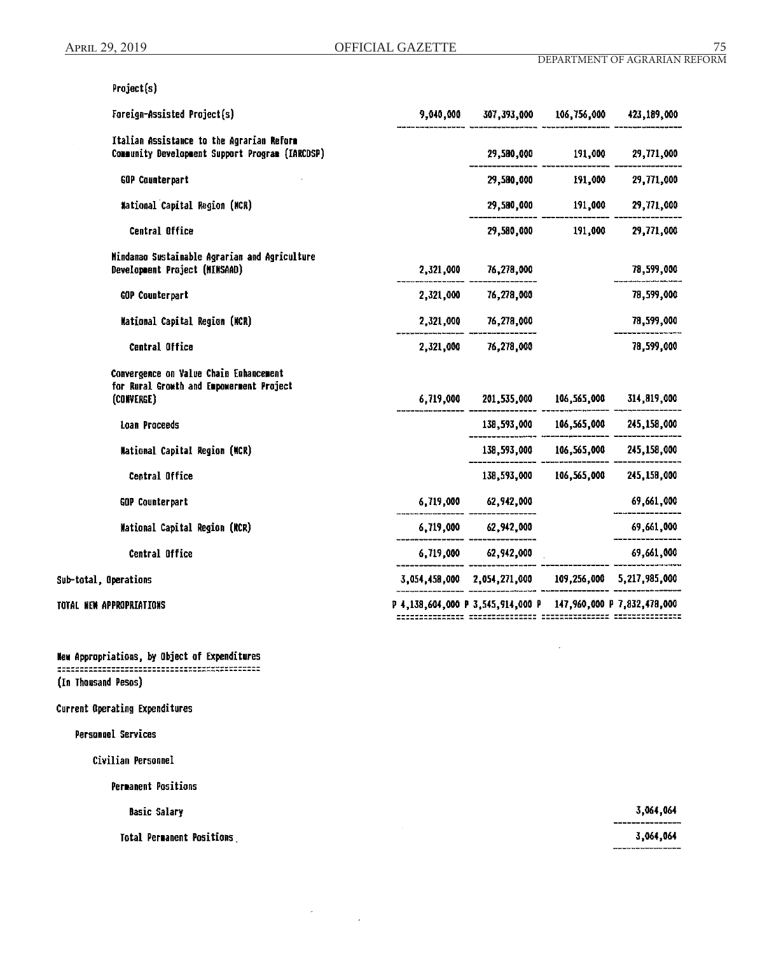Project(s)

| Foreign-Assisted Project(s)                                                                      | 9,040,000 | 307,393,000                                                   | 106,756,000        | 423,189,000                         |
|--------------------------------------------------------------------------------------------------|-----------|---------------------------------------------------------------|--------------------|-------------------------------------|
| Italian Assistance to the Agrarian Reform<br>Community Development Support Program (IARCDSP)     |           |                                                               | 29,580,000 191,000 | 29,771,000                          |
| <b>GOP Counterpart</b>                                                                           |           | 29,580,000                                                    | 191,000            | 29,771,000                          |
| <b>Mational Capital Region (NCR)</b>                                                             |           | 29,580,000                                                    | 191,000            | 29,771,000                          |
| Central Office                                                                                   |           |                                                               | 29,580,000 191,000 | 29,771,000                          |
| Mindanao Sustainable Agrarian and Agriculture<br>Development Project (MINSAAD)                   | 2,321,000 | 76,278,000                                                    |                    | 78,599,000                          |
| GOP Counterpart                                                                                  | 2,321,000 | 76,278,000                                                    |                    | 78,599,000                          |
| <b>Mational Capital Region (MCR)</b>                                                             | 2,321,000 | 76,278,000                                                    |                    | 78,599,000                          |
| Central Office                                                                                   | 2,321,000 | 76,278,000                                                    |                    | 78,599,000                          |
| Convergence on Value Chain Enhancement<br>for Rural Growth and Empowerment Project<br>(CONVERGE) | 6,719,000 | 201,535,000 106,565,000                                       |                    | 314,819,000                         |
| Loan Proceeds                                                                                    |           |                                                               |                    | 138,593,000 106,565,000 245,158,000 |
| National Capital Region (NCR)                                                                    |           |                                                               |                    | 138,593,000 106,565,000 245,158,000 |
| Central Office                                                                                   |           |                                                               |                    | 138,593,000 106,565,000 245,158,000 |
| GOP Counterpart                                                                                  |           | 6,719,000 62,942,000                                          |                    | 69,661,000                          |
| Mational Capital Region (NCR)                                                                    |           | $6,719,000$ $62,942,000$                                      |                    | 69,661,000                          |
| Central Office                                                                                   |           | 6,719,000 62,942,000                                          |                    | 69,661,000                          |
| Sub-total, Operations                                                                            |           | 3,054,458,000 2,054,271,000 109,256,000 5,217,985,000         |                    |                                     |
| TOTAL NEW APPROPRIATIONS                                                                         |           | P 4,138,604,000 P 3,545,914,000 P 147,960,000 P 7,832,478,000 |                    |                                     |

 $\ddot{\phantom{a}}$ 

New Appropriations, by Object of Expenditures 

(In Thousand Pesos)

# Current Operating Expenditures

Personnel Services

Civilian Personnel

**Permanent Positions** 

**Basic Salary** 

Total Permanent Positions

 $\bar{\bar{z}}$ 

3,064,064

3,064,064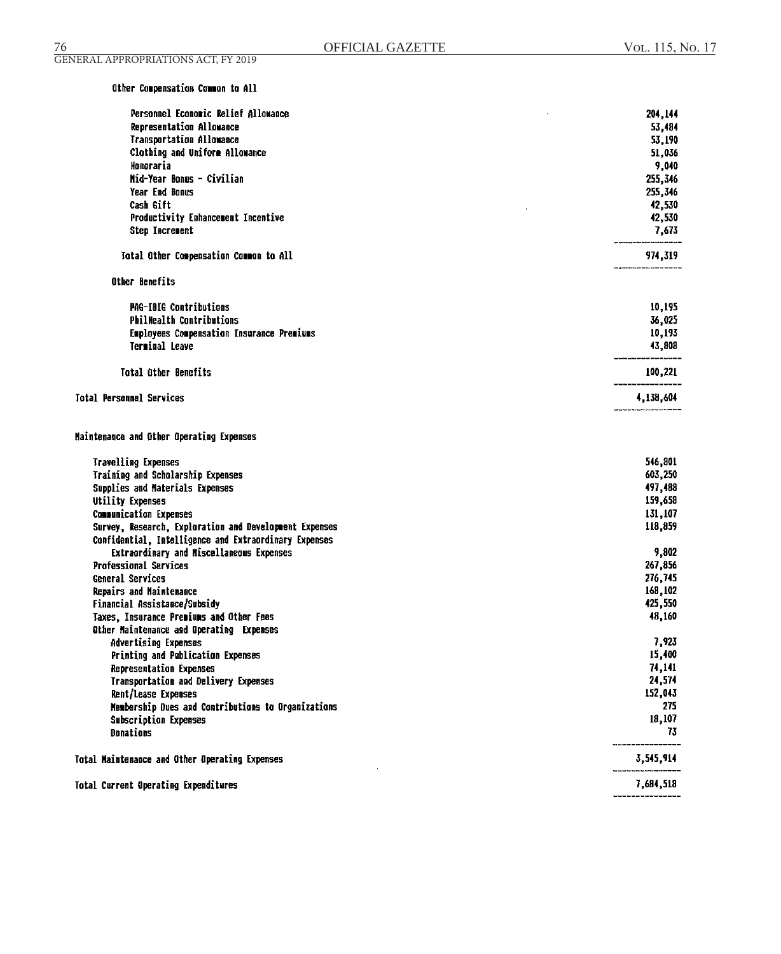# Other Compensation Common to All

| Personnel Economic Relief Allowance                              | 204,144         |
|------------------------------------------------------------------|-----------------|
| Representation Allowance                                         | 53,484          |
| <b>Transportation Allowance</b>                                  | 53,190          |
| Clothing and Uniform Allowance                                   | 51,036          |
| Honoraria                                                        | 9,040           |
| Mid-Year Bonus - Civilian                                        | 255,346         |
| Year End Bonus                                                   | 255,346         |
| Cash Gift                                                        | 42,530          |
| Productivity Enhancement Incentive                               | 42,530          |
| <b>Step Increment</b>                                            | 7,673           |
| Total Other Compensation Common to All                           | 974,319         |
| Other Benefits                                                   |                 |
| PAG-IBIG Contributions                                           | 10,195          |
| <b>PhilMealth Contributions</b>                                  | 36,025          |
| Employees Compensation Insurance Premiums                        | 10,193          |
| Terminal Leave                                                   | 43,808          |
| Total Other Benefits                                             | 100,221         |
| <b>Total Personnel Services</b>                                  | 4,138,604       |
| Maintenance and Other Operating Expenses                         |                 |
| <b>Travelling Expenses</b>                                       | 546,801         |
| Training and Scholarship Expenses                                | 603,250         |
| Supplies and Materials Expenses                                  | 497,488         |
| Utility Expenses                                                 | 159,658         |
| <b>Communication Expenses</b>                                    | 131,107         |
| Survey, Research, Exploration and Development Expenses           | 118,859         |
| Confidential, Intelligence and Extraordinary Expenses            |                 |
| Extraordinary and Miscellaneous Expenses                         | 9,802           |
| <b>Professional Services</b>                                     | 267,856         |
| General Services                                                 | 276,745         |
| Repairs and Maintenance                                          | 168,102         |
| Financial Assistance/Subsidy                                     | 425,550         |
| Taxes, Insurance Premiums and Other Fees                         | 48,160          |
| Other Maintenance and Operating Expenses                         |                 |
| <b>Advertising Expenses</b><br>Printing and Publication Expenses | 7,923<br>15,400 |
| <b>Representation Expenses</b>                                   | 74,141          |
|                                                                  | 24,574          |
| Transportation and Delivery Expenses<br>Rent/Lease Expenses      | 152,043         |
| Membership Dues and Contributions to Organizations               | 275             |
| Subscription Expenses                                            | 18,107          |
| Donations                                                        | 73              |
| Total Maintenance and Other Operating Expenses                   | 3,545,914       |
| Total Current Operating Expenditures                             | 7,684,518       |
|                                                                  |                 |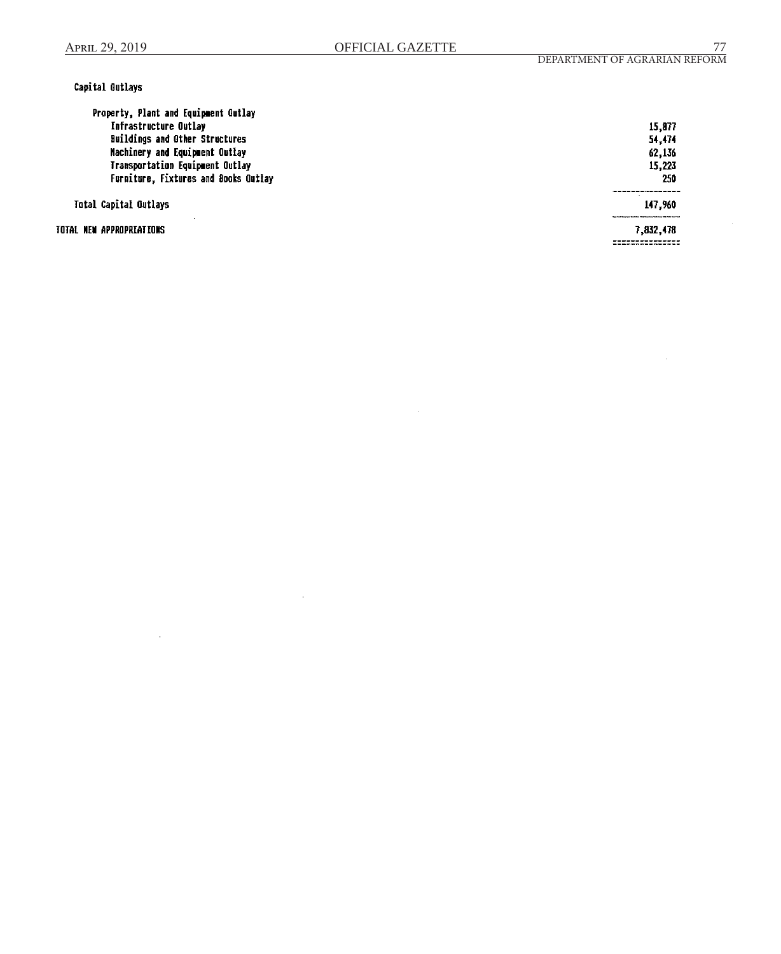# Capital Outlays

| Property, Plant and Equipment Outlay  |           |
|---------------------------------------|-----------|
| <b>Infrastructure Outlay</b>          | 15,877    |
| <b>Buildings and Other Structures</b> | 54,474    |
| Machinery and Equipment Outlay        | 62,136    |
| Transportation Equipment Outlay       | 15,223    |
| Furniture, Fixtures and Books Outlay  | 250       |
| Total Capital Outlays                 | 147,960   |
| TOTAL NEW APPROPREATEONS              | 7,832,478 |

J.

 $\overline{a}$